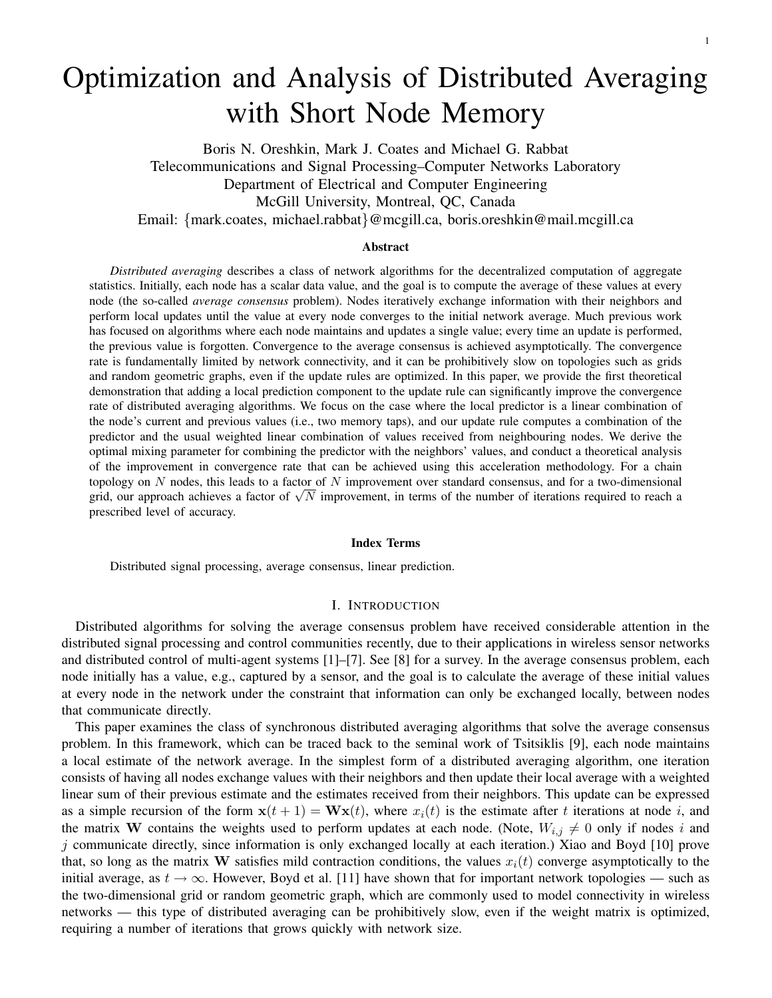# Optimization and Analysis of Distributed Averaging with Short Node Memory

Boris N. Oreshkin, Mark J. Coates and Michael G. Rabbat Telecommunications and Signal Processing–Computer Networks Laboratory Department of Electrical and Computer Engineering McGill University, Montreal, QC, Canada Email: {mark.coates, michael.rabbat}@mcgill.ca, boris.oreshkin@mail.mcgill.ca

#### Abstract

*Distributed averaging* describes a class of network algorithms for the decentralized computation of aggregate statistics. Initially, each node has a scalar data value, and the goal is to compute the average of these values at every node (the so-called *average consensus* problem). Nodes iteratively exchange information with their neighbors and perform local updates until the value at every node converges to the initial network average. Much previous work has focused on algorithms where each node maintains and updates a single value; every time an update is performed, the previous value is forgotten. Convergence to the average consensus is achieved asymptotically. The convergence rate is fundamentally limited by network connectivity, and it can be prohibitively slow on topologies such as grids and random geometric graphs, even if the update rules are optimized. In this paper, we provide the first theoretical demonstration that adding a local prediction component to the update rule can significantly improve the convergence rate of distributed averaging algorithms. We focus on the case where the local predictor is a linear combination of the node's current and previous values (i.e., two memory taps), and our update rule computes a combination of the predictor and the usual weighted linear combination of values received from neighbouring nodes. We derive the optimal mixing parameter for combining the predictor with the neighbors' values, and conduct a theoretical analysis of the improvement in convergence rate that can be achieved using this acceleration methodology. For a chain topology on  $N$  nodes, this leads to a factor of  $N$  improvement over standard consensus, and for a two-dimensional topology on *i* nodes, this leads to a factor of *i* improvement over standard consensus, and for a two-dimensional grid, our approach achieves a factor of  $\sqrt{N}$  improvement, in terms of the number of iterations require prescribed level of accuracy.

#### Index Terms

Distributed signal processing, average consensus, linear prediction.

#### I. INTRODUCTION

Distributed algorithms for solving the average consensus problem have received considerable attention in the distributed signal processing and control communities recently, due to their applications in wireless sensor networks and distributed control of multi-agent systems [1]–[7]. See [8] for a survey. In the average consensus problem, each node initially has a value, e.g., captured by a sensor, and the goal is to calculate the average of these initial values at every node in the network under the constraint that information can only be exchanged locally, between nodes that communicate directly.

This paper examines the class of synchronous distributed averaging algorithms that solve the average consensus problem. In this framework, which can be traced back to the seminal work of Tsitsiklis [9], each node maintains a local estimate of the network average. In the simplest form of a distributed averaging algorithm, one iteration consists of having all nodes exchange values with their neighbors and then update their local average with a weighted linear sum of their previous estimate and the estimates received from their neighbors. This update can be expressed as a simple recursion of the form  $\mathbf{x}(t+1) = \mathbf{W}\mathbf{x}(t)$ , where  $x_i(t)$  is the estimate after t iterations at node i, and the matrix W contains the weights used to perform updates at each node. (Note,  $W_{i,j} \neq 0$  only if nodes i and  $j$  communicate directly, since information is only exchanged locally at each iteration.) Xiao and Boyd [10] prove that, so long as the matrix W satisfies mild contraction conditions, the values  $x_i(t)$  converge asymptotically to the initial average, as  $t \to \infty$ . However, Boyd et al. [11] have shown that for important network topologies — such as the two-dimensional grid or random geometric graph, which are commonly used to model connectivity in wireless networks — this type of distributed averaging can be prohibitively slow, even if the weight matrix is optimized, requiring a number of iterations that grows quickly with network size.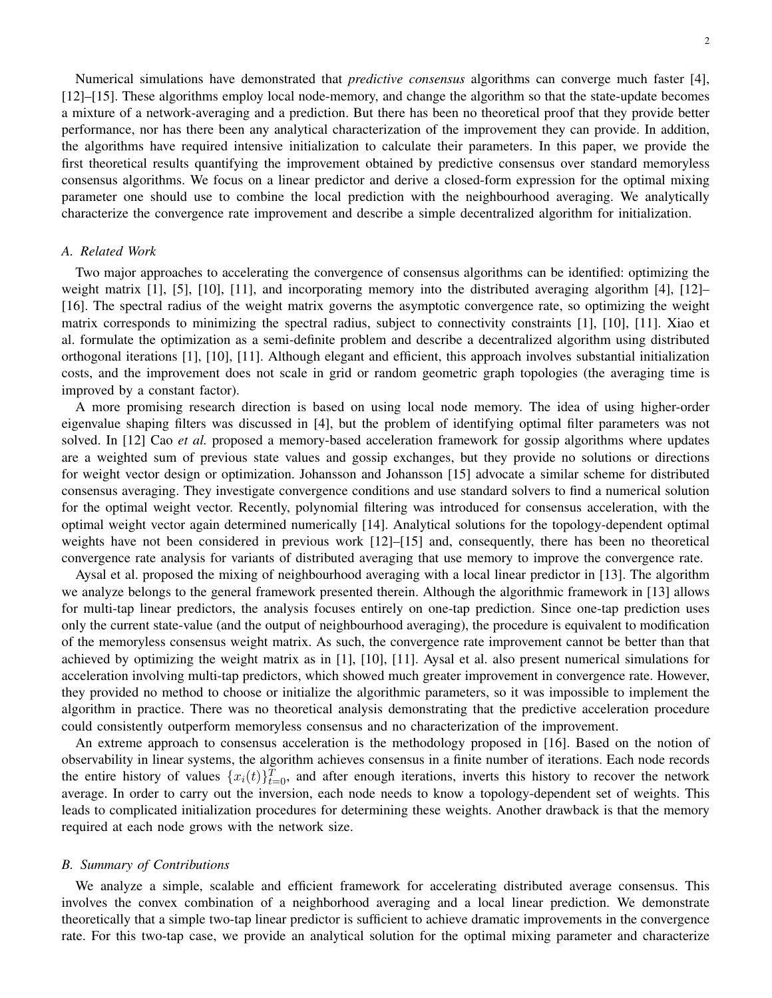Numerical simulations have demonstrated that *predictive consensus* algorithms can converge much faster [4], [12]–[15]. These algorithms employ local node-memory, and change the algorithm so that the state-update becomes a mixture of a network-averaging and a prediction. But there has been no theoretical proof that they provide better performance, nor has there been any analytical characterization of the improvement they can provide. In addition, the algorithms have required intensive initialization to calculate their parameters. In this paper, we provide the first theoretical results quantifying the improvement obtained by predictive consensus over standard memoryless consensus algorithms. We focus on a linear predictor and derive a closed-form expression for the optimal mixing parameter one should use to combine the local prediction with the neighbourhood averaging. We analytically characterize the convergence rate improvement and describe a simple decentralized algorithm for initialization.

## *A. Related Work*

Two major approaches to accelerating the convergence of consensus algorithms can be identified: optimizing the weight matrix [1], [5], [10], [11], and incorporating memory into the distributed averaging algorithm [4], [12]– [16]. The spectral radius of the weight matrix governs the asymptotic convergence rate, so optimizing the weight matrix corresponds to minimizing the spectral radius, subject to connectivity constraints [1], [10], [11]. Xiao et al. formulate the optimization as a semi-definite problem and describe a decentralized algorithm using distributed orthogonal iterations [1], [10], [11]. Although elegant and efficient, this approach involves substantial initialization costs, and the improvement does not scale in grid or random geometric graph topologies (the averaging time is improved by a constant factor).

A more promising research direction is based on using local node memory. The idea of using higher-order eigenvalue shaping filters was discussed in [4], but the problem of identifying optimal filter parameters was not solved. In [12] Cao *et al.* proposed a memory-based acceleration framework for gossip algorithms where updates are a weighted sum of previous state values and gossip exchanges, but they provide no solutions or directions for weight vector design or optimization. Johansson and Johansson [15] advocate a similar scheme for distributed consensus averaging. They investigate convergence conditions and use standard solvers to find a numerical solution for the optimal weight vector. Recently, polynomial filtering was introduced for consensus acceleration, with the optimal weight vector again determined numerically [14]. Analytical solutions for the topology-dependent optimal weights have not been considered in previous work [12]–[15] and, consequently, there has been no theoretical convergence rate analysis for variants of distributed averaging that use memory to improve the convergence rate.

Aysal et al. proposed the mixing of neighbourhood averaging with a local linear predictor in [13]. The algorithm we analyze belongs to the general framework presented therein. Although the algorithmic framework in [13] allows for multi-tap linear predictors, the analysis focuses entirely on one-tap prediction. Since one-tap prediction uses only the current state-value (and the output of neighbourhood averaging), the procedure is equivalent to modification of the memoryless consensus weight matrix. As such, the convergence rate improvement cannot be better than that achieved by optimizing the weight matrix as in [1], [10], [11]. Aysal et al. also present numerical simulations for acceleration involving multi-tap predictors, which showed much greater improvement in convergence rate. However, they provided no method to choose or initialize the algorithmic parameters, so it was impossible to implement the algorithm in practice. There was no theoretical analysis demonstrating that the predictive acceleration procedure could consistently outperform memoryless consensus and no characterization of the improvement.

An extreme approach to consensus acceleration is the methodology proposed in [16]. Based on the notion of observability in linear systems, the algorithm achieves consensus in a finite number of iterations. Each node records the entire history of values  $\{x_i(t)\}_{t=0}^T$ , and after enough iterations, inverts this history to recover the network average. In order to carry out the inversion, each node needs to know a topology-dependent set of weights. This leads to complicated initialization procedures for determining these weights. Another drawback is that the memory required at each node grows with the network size.

#### *B. Summary of Contributions*

We analyze a simple, scalable and efficient framework for accelerating distributed average consensus. This involves the convex combination of a neighborhood averaging and a local linear prediction. We demonstrate theoretically that a simple two-tap linear predictor is sufficient to achieve dramatic improvements in the convergence rate. For this two-tap case, we provide an analytical solution for the optimal mixing parameter and characterize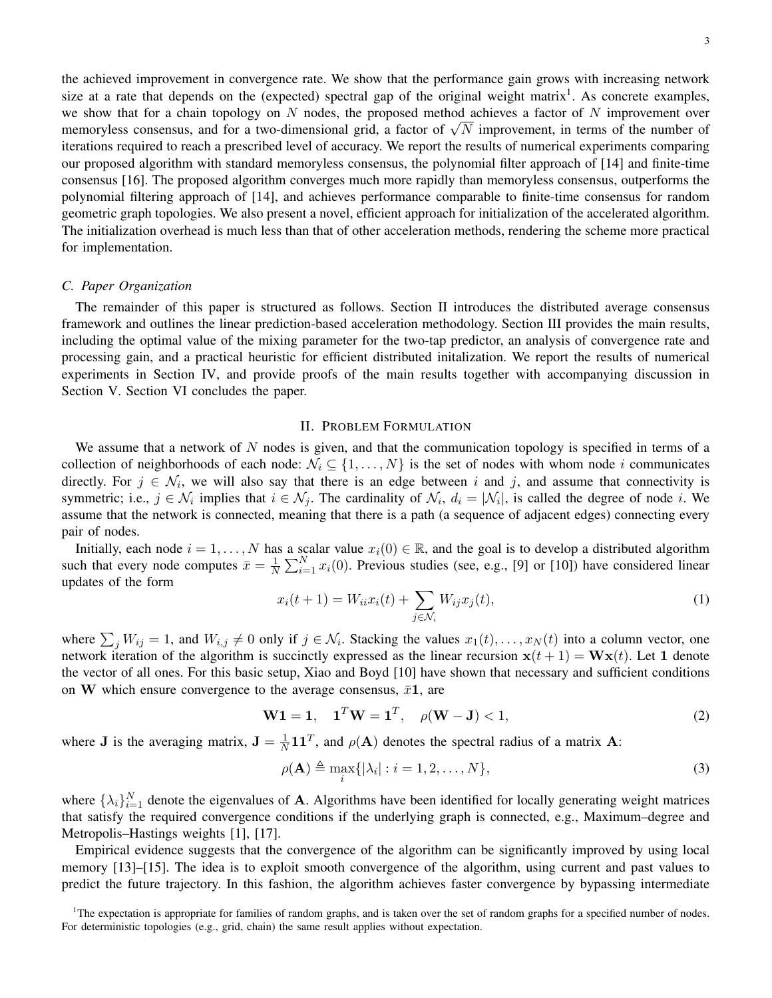3

the achieved improvement in convergence rate. We show that the performance gain grows with increasing network size at a rate that depends on the (expected) spectral gap of the original weight matrix<sup>1</sup>. As concrete examples, we show that for a chain topology on N nodes, the proposed method achieves a factor of N improvement over we snow that for a chain topology on *i* nodes, the proposed method achieves a factor of *i* improvement over memoryless consensus, and for a two-dimensional grid, a factor of  $\sqrt{N}$  improvement, in terms of the number o iterations required to reach a prescribed level of accuracy. We report the results of numerical experiments comparing our proposed algorithm with standard memoryless consensus, the polynomial filter approach of [14] and finite-time consensus [16]. The proposed algorithm converges much more rapidly than memoryless consensus, outperforms the polynomial filtering approach of [14], and achieves performance comparable to finite-time consensus for random geometric graph topologies. We also present a novel, efficient approach for initialization of the accelerated algorithm. The initialization overhead is much less than that of other acceleration methods, rendering the scheme more practical for implementation.

#### *C. Paper Organization*

The remainder of this paper is structured as follows. Section II introduces the distributed average consensus framework and outlines the linear prediction-based acceleration methodology. Section III provides the main results, including the optimal value of the mixing parameter for the two-tap predictor, an analysis of convergence rate and processing gain, and a practical heuristic for efficient distributed initalization. We report the results of numerical experiments in Section IV, and provide proofs of the main results together with accompanying discussion in Section V. Section VI concludes the paper.

#### II. PROBLEM FORMULATION

We assume that a network of  $N$  nodes is given, and that the communication topology is specified in terms of a collection of neighborhoods of each node:  $\mathcal{N}_i \subseteq \{1, \ldots, N\}$  is the set of nodes with whom node i communicates directly. For  $j \in \mathcal{N}_i$ , we will also say that there is an edge between i and j, and assume that connectivity is symmetric; i.e.,  $j \in \mathcal{N}_i$  implies that  $i \in \mathcal{N}_j$ . The cardinality of  $\mathcal{N}_i$ ,  $d_i = |\mathcal{N}_i|$ , is called the degree of node i. We assume that the network is connected, meaning that there is a path (a sequence of adjacent edges) connecting every pair of nodes.

Initially, each node  $i = 1, ..., N$  has a scalar value  $x_i(0) \in \mathbb{R}$ , and the goal is to develop a distributed algorithm such that every node computes  $\bar{x} = \frac{1}{N}$  $\frac{1}{N} \sum_{i=1}^{N} x_i(0)$ . Previous studies (see, e.g., [9] or [10]) have considered linear updates of the form

$$
x_i(t+1) = W_{ii}x_i(t) + \sum_{j \in \mathcal{N}_i} W_{ij}x_j(t),
$$
\n<sup>(1)</sup>

where  $\sum_j W_{ij} = 1$ , and  $W_{i,j} \neq 0$  only if  $j \in \mathcal{N}_i$ . Stacking the values  $x_1(t), \ldots, x_N(t)$  into a column vector, one network iteration of the algorithm is succinctly expressed as the linear recursion  $x(t + 1) = Wx(t)$ . Let 1 denote the vector of all ones. For this basic setup, Xiao and Boyd [10] have shown that necessary and sufficient conditions on W which ensure convergence to the average consensus,  $\bar{x}1$ , are

$$
W1 = 1, \quad 1^T W = 1^T, \quad \rho(W - J) < 1,\tag{2}
$$

where **J** is the averaging matrix,  $J = \frac{1}{N}$  $\frac{1}{N}$ 11<sup>T</sup>, and  $\rho(A)$  denotes the spectral radius of a matrix A:

$$
\rho(\mathbf{A}) \triangleq \max_{i} \{ |\lambda_i| : i = 1, 2, \dots, N \},\tag{3}
$$

where  $\{\lambda_i\}_{i=1}^N$  denote the eigenvalues of **A**. Algorithms have been identified for locally generating weight matrices that satisfy the required convergence conditions if the underlying graph is connected, e.g., Maximum–degree and Metropolis–Hastings weights [1], [17].

Empirical evidence suggests that the convergence of the algorithm can be significantly improved by using local memory [13]–[15]. The idea is to exploit smooth convergence of the algorithm, using current and past values to predict the future trajectory. In this fashion, the algorithm achieves faster convergence by bypassing intermediate

<sup>&</sup>lt;sup>1</sup>The expectation is appropriate for families of random graphs, and is taken over the set of random graphs for a specified number of nodes. For deterministic topologies (e.g., grid, chain) the same result applies without expectation.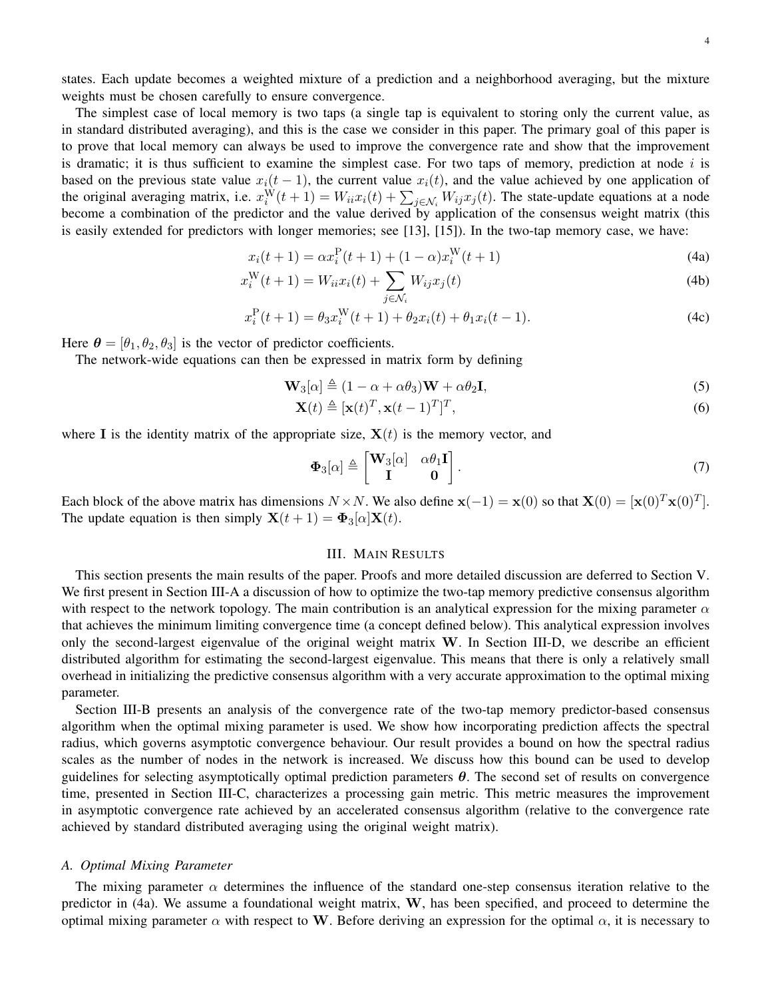states. Each update becomes a weighted mixture of a prediction and a neighborhood averaging, but the mixture weights must be chosen carefully to ensure convergence.

The simplest case of local memory is two taps (a single tap is equivalent to storing only the current value, as in standard distributed averaging), and this is the case we consider in this paper. The primary goal of this paper is to prove that local memory can always be used to improve the convergence rate and show that the improvement is dramatic; it is thus sufficient to examine the simplest case. For two taps of memory, prediction at node  $i$  is based on the previous state value  $x_i(t-1)$ , the current value  $x_i(t)$ , and the value achieved by one application of the original averaging matrix, i.e.  $x_i^W(t+1) = W_{ii}x_i(t) + \sum_{j \in \mathcal{N}_i} W_{ij}x_j(t)$ . The state-update equations at a node become a combination of the predictor and the value derived by application of the consensus weight matrix (this is easily extended for predictors with longer memories; see [13], [15]). In the two-tap memory case, we have:

$$
x_i(t+1) = \alpha x_i^{\mathcal{P}}(t+1) + (1-\alpha)x_i^{\mathcal{W}}(t+1)
$$
\n(4a)

$$
x_i^{\mathbf{W}}(t+1) = W_{ii}x_i(t) + \sum_{j \in \mathcal{N}_i} W_{ij}x_j(t)
$$
\n(4b)

$$
x_i^{\mathcal{P}}(t+1) = \theta_3 x_i^{\mathcal{W}}(t+1) + \theta_2 x_i(t) + \theta_1 x_i(t-1).
$$
 (4c)

Here  $\theta = [\theta_1, \theta_2, \theta_3]$  is the vector of predictor coefficients.

The network-wide equations can then be expressed in matrix form by defining

$$
\mathbf{W}_3[\alpha] \triangleq (1 - \alpha + \alpha \theta_3) \mathbf{W} + \alpha \theta_2 \mathbf{I},\tag{5}
$$

$$
\mathbf{X}(t) \triangleq [\mathbf{x}(t)^T, \mathbf{x}(t-1)^T]^T,\tag{6}
$$

where I is the identity matrix of the appropriate size,  $X(t)$  is the memory vector, and

$$
\Phi_3[\alpha] \triangleq \begin{bmatrix} \mathbf{W}_3[\alpha] & \alpha \theta_1 \mathbf{I} \\ \mathbf{I} & \mathbf{0} \end{bmatrix} . \tag{7}
$$

Each block of the above matrix has dimensions  $N \times N$ . We also define  $\mathbf{x}(-1) = \mathbf{x}(0)$  so that  $\mathbf{X}(0) = [\mathbf{x}(0)^T \mathbf{x}(0)^T]$ . The update equation is then simply  $\mathbf{X}(t+1) = \mathbf{\Phi}_3[\alpha] \mathbf{X}(t)$ .

## III. MAIN RESULTS

This section presents the main results of the paper. Proofs and more detailed discussion are deferred to Section V. We first present in Section III-A a discussion of how to optimize the two-tap memory predictive consensus algorithm with respect to the network topology. The main contribution is an analytical expression for the mixing parameter  $\alpha$ that achieves the minimum limiting convergence time (a concept defined below). This analytical expression involves only the second-largest eigenvalue of the original weight matrix W. In Section III-D, we describe an efficient distributed algorithm for estimating the second-largest eigenvalue. This means that there is only a relatively small overhead in initializing the predictive consensus algorithm with a very accurate approximation to the optimal mixing parameter.

Section III-B presents an analysis of the convergence rate of the two-tap memory predictor-based consensus algorithm when the optimal mixing parameter is used. We show how incorporating prediction affects the spectral radius, which governs asymptotic convergence behaviour. Our result provides a bound on how the spectral radius scales as the number of nodes in the network is increased. We discuss how this bound can be used to develop guidelines for selecting asymptotically optimal prediction parameters  $\theta$ . The second set of results on convergence time, presented in Section III-C, characterizes a processing gain metric. This metric measures the improvement in asymptotic convergence rate achieved by an accelerated consensus algorithm (relative to the convergence rate achieved by standard distributed averaging using the original weight matrix).

#### *A. Optimal Mixing Parameter*

The mixing parameter  $\alpha$  determines the influence of the standard one-step consensus iteration relative to the predictor in (4a). We assume a foundational weight matrix, W, has been specified, and proceed to determine the optimal mixing parameter  $\alpha$  with respect to W. Before deriving an expression for the optimal  $\alpha$ , it is necessary to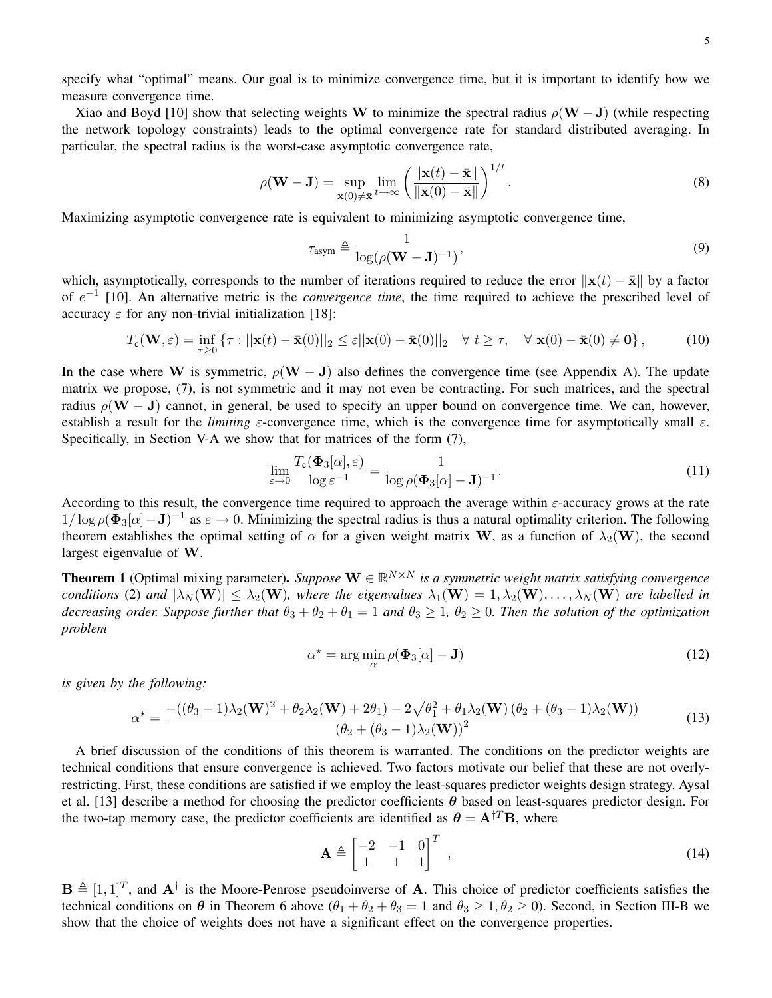specify what "optimal" means. Our goal is to minimize convergence time, but it is important to identify how we measure convergence time.

Xiao and Boyd [10] show that selecting weights W to minimize the spectral radius  $\rho(W-J)$  (while respecting the network topology constraints) leads to the optimal convergence rate for standard distributed averaging. In particular, the spectral radius is the worst-case asymptotic convergence rate,

$$
\rho(\mathbf{W} - \mathbf{J}) = \sup_{\mathbf{x}(0) \neq \bar{\mathbf{x}}} \lim_{t \to \infty} \left( \frac{\|\mathbf{x}(t) - \bar{\mathbf{x}}\|}{\|\mathbf{x}(0) - \bar{\mathbf{x}}\|} \right)^{1/t}.
$$
\n(8)

Maximizing asymptotic convergence rate is equivalent to minimizing asymptotic convergence time,

$$
\tau_{\text{asym}} \triangleq \frac{1}{\log(\rho(\mathbf{W} - \mathbf{J})^{-1})},\tag{9}
$$

which, asymptotically, corresponds to the number of iterations required to reduce the error  $\|\mathbf{x}(t) - \bar{\mathbf{x}}\|$  by a factor of e −1 [10]. An alternative metric is the *convergence time*, the time required to achieve the prescribed level of accuracy  $\varepsilon$  for any non-trivial initialization [18]:

$$
T_{\mathbf{c}}(\mathbf{W}, \varepsilon) = \inf_{\tau \ge 0} \left\{ \tau : ||\mathbf{x}(t) - \bar{\mathbf{x}}(0)||_2 \le \varepsilon ||\mathbf{x}(0) - \bar{\mathbf{x}}(0)||_2 \quad \forall \ t \ge \tau, \quad \forall \ \mathbf{x}(0) - \bar{\mathbf{x}}(0) \ne \mathbf{0} \right\},\tag{10}
$$

In the case where W is symmetric,  $\rho(W - J)$  also defines the convergence time (see Appendix A). The update matrix we propose, (7), is not symmetric and it may not even be contracting. For such matrices, and the spectral radius  $\rho(W - J)$  cannot, in general, be used to specify an upper bound on convergence time. We can, however, establish a result for the *limiting*  $\varepsilon$ -convergence time, which is the convergence time for asymptotically small  $\varepsilon$ . Specifically, in Section V-A we show that for matrices of the form (7),

$$
\lim_{\varepsilon \to 0} \frac{T_{\mathbf{c}}(\mathbf{\Phi}_3[\alpha], \varepsilon)}{\log \varepsilon^{-1}} = \frac{1}{\log \rho(\mathbf{\Phi}_3[\alpha] - \mathbf{J})^{-1}}.
$$
\n(11)

According to this result, the convergence time required to approach the average within  $\varepsilon$ -accuracy grows at the rate  $1/\log \rho(\Phi_3[\alpha]-\mathbf{J})^{-1}$  as  $\varepsilon \to 0$ . Minimizing the spectral radius is thus a natural optimality criterion. The following theorem establishes the optimal setting of  $\alpha$  for a given weight matrix W, as a function of  $\lambda_2(\mathbf{W})$ , the second largest eigenvalue of W.

**Theorem 1** (Optimal mixing parameter). Suppose  $\mathbf{W} \in \mathbb{R}^{N \times N}$  is a symmetric weight matrix satisfying convergence *conditions* (2) and  $|\lambda_N(\mathbf{W})| \leq \lambda_2(\mathbf{W})$ , where the eigenvalues  $\lambda_1(\mathbf{W}) = 1, \lambda_2(\mathbf{W}), \ldots, \lambda_N(\mathbf{W})$  are labelled in *decreasing order. Suppose further that*  $\theta_3 + \theta_2 + \theta_1 = 1$  *and*  $\theta_3 \ge 1$ ,  $\theta_2 \ge 0$ *. Then the solution of the optimization problem*

$$
\alpha^* = \arg\min_{\alpha} \rho(\mathbf{\Phi}_3[\alpha] - \mathbf{J}) \tag{12}
$$

*is given by the following:*

$$
\alpha^* = \frac{-((\theta_3 - 1)\lambda_2(\mathbf{W})^2 + \theta_2\lambda_2(\mathbf{W}) + 2\theta_1) - 2\sqrt{\theta_1^2 + \theta_1\lambda_2(\mathbf{W})\left(\theta_2 + (\theta_3 - 1)\lambda_2(\mathbf{W})\right)}}{(\theta_2 + (\theta_3 - 1)\lambda_2(\mathbf{W}))^2}
$$
(13)

A brief discussion of the conditions of this theorem is warranted. The conditions on the predictor weights are technical conditions that ensure convergence is achieved. Two factors motivate our belief that these are not overlyrestricting. First, these conditions are satisfied if we employ the least-squares predictor weights design strategy. Aysal et al. [13] describe a method for choosing the predictor coefficients  $\theta$  based on least-squares predictor design. For the two-tap memory case, the predictor coefficients are identified as  $\theta = A^{\dagger T}B$ , where

$$
\mathbf{A} \triangleq \begin{bmatrix} -2 & -1 & 0 \\ 1 & 1 & 1 \end{bmatrix}^T , \tag{14}
$$

 $\mathbf{B} \triangleq [1, 1]^T$ , and  $\mathbf{A}^{\dagger}$  is the Moore-Penrose pseudoinverse of A. This choice of predictor coefficients satisfies the technical conditions on  $\theta$  in Theorem 6 above  $(\theta_1 + \theta_2 + \theta_3 = 1$  and  $\theta_3 \ge 1, \theta_2 \ge 0)$ . Second, in Section III-B we show that the choice of weights does not have a significant effect on the convergence properties.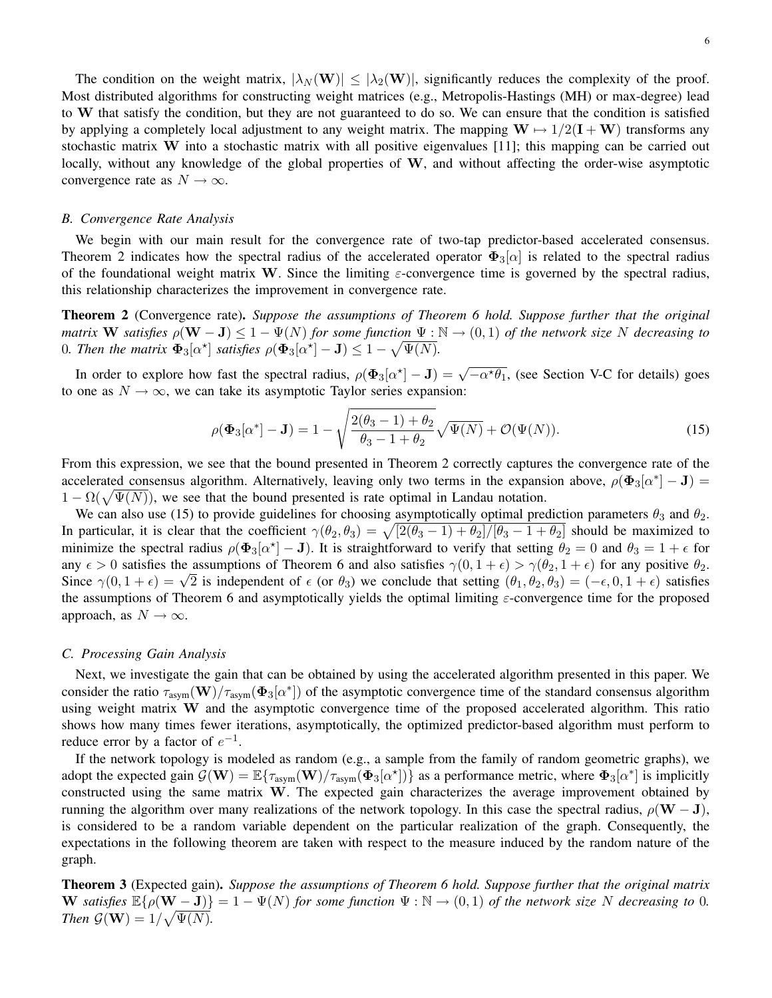The condition on the weight matrix,  $|\lambda_N(\mathbf{W})| \leq |\lambda_2(\mathbf{W})|$ , significantly reduces the complexity of the proof. Most distributed algorithms for constructing weight matrices (e.g., Metropolis-Hastings (MH) or max-degree) lead to W that satisfy the condition, but they are not guaranteed to do so. We can ensure that the condition is satisfied by applying a completely local adjustment to any weight matrix. The mapping  $W \mapsto 1/2(I + W)$  transforms any stochastic matrix W into a stochastic matrix with all positive eigenvalues  $[11]$ ; this mapping can be carried out locally, without any knowledge of the global properties of W, and without affecting the order-wise asymptotic convergence rate as  $N \to \infty$ .

#### *B. Convergence Rate Analysis*

We begin with our main result for the convergence rate of two-tap predictor-based accelerated consensus. Theorem 2 indicates how the spectral radius of the accelerated operator  $\Phi_3[\alpha]$  is related to the spectral radius of the foundational weight matrix W. Since the limiting  $\varepsilon$ -convergence time is governed by the spectral radius, this relationship characterizes the improvement in convergence rate.

Theorem 2 (Convergence rate). *Suppose the assumptions of Theorem 6 hold. Suppose further that the original matrix* W *satisfies*  $\rho(\mathbf{W} - \mathbf{J}) \leq 1 - \Psi(N)$  *for some function*  $\Psi : \mathbb{N} \to (0,1)$  *of the network size* N *decreasing to* 0. Then the matrix  $\mathbf{\Phi}_3[\alpha^{\star}]$  satisfies  $\rho(\mathbf{\Phi}_3[\alpha^{\star}] - \mathbf{J}) \leq 1 - \sqrt{\Psi(N)}$ .

In order to explore how fast the spectral radius,  $\rho(\Phi_3[\alpha^*]-J) = \sqrt{-\alpha^* \theta_1}$ , (see Section V-C for details) goes to one as  $N \to \infty$ , we can take its asymptotic Taylor series expansion:

$$
\rho(\Phi_3[\alpha^*] - \mathbf{J}) = 1 - \sqrt{\frac{2(\theta_3 - 1) + \theta_2}{\theta_3 - 1 + \theta_2}} \sqrt{\Psi(N)} + \mathcal{O}(\Psi(N)).
$$
\n(15)

From this expression, we see that the bound presented in Theorem 2 correctly captures the convergence rate of the accelerated consensus algorithm. Alternatively, leaving only two terms in the expansion above,  $\rho(\Phi_3[\alpha^*]-J)$  =  $1 - \Omega(\sqrt{\Psi(N)})$ , we see that the bound presented is rate optimal in Landau notation.

We can also use (15) to provide guidelines for choosing asymptotically optimal prediction parameters  $\theta_3$  and  $\theta_2$ . In particular, it is clear that the coefficient  $\gamma(\theta_2, \theta_3) = \sqrt{[2(\theta_3 - 1) + \theta_2]/[\theta_3 - 1 + \theta_2]}$  should be maximized to minimize the spectral radius  $\rho(\Phi_3[\alpha^*]-J)$ . It is straightforward to verify that setting  $\theta_2=0$  and  $\theta_3=1+\epsilon$  for any  $\epsilon > 0$  satisfies the assumptions of Theorem 6 and also satisfies  $\gamma(0, 1 + \epsilon) > \gamma(\theta_2, 1 + \epsilon)$  for any positive  $\theta_2$ . any  $\epsilon > 0$  sausines the assumptions of Theorem 6 and also sausines  $\gamma(0, 1 + \epsilon) > \gamma(\theta_2, 1 + \epsilon)$  for any positive  $\theta_2$ .<br>Since  $\gamma(0, 1 + \epsilon) = \sqrt{2}$  is independent of  $\epsilon$  (or  $\theta_3$ ) we conclude that setting  $(\theta_1, \theta_2, \theta_$ the assumptions of Theorem 6 and asymptotically yields the optimal limiting  $\varepsilon$ -convergence time for the proposed approach, as  $N \to \infty$ .

#### *C. Processing Gain Analysis*

Next, we investigate the gain that can be obtained by using the accelerated algorithm presented in this paper. We consider the ratio  $\tau_{\text{asym}}(\mathbf{W})/\tau_{\text{asym}}(\mathbf{\Phi}_3[\alpha^*])$  of the asymptotic convergence time of the standard consensus algorithm using weight matrix W and the asymptotic convergence time of the proposed accelerated algorithm. This ratio shows how many times fewer iterations, asymptotically, the optimized predictor-based algorithm must perform to reduce error by a factor of  $e^{-1}$ .

If the network topology is modeled as random (e.g., a sample from the family of random geometric graphs), we adopt the expected gain  $\mathcal{G}(\mathbf{W}) = \mathbb{E}\{\tau_{\text{asym}}(\mathbf{W})/\tau_{\text{asym}}(\Phi_3[\alpha^{\star}])\}$  as a performance metric, where  $\Phi_3[\alpha^{\star}]$  is implicitly constructed using the same matrix W. The expected gain characterizes the average improvement obtained by running the algorithm over many realizations of the network topology. In this case the spectral radius,  $\rho(\mathbf{W} - \mathbf{J})$ , is considered to be a random variable dependent on the particular realization of the graph. Consequently, the expectations in the following theorem are taken with respect to the measure induced by the random nature of the graph.

Theorem 3 (Expected gain). *Suppose the assumptions of Theorem 6 hold. Suppose further that the original matrix* W satisfies  $\mathbb{E}\{\rho(\mathbf{W}-\mathbf{J})\}=1-\Psi(N)$  for some function  $\Psi:\mathbb{N}\to(0,1)$  of the network size N decreasing to 0. *Then*  $\mathcal{G}(\mathbf{W}) = 1/\sqrt{\Psi(N)}$ .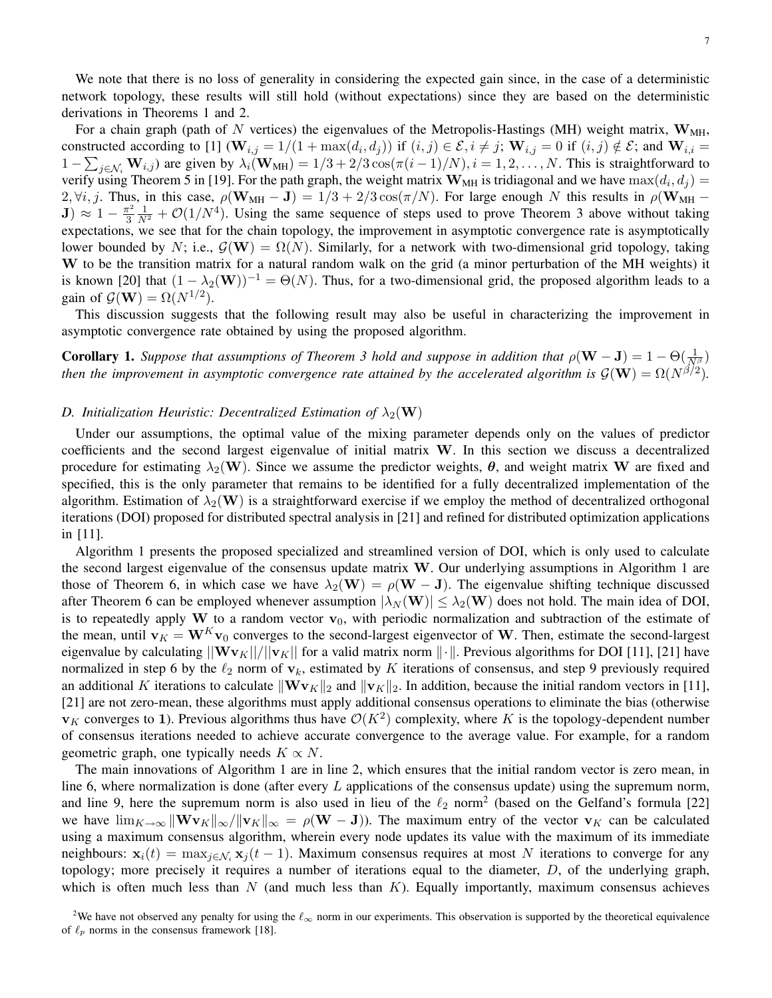We note that there is no loss of generality in considering the expected gain since, in the case of a deterministic network topology, these results will still hold (without expectations) since they are based on the deterministic derivations in Theorems 1 and 2.

For a chain graph (path of N vertices) the eigenvalues of the Metropolis-Hastings (MH) weight matrix,  $\mathbf{W}_{\text{MH}}$ , constructed according to [1] ( $\mathbf{W}_{i,j} = 1/(1 + \max(d_i, d_j))$  if  $(i, j) \in \mathcal{E}, i \neq j$ ;  $\mathbf{W}_{i,j} = 0$  if  $(i, j) \notin \mathcal{E}$ ; and  $\mathbf{W}_{i,i} =$  $1 - \sum_{j \in \mathcal{N}_i} \mathbf{W}_{i,j}$ ) are given by  $\lambda_i(\mathbf{W}_{MH}) = 1/3 + 2/3 \cos(\pi(i-1)/N), i = 1, 2, ..., N$ . This is straightforward to verify using Theorem 5 in [19]. For the path graph, the weight matrix  $W_{MH}$  is tridiagonal and we have  $max(d_i, d_j)$  = 2,  $\forall i, j$ . Thus, in this case,  $\rho(\mathbf{W}_{MH} - \mathbf{J}) = 1/3 + 2/3 \cos(\pi/N)$ . For large enough N this results in  $\rho(\mathbf{W}_{MH} - \mathbf{J})$  $\mathrm{\bf J} ) \, \approx \, 1 \, - \, \frac{\pi^2}{3}$ 3  $\frac{1}{N^2} + \mathcal{O}(1/N^4)$ . Using the same sequence of steps used to prove Theorem 3 above without taking expectations, we see that for the chain topology, the improvement in asymptotic convergence rate is asymptotically lower bounded by N; i.e.,  $\mathcal{G}(\mathbf{W}) = \Omega(N)$ . Similarly, for a network with two-dimensional grid topology, taking W to be the transition matrix for a natural random walk on the grid (a minor perturbation of the MH weights) it is known [20] that  $(1 - \lambda_2(\mathbf{W}))^{-1} = \Theta(N)$ . Thus, for a two-dimensional grid, the proposed algorithm leads to a gain of  $\mathcal{G}(\mathbf{W}) = \Omega(N^{1/2})$ .

This discussion suggests that the following result may also be useful in characterizing the improvement in asymptotic convergence rate obtained by using the proposed algorithm.

**Corollary 1.** *Suppose that assumptions of Theorem 3 hold and suppose in addition that*  $\rho(\mathbf{W}-\mathbf{J})=1-\Theta(\frac{1}{N\beta})$ *then the improvement in asymptotic convergence rate attained by the accelerated algorithm is*  $\mathcal{G}(\mathbf{W}) = \Omega(N^{\beta/2})$ .

#### *D. Initialization Heuristic: Decentralized Estimation of*  $\lambda_2(\mathbf{W})$

Under our assumptions, the optimal value of the mixing parameter depends only on the values of predictor coefficients and the second largest eigenvalue of initial matrix W. In this section we discuss a decentralized procedure for estimating  $\lambda_2(\mathbf{W})$ . Since we assume the predictor weights,  $\theta$ , and weight matrix W are fixed and specified, this is the only parameter that remains to be identified for a fully decentralized implementation of the algorithm. Estimation of  $\lambda_2(\mathbf{W})$  is a straightforward exercise if we employ the method of decentralized orthogonal iterations (DOI) proposed for distributed spectral analysis in [21] and refined for distributed optimization applications in [11].

Algorithm 1 presents the proposed specialized and streamlined version of DOI, which is only used to calculate the second largest eigenvalue of the consensus update matrix  $W$ . Our underlying assumptions in Algorithm 1 are those of Theorem 6, in which case we have  $\lambda_2(\mathbf{W}) = \rho(\mathbf{W} - \mathbf{J})$ . The eigenvalue shifting technique discussed after Theorem 6 can be employed whenever assumption  $|\lambda_N(\mathbf{W})| \leq \lambda_2(\mathbf{W})$  does not hold. The main idea of DOI, is to repeatedly apply W to a random vector  $v_0$ , with periodic normalization and subtraction of the estimate of the mean, until  $v_K = W^K v_0$  converges to the second-largest eigenvector of W. Then, estimate the second-largest eigenvalue by calculating  $||\mathbf{Wv}_K||/||\mathbf{v}_K||$  for a valid matrix norm  $||\cdot||$ . Previous algorithms for DOI [11], [21] have normalized in step 6 by the  $\ell_2$  norm of  $v_k$ , estimated by K iterations of consensus, and step 9 previously required an additional K iterations to calculate  $\|\mathbf{Wv}_K\|_2$  and  $\|\mathbf{v}_K\|_2$ . In addition, because the initial random vectors in [11], [21] are not zero-mean, these algorithms must apply additional consensus operations to eliminate the bias (otherwise  $v_K$  converges to 1). Previous algorithms thus have  $\mathcal{O}(K^2)$  complexity, where K is the topology-dependent number of consensus iterations needed to achieve accurate convergence to the average value. For example, for a random geometric graph, one typically needs  $K \propto N$ .

The main innovations of Algorithm 1 are in line 2, which ensures that the initial random vector is zero mean, in line 6, where normalization is done (after every  $L$  applications of the consensus update) using the supremum norm, and line 9, here the supremum norm is also used in lieu of the  $\ell_2$  norm<sup>2</sup> (based on the Gelfand's formula [22] we have  $\lim_{K\to\infty} ||\mathbf{W} \mathbf{v}_K||_{\infty}/||\mathbf{v}_K||_{\infty} = \rho(\mathbf{W} - \mathbf{J})$ . The maximum entry of the vector  $\mathbf{v}_K$  can be calculated using a maximum consensus algorithm, wherein every node updates its value with the maximum of its immediate neighbours:  $x_i(t) = \max_{i \in \mathcal{N}_i} x_i(t-1)$ . Maximum consensus requires at most N iterations to converge for any topology; more precisely it requires a number of iterations equal to the diameter, D, of the underlying graph, which is often much less than  $N$  (and much less than  $K$ ). Equally importantly, maximum consensus achieves

<sup>&</sup>lt;sup>2</sup>We have not observed any penalty for using the  $\ell_{\infty}$  norm in our experiments. This observation is supported by the theoretical equivalence of  $\ell_p$  norms in the consensus framework [18].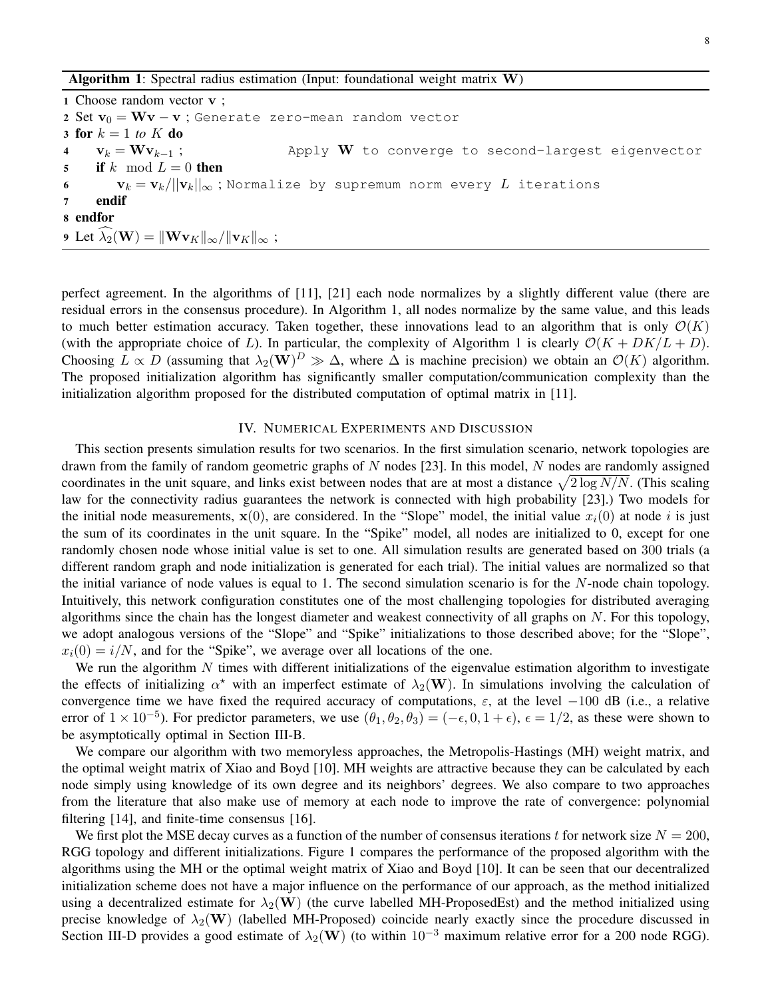**Algorithm 1:** Spectral radius estimation (Input: foundational weight matrix  $W$ )

1 Choose random vector v ; 2 Set  $v_0 = Wv - v$ ; Generate zero-mean random vector 3 for  $k = 1$  to  $K$  do 4  $\mathbf{v}_k = \mathbf{W} \mathbf{v}_{k-1}$ ; Apply W to converge to second-largest eigenvector 5 if k mod  $L = 0$  then 6  $v_k = v_k/||v_k||_{\infty}$ ; Normalize by supremum norm every L iterations 7 endif 8 endfor 9 Let  $\widehat{\lambda}_2(\mathbf{W}) = ||\mathbf{W} \mathbf{v}_K||_{\infty} / ||\mathbf{v}_K||_{\infty}$ ;

perfect agreement. In the algorithms of [11], [21] each node normalizes by a slightly different value (there are residual errors in the consensus procedure). In Algorithm 1, all nodes normalize by the same value, and this leads to much better estimation accuracy. Taken together, these innovations lead to an algorithm that is only  $\mathcal{O}(K)$ (with the appropriate choice of L). In particular, the complexity of Algorithm 1 is clearly  $\mathcal{O}(K + DK/L + D)$ . Choosing  $L \propto D$  (assuming that  $\lambda_2(\mathbf{W})^D \gg \Delta$ , where  $\Delta$  is machine precision) we obtain an  $\mathcal{O}(K)$  algorithm. The proposed initialization algorithm has significantly smaller computation/communication complexity than the initialization algorithm proposed for the distributed computation of optimal matrix in [11].

#### IV. NUMERICAL EXPERIMENTS AND DISCUSSION

This section presents simulation results for two scenarios. In the first simulation scenario, network topologies are drawn from the family of random geometric graphs of  $N$  nodes [23]. In this model,  $N$  nodes are randomly assigned coordinates in the unit square, and links exist between nodes that are at most a distance  $\sqrt{2 \log N/N}$ . (This scaling law for the connectivity radius guarantees the network is connected with high probability [23].) Two models for the initial node measurements,  $\mathbf{x}(0)$ , are considered. In the "Slope" model, the initial value  $x_i(0)$  at node i is just the sum of its coordinates in the unit square. In the "Spike" model, all nodes are initialized to 0, except for one randomly chosen node whose initial value is set to one. All simulation results are generated based on 300 trials (a different random graph and node initialization is generated for each trial). The initial values are normalized so that the initial variance of node values is equal to 1. The second simulation scenario is for the  $N$ -node chain topology. Intuitively, this network configuration constitutes one of the most challenging topologies for distributed averaging algorithms since the chain has the longest diameter and weakest connectivity of all graphs on  $N$ . For this topology, we adopt analogous versions of the "Slope" and "Spike" initializations to those described above; for the "Slope",  $x_i(0) = i/N$ , and for the "Spike", we average over all locations of the one.

We run the algorithm  $N$  times with different initializations of the eigenvalue estimation algorithm to investigate the effects of initializing  $\alpha^*$  with an imperfect estimate of  $\lambda_2(\mathbf{W})$ . In simulations involving the calculation of convergence time we have fixed the required accuracy of computations,  $\varepsilon$ , at the level -100 dB (i.e., a relative error of  $1 \times 10^{-5}$ ). For predictor parameters, we use  $(\theta_1, \theta_2, \theta_3) = (-\epsilon, 0, 1 + \epsilon)$ ,  $\epsilon = 1/2$ , as these were shown to be asymptotically optimal in Section III-B.

We compare our algorithm with two memoryless approaches, the Metropolis-Hastings (MH) weight matrix, and the optimal weight matrix of Xiao and Boyd [10]. MH weights are attractive because they can be calculated by each node simply using knowledge of its own degree and its neighbors' degrees. We also compare to two approaches from the literature that also make use of memory at each node to improve the rate of convergence: polynomial filtering [14], and finite-time consensus [16].

We first plot the MSE decay curves as a function of the number of consensus iterations t for network size  $N = 200$ , RGG topology and different initializations. Figure 1 compares the performance of the proposed algorithm with the algorithms using the MH or the optimal weight matrix of Xiao and Boyd [10]. It can be seen that our decentralized initialization scheme does not have a major influence on the performance of our approach, as the method initialized using a decentralized estimate for  $\lambda_2(\mathbf{W})$  (the curve labelled MH-ProposedEst) and the method initialized using precise knowledge of  $\lambda_2(\mathbf{W})$  (labelled MH-Proposed) coincide nearly exactly since the procedure discussed in Section III-D provides a good estimate of  $\lambda_2(\mathbf{W})$  (to within 10<sup>-3</sup> maximum relative error for a 200 node RGG).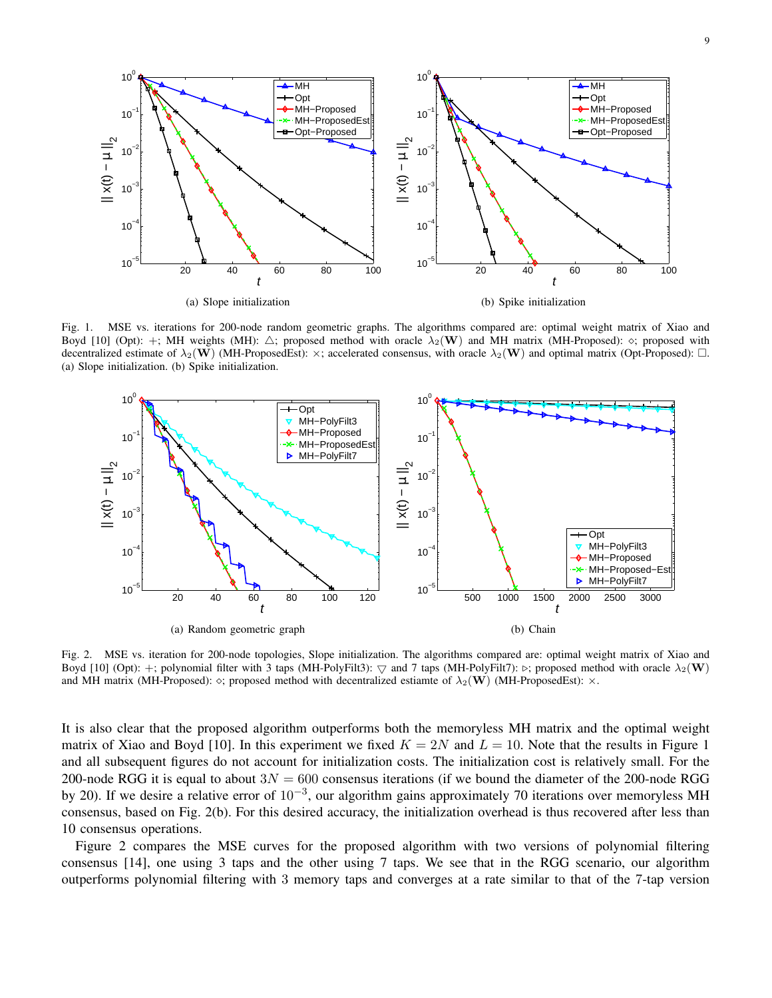

(a) Slope initialization

 $\equiv$  $\frac{1}{2}$ 

t

(b) Spike initialization

t

Fig. 1. MSE vs. iterations for 200-node random geometric graphs. The algorithms compared are: optimal weight matrix of Xiao and Boyd [10] (Opt): +; MH weights (MH):  $\triangle$ ; proposed method with oracle  $\lambda_2(\mathbf{W})$  and MH matrix (MH-Proposed):  $\diamond$ ; proposed with decentralized estimate of  $\lambda_2(\mathbf{W})$  (MH-ProposedEst):  $\times$ ; accelerated consensus, with oracle  $\lambda_2(\mathbf{W})$  and optimal matrix (Opt-Proposed):  $\Box$ . (a) Slope initialization. (b) Spike initialization.



Fig. 2. MSE vs. iteration for 200-node topologies, Slope initialization. The algorithms compared are: optimal weight matrix of Xiao and Boyd [10] (Opt): +; polynomial filter with 3 taps (MH-PolyFilt3):  $\bigtriangledown$  and 7 taps (MH-PolyFilt7):  $\triangleright$ ; proposed method with oracle  $\lambda_2(\mathbf{W})$ and MH matrix (MH-Proposed):  $\diamond$ ; proposed method with decentralized estiamte of  $\lambda_2(\mathbf{W})$  (MH-ProposedEst):  $\times$ .

It is also clear that the proposed algorithm outperforms both the memoryless MH matrix and the optimal weight matrix of Xiao and Boyd [10]. In this experiment we fixed  $K = 2N$  and  $L = 10$ . Note that the results in Figure 1 and all subsequent figures do not account for initialization costs. The initialization cost is relatively small. For the 200-node RGG it is equal to about  $3N = 600$  consensus iterations (if we bound the diameter of the 200-node RGG by 20). If we desire a relative error of  $10^{-3}$ , our algorithm gains approximately 70 iterations over memoryless MH consensus, based on Fig. 2(b). For this desired accuracy, the initialization overhead is thus recovered after less than 10 consensus operations.

Figure 2 compares the MSE curves for the proposed algorithm with two versions of polynomial filtering consensus [14], one using 3 taps and the other using 7 taps. We see that in the RGG scenario, our algorithm outperforms polynomial filtering with 3 memory taps and converges at a rate similar to that of the 7-tap version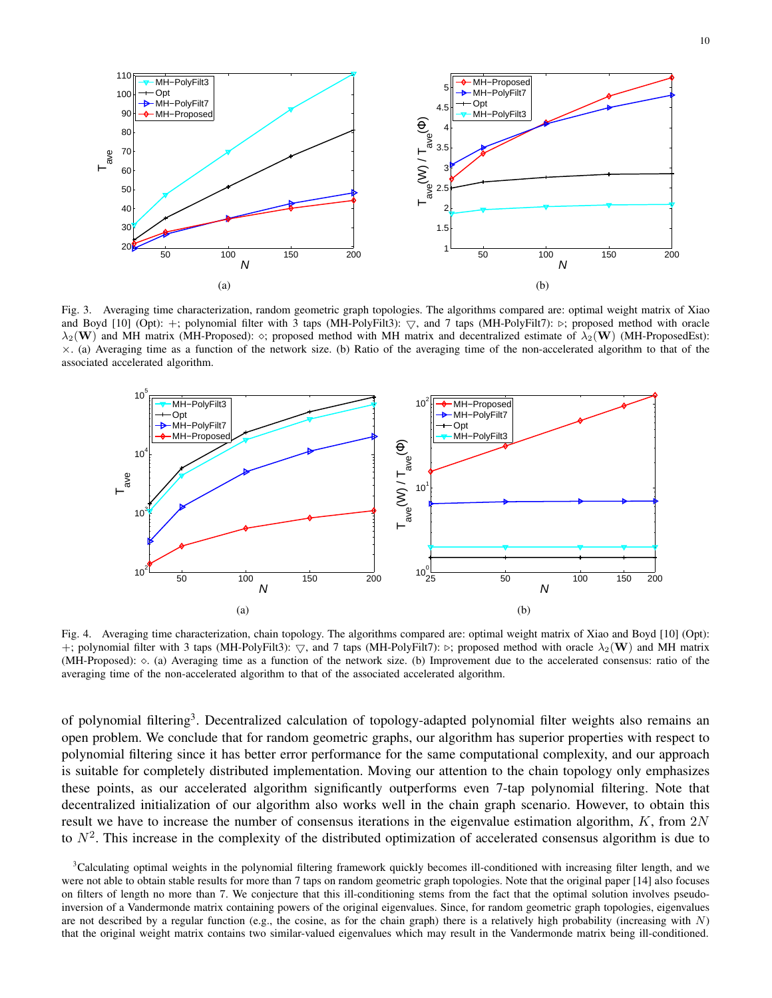

Fig. 3. Averaging time characterization, random geometric graph topologies. The algorithms compared are: optimal weight matrix of Xiao and Boyd [10] (Opt): +; polynomial filter with 3 taps (MH-PolyFilt3):  $\bigtriangledown$ , and 7 taps (MH-PolyFilt7):  $\triangleright$ ; proposed method with oracle  $\lambda_2(\mathbf{W})$  and MH matrix (MH-Proposed):  $\diamond$ ; proposed method with MH matrix and decentralized estimate of  $\lambda_2(\mathbf{W})$  (MH-ProposedEst):  $\times$ . (a) Averaging time as a function of the network size. (b) Ratio of the averaging time of the non-accelerated algorithm to that of the associated accelerated algorithm.



Fig. 4. Averaging time characterization, chain topology. The algorithms compared are: optimal weight matrix of Xiao and Boyd [10] (Opt): +; polynomial filter with 3 taps (MH-PolyFilt3):  $\bigtriangledown$ , and 7 taps (MH-PolyFilt7):  $\triangleright$ ; proposed method with oracle  $\lambda_2(\mathbf{W})$  and MH matrix (MH-Proposed):  $\diamond$ . (a) Averaging time as a function of the network size. (b) Improvement due to the accelerated consensus: ratio of the averaging time of the non-accelerated algorithm to that of the associated accelerated algorithm.

of polynomial filtering<sup>3</sup>. Decentralized calculation of topology-adapted polynomial filter weights also remains an open problem. We conclude that for random geometric graphs, our algorithm has superior properties with respect to polynomial filtering since it has better error performance for the same computational complexity, and our approach is suitable for completely distributed implementation. Moving our attention to the chain topology only emphasizes these points, as our accelerated algorithm significantly outperforms even 7-tap polynomial filtering. Note that decentralized initialization of our algorithm also works well in the chain graph scenario. However, to obtain this result we have to increase the number of consensus iterations in the eigenvalue estimation algorithm,  $K$ , from  $2N$ to  $N^2$ . This increase in the complexity of the distributed optimization of accelerated consensus algorithm is due to

<sup>3</sup>Calculating optimal weights in the polynomial filtering framework quickly becomes ill-conditioned with increasing filter length, and we were not able to obtain stable results for more than 7 taps on random geometric graph topologies. Note that the original paper [14] also focuses on filters of length no more than 7. We conjecture that this ill-conditioning stems from the fact that the optimal solution involves pseudoinversion of a Vandermonde matrix containing powers of the original eigenvalues. Since, for random geometric graph topologies, eigenvalues are not described by a regular function (e.g., the cosine, as for the chain graph) there is a relatively high probability (increasing with  $N$ ) that the original weight matrix contains two similar-valued eigenvalues which may result in the Vandermonde matrix being ill-conditioned.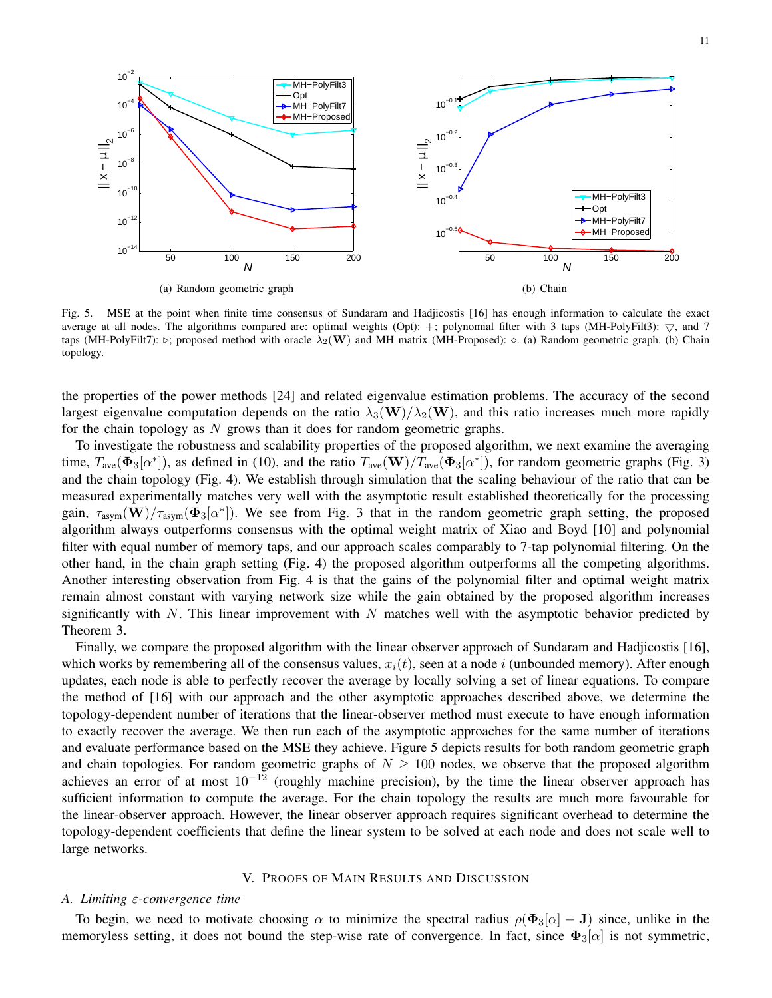

Fig. 5. MSE at the point when finite time consensus of Sundaram and Hadjicostis [16] has enough information to calculate the exact average at all nodes. The algorithms compared are: optimal weights (Opt): +; polynomial filter with 3 taps (MH-PolyFilt3):  $\bigtriangledown$ , and 7 taps (MH-PolyFilt7):  $\triangleright$ ; proposed method with oracle  $\lambda_2(\mathbf{W})$  and MH matrix (MH-Proposed):  $\diamond$ . (a) Random geometric graph. (b) Chain topology.

the properties of the power methods [24] and related eigenvalue estimation problems. The accuracy of the second largest eigenvalue computation depends on the ratio  $\lambda_3(\mathbf{W})/\lambda_2(\mathbf{W})$ , and this ratio increases much more rapidly for the chain topology as  $N$  grows than it does for random geometric graphs.

To investigate the robustness and scalability properties of the proposed algorithm, we next examine the averaging time,  $T_{\text{ave}}(\Phi_3[\alpha^*])$ , as defined in (10), and the ratio  $T_{\text{ave}}(\mathbf{W})/T_{\text{ave}}(\Phi_3[\alpha^*])$ , for random geometric graphs (Fig. 3) and the chain topology (Fig. 4). We establish through simulation that the scaling behaviour of the ratio that can be measured experimentally matches very well with the asymptotic result established theoretically for the processing gain,  $\tau_{\text{asym}}(\mathbf{W})/\tau_{\text{asym}}(\mathbf{\Phi}_3[\alpha^*])$ . We see from Fig. 3 that in the random geometric graph setting, the proposed algorithm always outperforms consensus with the optimal weight matrix of Xiao and Boyd [10] and polynomial filter with equal number of memory taps, and our approach scales comparably to 7-tap polynomial filtering. On the other hand, in the chain graph setting (Fig. 4) the proposed algorithm outperforms all the competing algorithms. Another interesting observation from Fig. 4 is that the gains of the polynomial filter and optimal weight matrix remain almost constant with varying network size while the gain obtained by the proposed algorithm increases significantly with N. This linear improvement with N matches well with the asymptotic behavior predicted by Theorem 3.

Finally, we compare the proposed algorithm with the linear observer approach of Sundaram and Hadjicostis [16], which works by remembering all of the consensus values,  $x_i(t)$ , seen at a node i (unbounded memory). After enough updates, each node is able to perfectly recover the average by locally solving a set of linear equations. To compare the method of [16] with our approach and the other asymptotic approaches described above, we determine the topology-dependent number of iterations that the linear-observer method must execute to have enough information to exactly recover the average. We then run each of the asymptotic approaches for the same number of iterations and evaluate performance based on the MSE they achieve. Figure 5 depicts results for both random geometric graph and chain topologies. For random geometric graphs of  $N \ge 100$  nodes, we observe that the proposed algorithm achieves an error of at most  $10^{-12}$  (roughly machine precision), by the time the linear observer approach has sufficient information to compute the average. For the chain topology the results are much more favourable for the linear-observer approach. However, the linear observer approach requires significant overhead to determine the topology-dependent coefficients that define the linear system to be solved at each node and does not scale well to large networks.

#### V. PROOFS OF MAIN RESULTS AND DISCUSSION

## *A. Limiting* ε*-convergence time*

To begin, we need to motivate choosing  $\alpha$  to minimize the spectral radius  $\rho(\Phi_3[\alpha] - J)$  since, unlike in the memoryless setting, it does not bound the step-wise rate of convergence. In fact, since  $\Phi_3[\alpha]$  is not symmetric,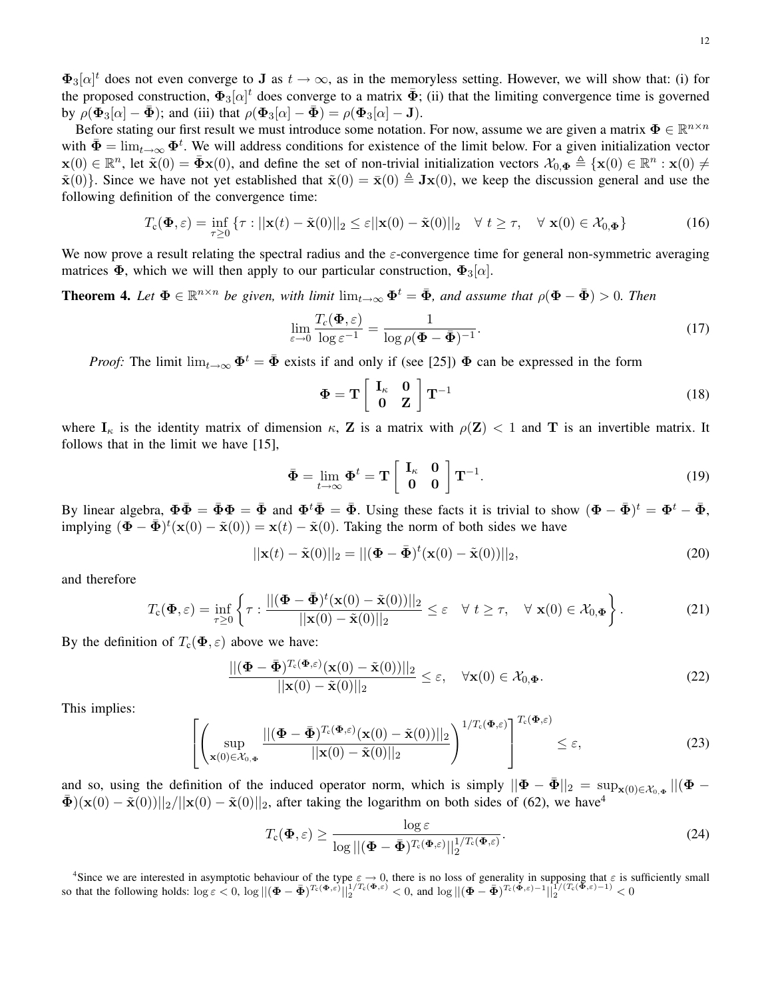Before stating our first result we must introduce some notation. For now, assume we are given a matrix  $\Phi \in \mathbb{R}^{n \times n}$ with  $\bar{\Phi} = \lim_{t \to \infty} \Phi^t$ . We will address conditions for existence of the limit below. For a given initialization vector  $\mathbf{x}(0) \in \mathbb{R}^n$ , let  $\tilde{\mathbf{x}}(0) = \bar{\mathbf{\Phi}} \mathbf{x}(0)$ , and define the set of non-trivial initialization vectors  $\mathcal{X}_{0,\mathbf{\Phi}} \triangleq {\mathbf{x}(0) \in \mathbb{R}^n : \mathbf{x}(0) \neq \emptyset}$  $\tilde{\mathbf{x}}(0)$ . Since we have not yet established that  $\tilde{\mathbf{x}}(0) = \bar{\mathbf{x}}(0) \triangleq \mathbf{J}\mathbf{x}(0)$ , we keep the discussion general and use the following definition of the convergence time:

$$
T_{\mathbf{c}}(\mathbf{\Phi}, \varepsilon) = \inf_{\tau \ge 0} \left\{ \tau : ||\mathbf{x}(t) - \tilde{\mathbf{x}}(0)||_2 \le \varepsilon ||\mathbf{x}(0) - \tilde{\mathbf{x}}(0)||_2 \quad \forall \ t \ge \tau, \quad \forall \ \mathbf{x}(0) \in \mathcal{X}_{0, \mathbf{\Phi}} \right\}
$$
(16)

We now prove a result relating the spectral radius and the  $\varepsilon$ -convergence time for general non-symmetric averaging matrices  $\Phi$ , which we will then apply to our particular construction,  $\Phi_3[\alpha]$ .

**Theorem 4.** Let  $\Phi \in \mathbb{R}^{n \times n}$  be given, with limit  $\lim_{t\to\infty} \Phi^t = \bar{\Phi}$ , and assume that  $\rho(\Phi - \bar{\Phi}) > 0$ . Then

$$
\lim_{\varepsilon \to 0} \frac{T_c(\mathbf{\Phi}, \varepsilon)}{\log \varepsilon^{-1}} = \frac{1}{\log \rho (\mathbf{\Phi} - \bar{\mathbf{\Phi}})^{-1}}.
$$
\n(17)

*Proof:* The limit  $\lim_{t\to\infty} \Phi^t = \bar{\Phi}$  exists if and only if (see [25])  $\Phi$  can be expressed in the form

$$
\Phi = \mathbf{T} \begin{bmatrix} \mathbf{I}_{\kappa} & \mathbf{0} \\ \mathbf{0} & \mathbf{Z} \end{bmatrix} \mathbf{T}^{-1}
$$
 (18)

where  $I_k$  is the identity matrix of dimension  $\kappa$ , Z is a matrix with  $\rho(Z) < 1$  and T is an invertible matrix. It follows that in the limit we have [15],

$$
\bar{\Phi} = \lim_{t \to \infty} \Phi^t = \mathbf{T} \begin{bmatrix} \mathbf{I}_{\kappa} & \mathbf{0} \\ \mathbf{0} & \mathbf{0} \end{bmatrix} \mathbf{T}^{-1}.
$$
 (19)

By linear algebra,  $\Phi \bar{\Phi} = \bar{\Phi} \Phi = \bar{\Phi}$  and  $\Phi^t \bar{\Phi} = \bar{\Phi}$ . Using these facts it is trivial to show  $(\Phi - \bar{\Phi})^t = \Phi^t - \bar{\Phi}$ , implying  $(\mathbf{\Phi} - \bar{\mathbf{\Phi}})^t (\mathbf{x}(0) - \tilde{\mathbf{x}}(0)) = \mathbf{x}(t) - \tilde{\mathbf{x}}(0)$ . Taking the norm of both sides we have

$$
||\mathbf{x}(t) - \tilde{\mathbf{x}}(0)||_2 = ||(\mathbf{\Phi} - \bar{\mathbf{\Phi}})^t(\mathbf{x}(0) - \tilde{\mathbf{x}}(0))||_2,
$$
\n(20)

and therefore

$$
T_{\mathbf{c}}(\mathbf{\Phi},\varepsilon) = \inf_{\tau \geq 0} \left\{ \tau : \frac{||(\mathbf{\Phi} - \bar{\mathbf{\Phi}})^t(\mathbf{x}(0) - \tilde{\mathbf{x}}(0))||_2}{||\mathbf{x}(0) - \tilde{\mathbf{x}}(0)||_2} \leq \varepsilon \quad \forall \ t \geq \tau, \quad \forall \ \mathbf{x}(0) \in \mathcal{X}_{0,\mathbf{\Phi}} \right\}.
$$
 (21)

By the definition of  $T_c(\Phi, \varepsilon)$  above we have:

 $\sqrt{ }$  $\overline{1}$ 

$$
\frac{\left| \left| \left( \boldsymbol{\Phi} - \bar{\boldsymbol{\Phi}} \right)^{T_c(\boldsymbol{\Phi}, \varepsilon)} (\mathbf{x}(0) - \tilde{\mathbf{x}}(0)) \right| \right|_2}{\left| \left| \mathbf{x}(0) - \tilde{\mathbf{x}}(0) \right| \right|_2} \leq \varepsilon, \quad \forall \mathbf{x}(0) \in \mathcal{X}_{0, \boldsymbol{\Phi}}.
$$
\n(22)

This implies:

$$
\left(\sup_{\mathbf{x}(0)\in\mathcal{X}_{0,\Phi}}\frac{\|(\mathbf{\Phi}-\bar{\mathbf{\Phi}})^{T_{c}(\mathbf{\Phi},\varepsilon)}(\mathbf{x}(0)-\tilde{\mathbf{x}}(0))\|_{2}}{\|\mathbf{x}(0)-\tilde{\mathbf{x}}(0)\|_{2}}\right)^{1/T_{c}(\mathbf{\Phi},\varepsilon)}\right]^{T_{c}(\mathbf{\Phi},\varepsilon)} \leq \varepsilon,
$$
\n(23)

and so, using the definition of the induced operator norm, which is simply  $||\Phi - \bar{\Phi}||_2 = \sup_{\mathbf{x}(0) \in \mathcal{X}_{0,\Phi}} ||(\Phi - \bar{\Phi}||_2)$  $\bar{\mathbf{\Phi}}$ )(x(0) –  $\tilde{\mathbf{x}}(0)$ )||<sub>2</sub>/||x(0) –  $\tilde{\mathbf{x}}(0)$ ||<sub>2</sub>, after taking the logarithm on both sides of (62), we have<sup>4</sup>

$$
T_{\mathrm{c}}(\mathbf{\Phi},\varepsilon) \ge \frac{\log \varepsilon}{\log ||(\mathbf{\Phi} - \bar{\mathbf{\Phi}})^{T_{\mathrm{c}}(\mathbf{\Phi},\varepsilon)}||_2^{1/T_{\mathrm{c}}(\mathbf{\Phi},\varepsilon)}}.
$$
(24)

<sup>4</sup>Since we are interested in asymptotic behaviour of the type  $\varepsilon \to 0$ , there is no loss of generality in supposing that  $\varepsilon$  is sufficiently small so that the following holds:  $\log \varepsilon < 0$ ,  $\log ||(\mathbf{\Phi} - \bar{\mathbf{\Phi}})^{T_c(\mathbf{\Phi}, \varepsilon)}||_2^{1/T_c(\mathbf{\Phi}, \varepsilon)} < 0$ , and  $\log ||(\mathbf{\Phi} - \bar{\mathbf{\Phi}})^{T_c(\mathbf{\Phi}, \varepsilon)-1}||_2^{1/(T_c(\bar{\mathbf{\Phi}}, \varepsilon)-1)} < 0$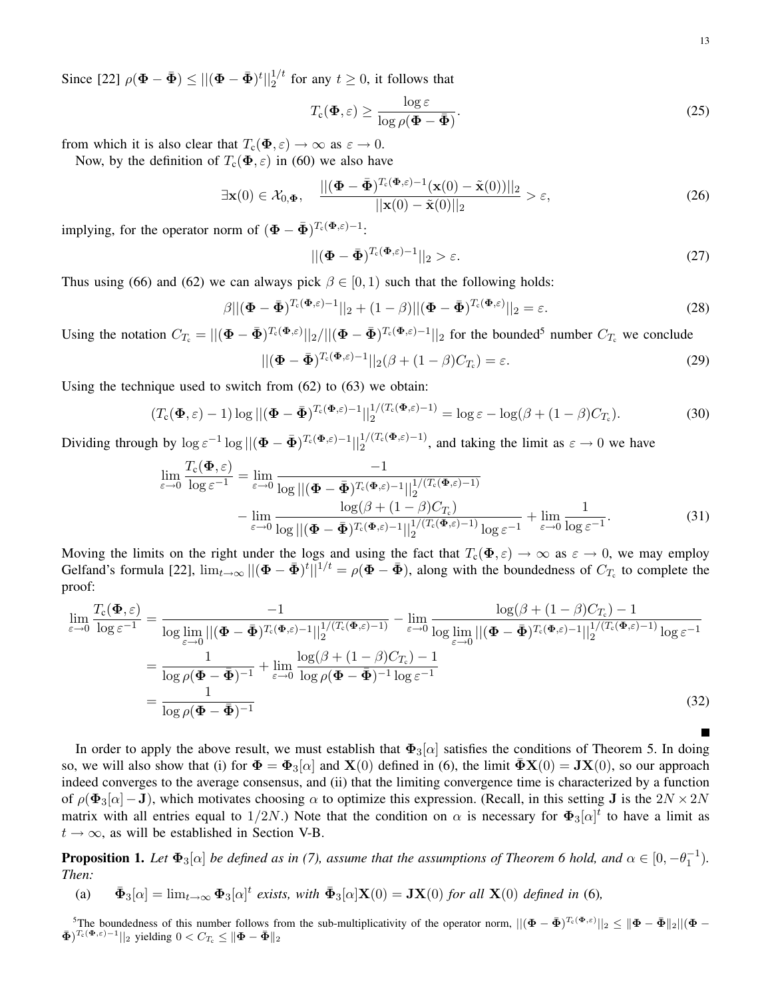Since [22]  $\rho(\mathbf{\Phi} - \bar{\mathbf{\Phi}}) \le ||(\mathbf{\Phi} - \bar{\mathbf{\Phi}})^t||_2^{1/t}$  for any  $t \ge 0$ , it follows that

$$
T_{\rm c}(\mathbf{\Phi},\varepsilon) \ge \frac{\log \varepsilon}{\log \rho(\mathbf{\Phi} - \bar{\mathbf{\Phi}})}.\tag{25}
$$

from which it is also clear that  $T_c(\Phi, \varepsilon) \to \infty$  as  $\varepsilon \to 0$ .

Now, by the definition of  $T_c(\Phi, \varepsilon)$  in (60) we also have

$$
\exists \mathbf{x}(0) \in \mathcal{X}_{0,\Phi}, \quad \frac{\left| \left| (\mathbf{\Phi} - \bar{\mathbf{\Phi}})^{T_c(\mathbf{\Phi},\varepsilon)-1} (\mathbf{x}(0) - \tilde{\mathbf{x}}(0)) \right| \right|_2}{\left| \left| \mathbf{x}(0) - \tilde{\mathbf{x}}(0) \right| \right|_2} > \varepsilon, \tag{26}
$$

implying, for the operator norm of  $(\mathbf{\Phi} - \bar{\mathbf{\Phi}})^{T_c(\mathbf{\Phi}, \varepsilon) - 1}$ :

$$
\left\| \left( \mathbf{\Phi} - \bar{\mathbf{\Phi}} \right)^{T_c(\Phi,\varepsilon)-1} \right\|_2 > \varepsilon. \tag{27}
$$

Thus using (66) and (62) we can always pick  $\beta \in [0, 1)$  such that the following holds:

$$
\beta||(\mathbf{\Phi} - \bar{\mathbf{\Phi}})^{T_{\mathrm{c}}(\mathbf{\Phi},\varepsilon)-1}||_2 + (1-\beta)||(\mathbf{\Phi} - \bar{\mathbf{\Phi}})^{T_{\mathrm{c}}(\mathbf{\Phi},\varepsilon)}||_2 = \varepsilon.
$$
\n(28)

Using the notation  $C_{T_c} = ||(\mathbf{\Phi} - \bar{\mathbf{\Phi}})^{T_c(\mathbf{\Phi}, \varepsilon)}||_2/||(\mathbf{\Phi} - \bar{\mathbf{\Phi}})^{T_c(\mathbf{\Phi}, \varepsilon)-1}||_2$  for the bounded<sup>5</sup> number  $C_{T_c}$  we conclude

$$
\left\| \left(\mathbf{\Phi} - \bar{\mathbf{\Phi}}\right)^{T_c(\mathbf{\Phi}, \varepsilon) - 1} \right\|_2 (\beta + (1 - \beta) C_{T_c}) = \varepsilon. \tag{29}
$$

Using the technique used to switch from (62) to (63) we obtain:

$$
(T_{\mathbf{c}}(\mathbf{\Phi},\varepsilon)-1)\log||(\mathbf{\Phi}-\bar{\mathbf{\Phi}})^{T_{\mathbf{c}}(\mathbf{\Phi},\varepsilon)-1}||_2^{1/(T_{\mathbf{c}}(\mathbf{\Phi},\varepsilon)-1)}=\log\varepsilon-\log(\beta+(1-\beta)C_{T_{\mathbf{c}}}).
$$
\n(30)

Dividing through by  $\log \epsilon^{-1} \log ||(\mathbf{\Phi} - \bar{\mathbf{\Phi}})^{T_c(\mathbf{\Phi}, \epsilon) - 1}||_2^{1/(T_c(\mathbf{\Phi}, \epsilon) - 1)}$ , and taking the limit as  $\epsilon \to 0$  we have

$$
\lim_{\varepsilon \to 0} \frac{T_c(\Phi, \varepsilon)}{\log \varepsilon^{-1}} = \lim_{\varepsilon \to 0} \frac{-1}{\log \left\| (\Phi - \bar{\Phi})^{T_c(\Phi, \varepsilon) - 1} \right\|_2^{1/(T_c(\Phi, \varepsilon) - 1)}} - \lim_{\varepsilon \to 0} \frac{\log (\beta + (1 - \beta) C_{T_c})}{\log \left\| (\Phi - \bar{\Phi})^{T_c(\Phi, \varepsilon) - 1} \right\|_2^{1/(T_c(\Phi, \varepsilon) - 1)} \log \varepsilon^{-1}} + \lim_{\varepsilon \to 0} \frac{1}{\log \varepsilon^{-1}}.
$$
\n(31)

Moving the limits on the right under the logs and using the fact that  $T_c(\Phi, \varepsilon) \to \infty$  as  $\varepsilon \to 0$ , we may employ Gelfand's formula [22],  $\lim_{t\to\infty} ||(\mathbf{\Phi}-\bar{\mathbf{\Phi}})^t||^{1/t} = \rho(\mathbf{\Phi}-\bar{\mathbf{\Phi}})$ , along with the boundedness of  $C_{T_c}$  to complete the proof:

$$
\lim_{\varepsilon \to 0} \frac{T_c(\Phi, \varepsilon)}{\log \varepsilon^{-1}} = \frac{-1}{\log \lim_{\varepsilon \to 0} ||(\Phi - \bar{\Phi})^{T_c(\Phi, \varepsilon) - 1}||_2^{1/(T_c(\Phi, \varepsilon) - 1)} - \lim_{\varepsilon \to 0} \frac{\log(\beta + (1 - \beta)C_{T_c}) - 1}{\log \lim_{\varepsilon \to 0} ||(\Phi - \bar{\Phi})^{T_c(\Phi, \varepsilon) - 1}||_2^{1/(T_c(\Phi, \varepsilon) - 1)} \log \varepsilon^{-1}}\n= \frac{1}{\log \rho(\Phi - \bar{\Phi})^{-1}} + \lim_{\varepsilon \to 0} \frac{\log(\beta + (1 - \beta)C_{T_c}) - 1}{\log \rho(\Phi - \bar{\Phi})^{-1} \log \varepsilon^{-1}}\n= \frac{1}{\log \rho(\Phi - \bar{\Phi})^{-1}}
$$
\n(32)

In order to apply the above result, we must establish that  $\Phi_3[\alpha]$  satisfies the conditions of Theorem 5. In doing so, we will also show that (i) for  $\Phi = \Phi_3[\alpha]$  and  $X(0)$  defined in (6), the limit  $\Phi X(0) = JX(0)$ , so our approach indeed converges to the average consensus, and (ii) that the limiting convergence time is characterized by a function of  $\rho(\Phi_3[\alpha]-J)$ , which motivates choosing  $\alpha$  to optimize this expression. (Recall, in this setting J is the  $2N \times 2N$ matrix with all entries equal to  $1/2N$ .) Note that the condition on  $\alpha$  is necessary for  $\Phi_3[\alpha]^t$  to have a limit as  $t \rightarrow \infty$ , as will be established in Section V-B.

**Proposition 1.** Let  $\Phi_3[\alpha]$  be defined as in (7), assume that the assumptions of Theorem 6 hold, and  $\alpha \in [0, -\theta_1^{-1})$ . *Then:*

(a)  $\bar{\Phi}_3[\alpha] = \lim_{t \to \infty} \Phi_3[\alpha]^t$  exists, with  $\bar{\Phi}_3[\alpha] \mathbf{X}(0) = \mathbf{J} \mathbf{X}(0)$  for all  $\mathbf{X}(0)$  defined in (6),

<sup>5</sup>The boundedness of this number follows from the sub-multiplicativity of the operator norm,  $\| (\Phi - \bar{\Phi})^{T_c(\Phi, \varepsilon)} \|_2 \leq \| \Phi - \bar{\Phi} \|_2 \| (\Phi - \bar{\Phi})^{T_c(\Phi, \varepsilon)} \|_2$  $\bar{\mathbf{\Phi}}$ )<sup>T<sub>c</sub>( $\mathbf{\Phi}, \varepsilon$ )-1||<sub>2</sub> yielding  $0 < C_{T_c} \le ||\mathbf{\Phi} - \bar{\mathbf{\Phi}}||_2$ </sup>

 $\blacksquare$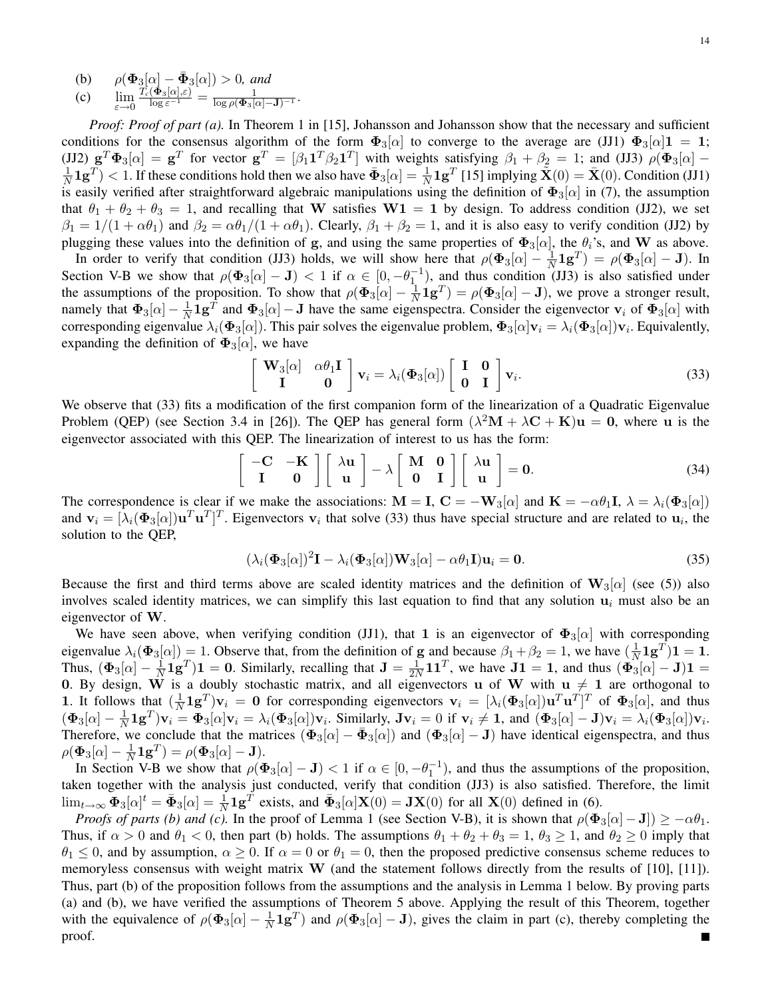*Proof: Proof of part (a).* In Theorem 1 in [15], Johansson and Johansson show that the necessary and sufficient conditions for the consensus algorithm of the form  $\Phi_3[\alpha]$  to converge to the average are (JJ1)  $\Phi_3[\alpha]1 = 1$ ; (JJ2)  $\mathbf{g}^T \mathbf{\Phi}_3[\alpha] = \mathbf{g}^T$  for vector  $\mathbf{g}^T = [\beta_1 \mathbf{1}^T \beta_2 \mathbf{1}^T]$  with weights satisfying  $\beta_1 + \beta_2 = 1$ ; and (JJ3)  $\rho(\mathbf{\Phi}_3[\alpha] -$ 1  $\frac{1}{N}$ **1g**<sup>T</sup> $)$  < 1. If these conditions hold then we also have  $\bar{\Phi}_3[\alpha] = \frac{1}{N}$ **1g**<sup>T</sup> [15] implying  $\tilde{\mathbf{X}}(0) = \bar{\mathbf{X}}(0)$ . Condition (JJ1) is easily verified after straightforward algebraic manipulations using the definition of  $\Phi_3[\alpha]$  in (7), the assumption that  $\theta_1 + \theta_2 + \theta_3 = 1$ , and recalling that W satisfies  $W1 = 1$  by design. To address condition (JJ2), we set  $\beta_1 = 1/(1 + \alpha \theta_1)$  and  $\beta_2 = \alpha \theta_1/(1 + \alpha \theta_1)$ . Clearly,  $\beta_1 + \beta_2 = 1$ , and it is also easy to verify condition (JJ2) by plugging these values into the definition of g, and using the same properties of  $\Phi_3[\alpha]$ , the  $\theta_i$ 's, and W as above.

In order to verify that condition (JJ3) holds, we will show here that  $\rho(\Phi_3[\alpha] - \frac{1}{N})$  $\frac{1}{N}$ **1**g<sup>T</sup> $) = \rho$ ( $\Phi$ <sub>3</sub>[ $\alpha$ ] – **J** $)$ . In Section V-B we show that  $\rho(\Phi_3[\alpha] - J) < 1$  if  $\alpha \in [0, -\theta_1^{-1})$ , and thus condition (JJ3) is also satisfied under the assumptions of the proposition. To show that  $\rho(\Phi_3[\alpha] - \frac{1}{N})$  $\frac{1}{N}$ **1g**<sup>T</sup> $) = \rho$ ( $\Phi_3[\alpha] - J$ ), we prove a stronger result, namely that  $\Phi_3[\alpha] - \frac{1}{N}$  $\frac{1}{N}$ **1g**<sup>T</sup> and  $\Phi_3[\alpha]$  – **J** have the same eigenspectra. Consider the eigenvector  $v_i$  of  $\Phi_3[\alpha]$  with corresponding eigenvalue  $\lambda_i(\Phi_3[\alpha])$ . This pair solves the eigenvalue problem,  $\Phi_3[\alpha]$ v $_i = \lambda_i(\Phi_3[\alpha])$ v<sub>i</sub>. Equivalently, expanding the definition of  $\Phi_3[\alpha]$ , we have

$$
\begin{bmatrix} \mathbf{W}_3[\alpha] & \alpha \theta_1 \mathbf{I} \\ \mathbf{I} & \mathbf{0} \end{bmatrix} \mathbf{v}_i = \lambda_i(\mathbf{\Phi}_3[\alpha]) \begin{bmatrix} \mathbf{I} & \mathbf{0} \\ \mathbf{0} & \mathbf{I} \end{bmatrix} \mathbf{v}_i.
$$
 (33)

We observe that (33) fits a modification of the first companion form of the linearization of a Quadratic Eigenvalue Problem (QEP) (see Section 3.4 in [26]). The QEP has general form  $(\lambda^2 M + \lambda C + K)u = 0$ , where u is the eigenvector associated with this QEP. The linearization of interest to us has the form:

$$
\left[\begin{array}{cc} -C & -K \\ I & 0 \end{array}\right] \left[\begin{array}{c} \lambda u \\ u \end{array}\right] - \lambda \left[\begin{array}{cc} M & 0 \\ 0 & I \end{array}\right] \left[\begin{array}{c} \lambda u \\ u \end{array}\right] = 0. \tag{34}
$$

The correspondence is clear if we make the associations:  $\mathbf{M} = \mathbf{I}$ ,  $\mathbf{C} = -\mathbf{W}_3[\alpha]$  and  $\mathbf{K} = -\alpha \theta_1 \mathbf{I}$ ,  $\lambda = \lambda_i (\Phi_3[\alpha])$ and  $\mathbf{v}_i = [\lambda_i(\mathbf{\Phi}_3[\alpha])\mathbf{u}^T\mathbf{u}^T]^T$ . Eigenvectors  $\mathbf{v}_i$  that solve (33) thus have special structure and are related to  $\mathbf{u}_i$ , the solution to the QEP,

$$
(\lambda_i(\Phi_3[\alpha])^2 \mathbf{I} - \lambda_i(\Phi_3[\alpha]) \mathbf{W}_3[\alpha] - \alpha \theta_1 \mathbf{I}) \mathbf{u}_i = \mathbf{0}.
$$
 (35)

Because the first and third terms above are scaled identity matrices and the definition of  $W_3[\alpha]$  (see (5)) also involves scaled identity matrices, we can simplify this last equation to find that any solution  $\mathbf{u}_i$  must also be an eigenvector of W.

We have seen above, when verifying condition (JJ1), that 1 is an eigenvector of  $\Phi_3[\alpha]$  with corresponding eigenvalue  $\lambda_i(\Phi_3[\alpha]) = 1$ . Observe that, from the definition of g and because  $\beta_1 + \beta_2 = 1$ , we have  $(\frac{1}{N})$  $\frac{1}{N} 1 \mathbf{g}^T) 1 = 1.$ Thus,  $(\mathbf{\Phi}_{3}[\alpha]-\frac{1}{N})$  $\frac{1}{N}$ **1g**<sup>T</sup>)**1** = **0**. Similarly, recalling that **J** =  $\frac{1}{2N}$  $\frac{1}{2N}$ **11**<sup>T</sup>, we have **J1** = **1**, and thus  $(\Phi_3^{\mathsf{T}}[\alpha] - \mathbf{J})\mathbf{1}$  = 0. By design, W is a doubly stochastic matrix, and all eigenvectors u of W with  $u \neq 1$  are orthogonal to **1.** It follows that  $\left(\frac{1}{N}\right)$  $\frac{1}{N}$ **1g**<sup>T</sup>)**v**<sub>i</sub> = **0** for corresponding eigenvectors **v**<sub>i</sub> = [ $\lambda_i$ ( $\Phi_3[\alpha]$ )**u**<sup>T</sup>**u**<sup>T</sup>]<sup>T</sup> of  $\Phi_3[\alpha]$ , and thus  $(\mathbf{\Phi}_{3}[\alpha]-\frac{1}{N}% (\mathbf{\Phi}_{3}[\alpha])^{2}$  $\frac{1}{N}$ **1g**<sup>T</sup>)**v**<sub>i</sub> =  $\Phi_3[\alpha]$ **v**<sub>i</sub> =  $\lambda_i(\Phi_3[\alpha])$ **v**<sub>i</sub>. Similarly, **Jv**<sub>i</sub> = 0 if **v**<sub>i</sub>  $\neq$  **1**, and  $(\Phi_3[\alpha] - J)$ **v**<sub>i</sub> =  $\lambda_i(\Phi_3[\alpha])$ **v**<sub>i</sub>. Therefore, we conclude that the matrices  $(\mathbf{\Phi}_3[\alpha] - \mathbf{\bar{\Phi}}_3[\alpha])$  and  $(\mathbf{\Phi}_3[\alpha] - \mathbf{J})$  have identical eigenspectra, and thus  $\rho(\mathbf{\Phi}_3[\alpha] - \frac{1}{N}$  $\frac{1}{N} {\bf 1g}^T) = \rho( {\bf \Phi}_3[\alpha] - {\bf J}).$ 

In Section V-B we show that  $\rho(\Phi_3[\alpha] - J) < 1$  if  $\alpha \in [0, -\theta_1^{-1})$ , and thus the assumptions of the proposition, taken together with the analysis just conducted, verify that condition (JJ3) is also satisfied. Therefore, the limit  $\lim_{t\to\infty} \Phi_3[\alpha]^t = \bar{\Phi}_3[\alpha] = \frac{1}{N} \mathbf{1} \mathbf{g}^T$  exists, and  $\bar{\Phi}_3[\alpha] \mathbf{X}(0) = \mathbf{J} \mathbf{X}(0)$  for all  $\mathbf{X}(0)$  defined in (6).

*Proofs of parts (b) and (c).* In the proof of Lemma 1 (see Section V-B), it is shown that  $\rho(\Phi_3[\alpha] - J]$ )  $\geq -\alpha\theta_1$ . Thus, if  $\alpha > 0$  and  $\theta_1 < 0$ , then part (b) holds. The assumptions  $\theta_1 + \theta_2 + \theta_3 = 1$ ,  $\theta_3 \ge 1$ , and  $\theta_2 \ge 0$  imply that  $\theta_1 \leq 0$ , and by assumption,  $\alpha \geq 0$ . If  $\alpha = 0$  or  $\theta_1 = 0$ , then the proposed predictive consensus scheme reduces to memoryless consensus with weight matrix  $W$  (and the statement follows directly from the results of [10], [11]). Thus, part (b) of the proposition follows from the assumptions and the analysis in Lemma 1 below. By proving parts (a) and (b), we have verified the assumptions of Theorem 5 above. Applying the result of this Theorem, together with the equivalence of  $\rho(\Phi_3[\alpha] - \frac{1}{N})$  $\frac{1}{N}$ **1g**<sup>T</sup>) and  $\rho$ ( $\Phi_3[\alpha]$  – **J**), gives the claim in part (c), thereby completing the proof.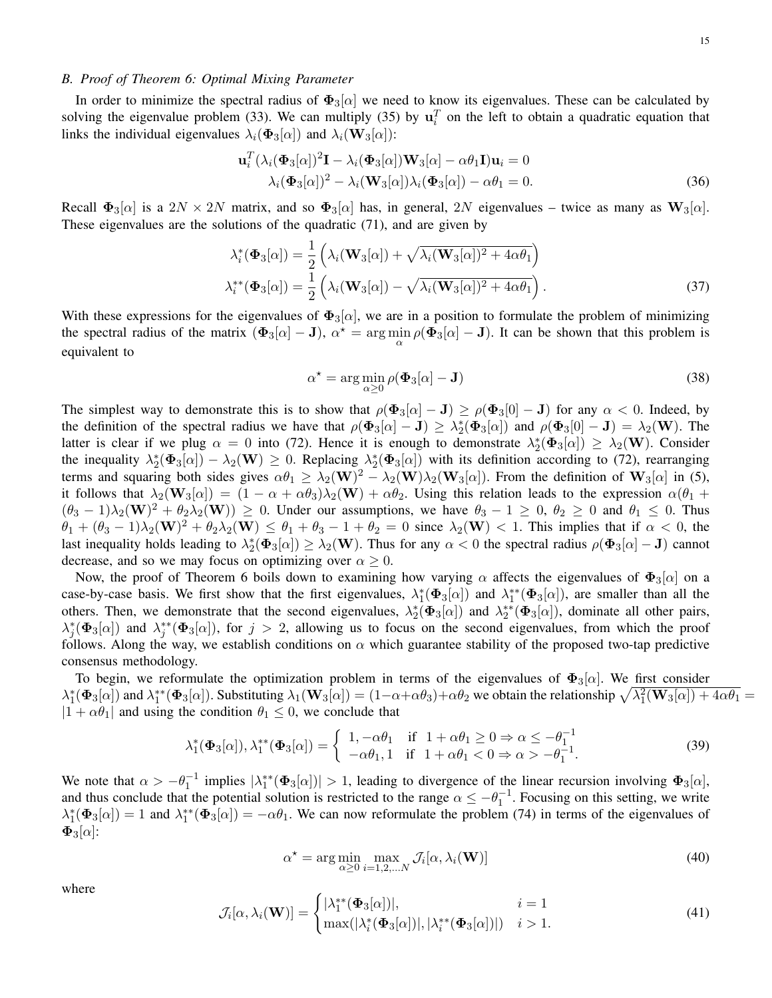#### *B. Proof of Theorem 6: Optimal Mixing Parameter*

In order to minimize the spectral radius of  $\Phi_3[\alpha]$  we need to know its eigenvalues. These can be calculated by solving the eigenvalue problem (33). We can multiply (35) by  $\mathbf{u}_i^T$  on the left to obtain a quadratic equation that links the individual eigenvalues  $\lambda_i(\mathbf{\Phi}_3[\alpha])$  and  $\lambda_i(\mathbf{W}_3[\alpha])$ :

$$
\mathbf{u}_i^T (\lambda_i (\mathbf{\Phi}_3[\alpha])^2 \mathbf{I} - \lambda_i (\mathbf{\Phi}_3[\alpha]) \mathbf{W}_3[\alpha] - \alpha \theta_1 \mathbf{I}) \mathbf{u}_i = 0
$$
  

$$
\lambda_i (\mathbf{\Phi}_3[\alpha])^2 - \lambda_i (\mathbf{W}_3[\alpha]) \lambda_i (\mathbf{\Phi}_3[\alpha]) - \alpha \theta_1 = 0.
$$
 (36)

Recall  $\Phi_3[\alpha]$  is a  $2N \times 2N$  matrix, and so  $\Phi_3[\alpha]$  has, in general,  $2N$  eigenvalues – twice as many as  $\mathbf{W}_3[\alpha]$ . These eigenvalues are the solutions of the quadratic (71), and are given by

$$
\lambda_i^*(\Phi_3[\alpha]) = \frac{1}{2} \left( \lambda_i(\mathbf{W}_3[\alpha]) + \sqrt{\lambda_i(\mathbf{W}_3[\alpha])^2 + 4\alpha \theta_1} \right)
$$
  

$$
\lambda_i^{**}(\Phi_3[\alpha]) = \frac{1}{2} \left( \lambda_i(\mathbf{W}_3[\alpha]) - \sqrt{\lambda_i(\mathbf{W}_3[\alpha])^2 + 4\alpha \theta_1} \right).
$$
 (37)

With these expressions for the eigenvalues of  $\Phi_3[\alpha]$ , we are in a position to formulate the problem of minimizing the spectral radius of the matrix  $(\Phi_3[\alpha] - J)$ ,  $\alpha^* = \arg \min_{\alpha} \rho(\Phi_3[\alpha] - J)$ . It can be shown that this problem is equivalent to

$$
\alpha^* = \arg\min_{\alpha \ge 0} \rho(\mathbf{\Phi}_3[\alpha] - \mathbf{J}) \tag{38}
$$

The simplest way to demonstrate this is to show that  $\rho(\Phi_3[\alpha] - J) \ge \rho(\Phi_3[0] - J)$  for any  $\alpha < 0$ . Indeed, by the definition of the spectral radius we have that  $\rho(\Phi_3[\alpha] - J) \geq \lambda_2^*(\Phi_3[\alpha])$  and  $\rho(\Phi_3[0] - J) = \lambda_2(\mathbf{W})$ . The latter is clear if we plug  $\alpha = 0$  into (72). Hence it is enough to demonstrate  $\lambda_2^*(\Phi_3[\alpha]) \geq \lambda_2(\mathbf{W})$ . Consider the inequality  $\lambda_2^*(\Phi_3[\alpha]) - \lambda_2(\mathbf{W}) \geq 0$ . Replacing  $\lambda_2^*(\Phi_3[\alpha])$  with its definition according to (72), rearranging terms and squaring both sides gives  $\alpha \theta_1 \geq \lambda_2(\mathbf{W})^2 - \lambda_2(\mathbf{W})\lambda_2(\mathbf{W}_3[\alpha])$ . From the definition of  $\mathbf{W}_3[\alpha]$  in (5), it follows that  $\lambda_2(\mathbf{W}_3[\alpha]) = (1 - \alpha + \alpha\theta_3)\lambda_2(\mathbf{W}) + \alpha\theta_2$ . Using this relation leads to the expression  $\alpha(\theta_1 + \theta_2)$  $(\theta_3 - 1)\lambda_2(\mathbf{W})^2 + \theta_2\lambda_2(\mathbf{W})$   $\geq 0$ . Under our assumptions, we have  $\theta_3 - 1 \geq 0$ ,  $\theta_2 \geq 0$  and  $\theta_1 \leq 0$ . Thus  $\theta_1 + (\theta_3 - 1)\lambda_2(\mathbf{W})^2 + \theta_2\lambda_2(\mathbf{W}) \le \theta_1 + \theta_3 - 1 + \theta_2 = 0$  since  $\lambda_2(\mathbf{W}) < 1$ . This implies that if  $\alpha < 0$ , the last inequality holds leading to  $\lambda_2^*(\Phi_3[\alpha]) \geq \lambda_2(\mathbf{W})$ . Thus for any  $\alpha < 0$  the spectral radius  $\rho(\Phi_3[\alpha] - \mathbf{J})$  cannot decrease, and so we may focus on optimizing over  $\alpha \geq 0$ .

Now, the proof of Theorem 6 boils down to examining how varying  $\alpha$  affects the eigenvalues of  $\Phi_3[\alpha]$  on a case-by-case basis. We first show that the first eigenvalues,  $\lambda_1^*(\Phi_3[\alpha])$  and  $\lambda_1^{**}(\Phi_3[\alpha])$ , are smaller than all the others. Then, we demonstrate that the second eigenvalues,  $\lambda_2^*(\Phi_3[\alpha])$  and  $\lambda_2^{**}(\Phi_3[\alpha])$ , dominate all other pairs,  $\lambda_j^*(\Phi_3[\alpha])$  and  $\lambda_j^{**}(\Phi_3[\alpha])$ , for  $j > 2$ , allowing us to focus on the second eigenvalues, from which the proof follows. Along the way, we establish conditions on  $\alpha$  which guarantee stability of the proposed two-tap predictive consensus methodology.

To begin, we reformulate the optimization problem in terms of the eigenvalues of  $\Phi_3[\alpha]$ . We first consider  $\lambda_1^*(\Phi_3[\alpha])$  and  $\lambda_1^{**}(\Phi_3[\alpha])$ . Substituting  $\lambda_1(\mathbf{W}_3[\alpha]) = (1-\alpha+\alpha\theta_3)+\alpha\theta_2$  we obtain the relationship  $\sqrt{\lambda_1^2(\mathbf{W}_3[\alpha]) + 4\alpha\theta_1}$  $|1 + \alpha \theta_1|$  and using the condition  $\theta_1 \leq 0$ , we conclude that

$$
\lambda_1^*(\Phi_3[\alpha]), \lambda_1^{**}(\Phi_3[\alpha]) = \begin{cases} 1, -\alpha\theta_1 & \text{if } 1 + \alpha\theta_1 \ge 0 \Rightarrow \alpha \le -\theta_1^{-1} \\ -\alpha\theta_1, 1 & \text{if } 1 + \alpha\theta_1 < 0 \Rightarrow \alpha > -\theta_1^{-1} . \end{cases}
$$
(39)

We note that  $\alpha > -\theta_1^{-1}$  implies  $|\lambda_1^{**}(\Phi_3[\alpha])| > 1$ , leading to divergence of the linear recursion involving  $\Phi_3[\alpha]$ , and thus conclude that the potential solution is restricted to the range  $\alpha \le -\theta_1^{-1}$ . Focusing on this setting, we write  $\lambda_1^*(\Phi_3[\alpha]) = 1$  and  $\lambda_1^{**}(\Phi_3[\alpha]) = -\alpha\theta_1$ . We can now reformulate the problem (74) in terms of the eigenvalues of  $\Phi_3[\alpha]$ :

$$
\alpha^* = \arg\min_{\alpha \ge 0} \max_{i=1,2,...N} \mathcal{J}_i[\alpha, \lambda_i(\mathbf{W})]
$$
(40)

where

$$
\mathcal{J}_i[\alpha, \lambda_i(\mathbf{W})] = \begin{cases} |\lambda_1^{**}(\mathbf{\Phi}_3[\alpha])|, & i = 1\\ \max(|\lambda_i^{*}(\mathbf{\Phi}_3[\alpha])|, |\lambda_i^{**}(\mathbf{\Phi}_3[\alpha])|) & i > 1. \end{cases}
$$
(41)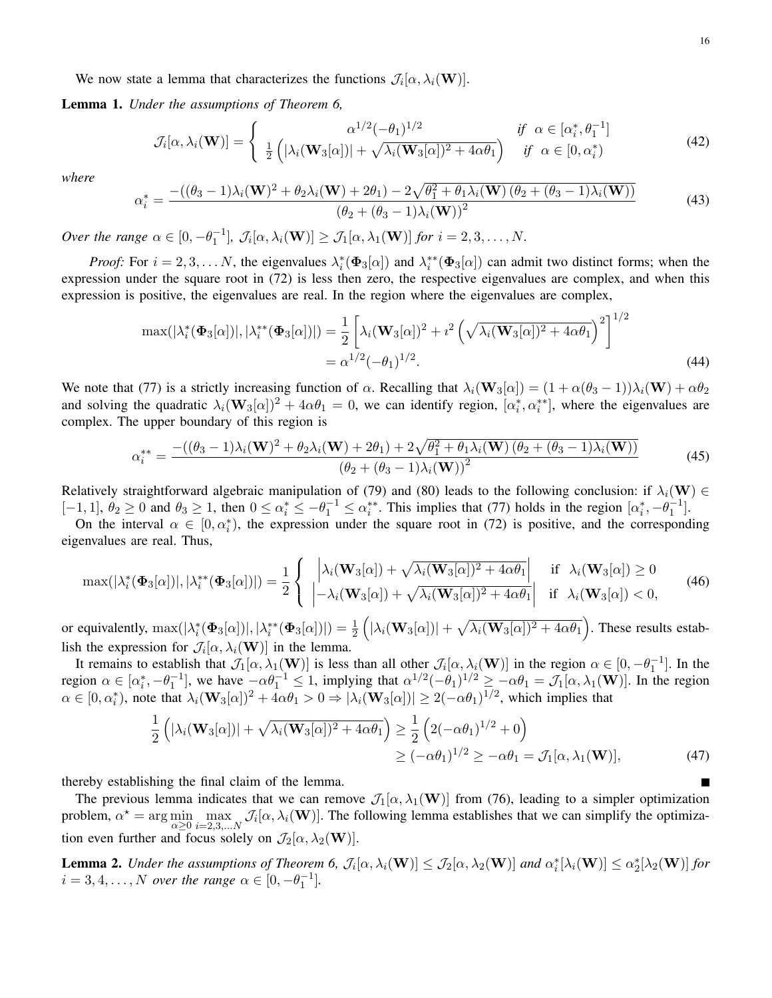We now state a lemma that characterizes the functions  $\mathcal{J}_i[\alpha, \lambda_i(\mathbf{W})]$ .

Lemma 1. *Under the assumptions of Theorem 6,*

$$
\mathcal{J}_i[\alpha, \lambda_i(\mathbf{W})] = \begin{cases} \alpha^{1/2}(-\theta_1)^{1/2} & \text{if } \alpha \in [\alpha_i^*, \theta_1^{-1}] \\ \frac{1}{2} \left( |\lambda_i(\mathbf{W}_3[\alpha])| + \sqrt{\lambda_i(\mathbf{W}_3[\alpha])^2 + 4\alpha \theta_1} \right) & \text{if } \alpha \in [0, \alpha_i^*) \end{cases}
$$
(42)

*where*

$$
\alpha_i^* = \frac{-((\theta_3 - 1)\lambda_i(\mathbf{W})^2 + \theta_2\lambda_i(\mathbf{W}) + 2\theta_1) - 2\sqrt{\theta_1^2 + \theta_1\lambda_i(\mathbf{W})\left(\theta_2 + (\theta_3 - 1)\lambda_i(\mathbf{W})\right)}}{(\theta_2 + (\theta_3 - 1)\lambda_i(\mathbf{W}))^2}
$$
(43)

*Over the range*  $\alpha \in [0, -\theta_1^{-1}], \mathcal{J}_i[\alpha, \lambda_i(\mathbf{W})] \geq \mathcal{J}_1[\alpha, \lambda_1(\mathbf{W})]$  *for*  $i = 2, 3, ..., N$ .

*Proof:* For  $i = 2, 3, \ldots N$ , the eigenvalues  $\lambda_i^*(\Phi_3[\alpha])$  and  $\lambda_i^{**}(\Phi_3[\alpha])$  can admit two distinct forms; when the expression under the square root in (72) is less then zero, the respective eigenvalues are complex, and when this expression is positive, the eigenvalues are real. In the region where the eigenvalues are complex,

$$
\max(|\lambda_i^*(\Phi_3[\alpha])|, |\lambda_i^{**}(\Phi_3[\alpha])|) = \frac{1}{2} \left[ \lambda_i(\mathbf{W}_3[\alpha])^2 + i^2 \left( \sqrt{\lambda_i(\mathbf{W}_3[\alpha])^2 + 4\alpha \theta_1} \right)^2 \right]^{1/2}
$$
  
=  $\alpha^{1/2} (-\theta_1)^{1/2}.$  (44)

We note that (77) is a strictly increasing function of  $\alpha$ . Recalling that  $\lambda_i(\mathbf{W}_3[\alpha]) = (1 + \alpha(\theta_3 - 1))\lambda_i(\mathbf{W}) + \alpha\theta_2$ and solving the quadratic  $\lambda_i(\mathbf{W}_3[\alpha])^2 + 4\alpha\theta_1 = 0$ , we can identify region,  $[\alpha_i^*, \alpha_i^{**}]$ , where the eigenvalues are complex. The upper boundary of this region is

$$
\alpha_i^{**} = \frac{-((\theta_3 - 1)\lambda_i(\mathbf{W})^2 + \theta_2\lambda_i(\mathbf{W}) + 2\theta_1) + 2\sqrt{\theta_1^2 + \theta_1\lambda_i(\mathbf{W})\left(\theta_2 + (\theta_3 - 1)\lambda_i(\mathbf{W})\right)}}{(\theta_2 + (\theta_3 - 1)\lambda_i(\mathbf{W}))^2}
$$
(45)

Relatively straightforward algebraic manipulation of (79) and (80) leads to the following conclusion: if  $\lambda_i(\mathbf{W}) \in$  $[-1, 1], \theta_2 \ge 0$  and  $\theta_3 \ge 1$ , then  $0 \le \alpha_i^* \le -\theta_1^{-1} \le \alpha_i^{**}$ . This implies that (77) holds in the region  $[\alpha_i^*, -\theta_1^{-1}]$ .

On the interval  $\alpha \in [0, \alpha_i^*),$  the expression under the square root in (72) is positive, and the corresponding eigenvalues are real. Thus,

$$
\max(|\lambda_i^*(\Phi_3[\alpha])|, |\lambda_i^{**}(\Phi_3[\alpha])|) = \frac{1}{2} \left\{ \begin{array}{ll} \left| \lambda_i(\mathbf{W}_3[\alpha]) + \sqrt{\lambda_i(\mathbf{W}_3[\alpha])^2 + 4\alpha \theta_1} \right| & \text{if } \lambda_i(\mathbf{W}_3[\alpha]) \ge 0\\ \left| -\lambda_i(\mathbf{W}_3[\alpha]) + \sqrt{\lambda_i(\mathbf{W}_3[\alpha])^2 + 4\alpha \theta_1} \right| & \text{if } \lambda_i(\mathbf{W}_3[\alpha]) < 0, \end{array} \right. \tag{46}
$$

or equivalently,  $\max(|\lambda_i^*(\boldsymbol{\Phi}_3[\alpha])|,|\lambda_i^{**}(\boldsymbol{\Phi}_3[\alpha])|)=\frac{1}{2}\left(|\lambda_i(\mathbf{W}_3[\alpha])|+\sqrt{\lambda_i(\mathbf{W}_3[\alpha])^2+4\alpha\theta_1}\right).$  These results establish the expression for  $\mathcal{J}_i[\alpha, \lambda_i(\mathbf{W})]$  in the lemma.

It remains to establish that  $\mathcal{J}_1[\alpha,\lambda_1(\mathbf{W})]$  is less than all other  $\mathcal{J}_i[\alpha,\lambda_i(\mathbf{W})]$  in the region  $\alpha \in [0,-\theta_1^{-1}]$ . In the region  $\alpha \in [\alpha_i^*, -\theta_1^{-1}]$ , we have  $-\alpha \theta_1^{-1} \le 1$ , implying that  $\alpha^{1/2}(-\theta_1)^{1/2} \ge -\alpha \theta_1 = \mathcal{J}_1[\alpha, \lambda_1(\mathbf{W})]$ . In the region  $\alpha \in [0, \alpha_i^*)$ , note that  $\lambda_i(\mathbf{W}_3[\alpha])^2 + 4\alpha \theta_1 > 0 \Rightarrow |\lambda_i(\mathbf{W}_3[\alpha])| \ge 2(-\alpha \theta_1)^{1/2}$ , which implies that

$$
\frac{1}{2}\left(|\lambda_i(\mathbf{W}_3[\alpha])| + \sqrt{\lambda_i(\mathbf{W}_3[\alpha])^2 + 4\alpha\theta_1}\right) \ge \frac{1}{2}\left(2(-\alpha\theta_1)^{1/2} + 0\right)
$$
  
\n
$$
\ge (-\alpha\theta_1)^{1/2} \ge -\alpha\theta_1 = \mathcal{J}_1[\alpha, \lambda_1(\mathbf{W})],
$$
\n(47)

thereby establishing the final claim of the lemma.

The previous lemma indicates that we can remove  $\mathcal{J}_1[\alpha, \lambda_1(\mathbf{W})]$  from (76), leading to a simpler optimization problem,  $\alpha^* = \arg \min_{\alpha \geq 0} \max_{i=2,3,...,N} \mathcal{J}_i[\alpha, \lambda_i(\mathbf{W})]$ . The following lemma establishes that we can simplify the optimization even further and focus solely on  $\mathcal{J}_2(\alpha, \lambda_2(\mathbf{W}))$ .

**Lemma 2.** *Under the assumptions of Theorem 6,*  $\mathcal{J}_i[\alpha, \lambda_i(\mathbf{W})] \leq \mathcal{J}_2[\alpha, \lambda_2(\mathbf{W})]$  and  $\alpha_i^*[\lambda_i(\mathbf{W})] \leq \alpha_2^*[\lambda_2(\mathbf{W})]$  for  $i = 3, 4, \ldots, N$  *over the range*  $\alpha \in [0, -\theta_1^{-1}]$ .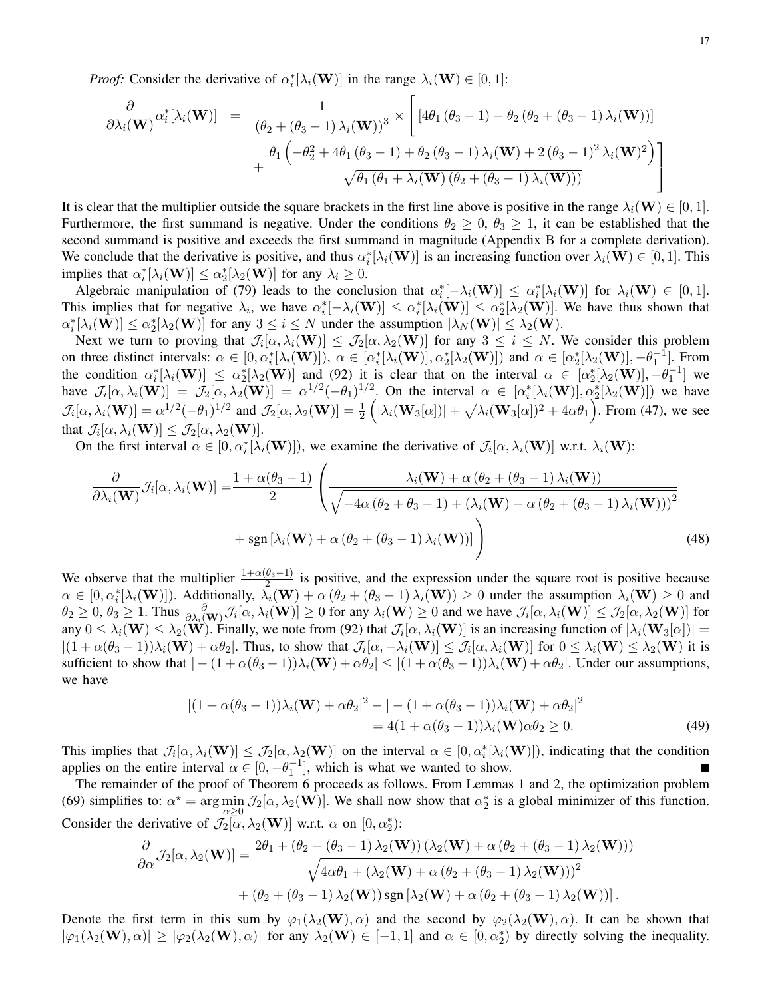*Proof:* Consider the derivative of  $\alpha_i^*[\lambda_i(\mathbf{W})]$  in the range  $\lambda_i(\mathbf{W}) \in [0,1]$ :

$$
\frac{\partial}{\partial \lambda_i(\mathbf{W})} \alpha_i^* [\lambda_i(\mathbf{W})] = \frac{1}{(\theta_2 + (\theta_3 - 1) \lambda_i(\mathbf{W}))^3} \times \left[ [4\theta_1 (\theta_3 - 1) - \theta_2 (\theta_2 + (\theta_3 - 1) \lambda_i(\mathbf{W}))] + \frac{\theta_1 (-\theta_2^2 + 4\theta_1 (\theta_3 - 1) + \theta_2 (\theta_3 - 1) \lambda_i(\mathbf{W}) + 2 (\theta_3 - 1)^2 \lambda_i(\mathbf{W})^2)}{\sqrt{\theta_1 (\theta_1 + \lambda_i(\mathbf{W}) (\theta_2 + (\theta_3 - 1) \lambda_i(\mathbf{W})))}} \right]
$$

It is clear that the multiplier outside the square brackets in the first line above is positive in the range  $\lambda_i(\mathbf{W}) \in [0,1]$ . Furthermore, the first summand is negative. Under the conditions  $\theta_2 \geq 0$ ,  $\theta_3 \geq 1$ , it can be established that the second summand is positive and exceeds the first summand in magnitude (Appendix B for a complete derivation). We conclude that the derivative is positive, and thus  $\alpha_i^*[\lambda_i(\mathbf{W})]$  is an increasing function over  $\lambda_i(\mathbf{W}) \in [0,1]$ . This implies that  $\alpha_i^*[\lambda_i(\mathbf{W})] \leq \alpha_2^*[\lambda_2(\mathbf{W})]$  for any  $\lambda_i \geq 0$ .

Algebraic manipulation of (79) leads to the conclusion that  $\alpha_i^*[-\lambda_i(\mathbf{W})] \leq \alpha_i^*[\lambda_i(\mathbf{W})]$  for  $\lambda_i(\mathbf{W}) \in [0,1]$ . This implies that for negative  $\lambda_i$ , we have  $\alpha_i^*[-\lambda_i(\mathbf{W})] \leq \alpha_i^*[\lambda_i(\mathbf{W})] \leq \alpha_2^*[\lambda_2(\mathbf{W})]$ . We have thus shown that  $\alpha_i^*[\lambda_i(\mathbf{W})] \le \alpha_2^*[\lambda_2(\mathbf{W})]$  for any  $3 \le i \le N$  under the assumption  $|\lambda_N(\mathbf{W})| \le \lambda_2(\mathbf{W})$ .

Next we turn to proving that  $\mathcal{J}_i[\alpha,\lambda_i(\mathbf{W})] \leq \mathcal{J}_2[\alpha,\lambda_2(\mathbf{W})]$  for any  $3 \leq i \leq N$ . We consider this problem on three distinct intervals:  $\alpha \in [0, \alpha_i^*[\lambda_i(\mathbf{W})])$ ,  $\alpha \in [\alpha_i^*[\lambda_i(\mathbf{W})], \alpha_2^*[\lambda_2(\mathbf{W})])$  and  $\alpha \in [\alpha_2^*[\lambda_2(\mathbf{W})], -\theta_1^{-1}]$ . From the condition  $\alpha_i^* [\lambda_i(\mathbf{W})] \leq \alpha_2^* [\lambda_2(\mathbf{W})]$  and (92) it is clear that on the interval  $\alpha \in [\alpha_2^* [\lambda_2(\mathbf{W})], -\theta_1^{-1}]$  we have  $\mathcal{J}_i[\alpha, \lambda_i(\mathbf{W})] = \mathcal{J}_2[\alpha, \lambda_2(\mathbf{W})] = \alpha^{1/2}(-\theta_1)^{1/2}$ . On the interval  $\alpha \in [\alpha_i^*[\lambda_i(\mathbf{W})], \alpha_2^*[\lambda_2(\mathbf{W})])$  we have  $\mathcal{J}_i[\alpha, \lambda_i(\mathbf{W})] = \alpha^{1/2}(-\theta_1)^{1/2}$  and  $\mathcal{J}_2[\alpha, \lambda_2(\mathbf{W})] = \frac{1}{2} \left( |\lambda_i(\mathbf{W}_3[\alpha])| + \sqrt{\lambda_i(\mathbf{W}_3[\alpha])^2 + 4\alpha \theta_1} \right)$ . From (47), we see that  $\mathcal{J}_i[\alpha, \lambda_i(\mathbf{W})] \leq \mathcal{J}_2[\alpha, \lambda_2(\mathbf{W})]$ .

On the first interval  $\alpha \in [0, \alpha_i^*[\lambda_i(\mathbf{W})])$ , we examine the derivative of  $\mathcal{J}_i[\alpha, \lambda_i(\mathbf{W})]$  w.r.t.  $\lambda_i(\mathbf{W})$ :

$$
\frac{\partial}{\partial \lambda_i(\mathbf{W})} \mathcal{J}_i[\alpha, \lambda_i(\mathbf{W})] = \frac{1 + \alpha(\theta_3 - 1)}{2} \left( \frac{\lambda_i(\mathbf{W}) + \alpha(\theta_2 + (\theta_3 - 1) \lambda_i(\mathbf{W}))}{\sqrt{-4\alpha(\theta_2 + \theta_3 - 1) + (\lambda_i(\mathbf{W}) + \alpha(\theta_2 + (\theta_3 - 1) \lambda_i(\mathbf{W})))^2}} + \text{sgn} \left[ \lambda_i(\mathbf{W}) + \alpha(\theta_2 + (\theta_3 - 1) \lambda_i(\mathbf{W})) \right] \right)
$$
(48)

We observe that the multiplier  $\frac{1+\alpha(\theta_3-1)}{2}$  is positive, and the expression under the square root is positive because  $\alpha \in [0, \alpha_i^*[\lambda_i(\mathbf{W})])$ . Additionally,  $\overline{\lambda}_i(\mathbf{W}) + \alpha (\theta_2 + (\theta_3 - 1) \lambda_i(\mathbf{W})) \ge 0$  under the assumption  $\lambda_i(\mathbf{W}) \ge 0$  and  $\theta_2 \ge 0$ ,  $\theta_3 \ge 1$ . Thus  $\frac{\partial}{\partial \lambda_i(\mathbf{W})} \mathcal{J}_i[\alpha, \lambda_i(\mathbf{W})] \ge 0$  for any  $\lambda_i(\mathbf{W}) \ge 0$  and we have  $\mathcal{J}_i[\alpha, \lambda_i(\mathbf{W})] \le \mathcal{J}_2[\alpha, \lambda_2(\mathbf{W})]$  for any  $0 \le \lambda_i(\mathbf{W}) \le \lambda_2(\mathbf{W})$ . Finally, we note from (92) that  $\mathcal{J}_i[\alpha, \lambda_i(\mathbf{W})]$  is an increasing function of  $|\lambda_i(\mathbf{W}_3[\alpha])|$  =  $|(1+\alpha(\theta_3-1))\lambda_i(\mathbf{W})+\alpha\theta_2|$ . Thus, to show that  $\mathcal{J}_i[\alpha,-\lambda_i(\mathbf{W})] \leq \mathcal{J}_i[\alpha,\lambda_i(\mathbf{W})]$  for  $0 \leq \lambda_i(\mathbf{W}) \leq \lambda_2(\mathbf{W})$  it is sufficient to show that  $|-(1+\alpha(\theta_3-1))\lambda_i(\mathbf{W})+\alpha\theta_2| \leq |(1+\alpha(\theta_3-1))\lambda_i(\mathbf{W})+\alpha\theta_2|$ . Under our assumptions, we have

$$
|(1+\alpha(\theta_3-1))\lambda_i(\mathbf{W})+\alpha\theta_2|^2-|-(1+\alpha(\theta_3-1))\lambda_i(\mathbf{W})+\alpha\theta_2|^2
$$
  
= 4(1+\alpha(\theta\_3-1))\lambda\_i(\mathbf{W})\alpha\theta\_2 \ge 0. (49)

This implies that  $\mathcal{J}_i[\alpha,\lambda_i(\mathbf{W})] \leq \mathcal{J}_2[\alpha,\lambda_2(\mathbf{W})]$  on the interval  $\alpha \in [0,\alpha_i^*[\lambda_i(\mathbf{W})])$ , indicating that the condition applies on the entire interval  $\alpha \in [0, -\theta_1^{-1}]$ , which is what we wanted to show.

The remainder of the proof of Theorem 6 proceeds as follows. From Lemmas 1 and 2, the optimization problem (69) simplifies to:  $\alpha^* = \arg \min_{\alpha \geq 0} \mathcal{J}_2[\alpha, \lambda_2(\mathbf{W})]$ . We shall now show that  $\alpha_2^*$  is a global minimizer of this function. Consider the derivative of  $\mathcal{J}_2[\alpha,\lambda_2(\mathbf{W})]$  w.r.t.  $\alpha$  on  $[0,\alpha_2^*)$ :

$$
\frac{\partial}{\partial \alpha} \mathcal{J}_2[\alpha, \lambda_2(\mathbf{W})] = \frac{2\theta_1 + (\theta_2 + (\theta_3 - 1) \lambda_2(\mathbf{W})) (\lambda_2(\mathbf{W}) + \alpha (\theta_2 + (\theta_3 - 1) \lambda_2(\mathbf{W})))}{\sqrt{4\alpha \theta_1 + (\lambda_2(\mathbf{W}) + \alpha (\theta_2 + (\theta_3 - 1) \lambda_2(\mathbf{W})))^2}} + (\theta_2 + (\theta_3 - 1) \lambda_2(\mathbf{W})) \operatorname{sgn} [\lambda_2(\mathbf{W}) + \alpha (\theta_2 + (\theta_3 - 1) \lambda_2(\mathbf{W}))].
$$

Denote the first term in this sum by  $\varphi_1(\lambda_2(\mathbf{W}), \alpha)$  and the second by  $\varphi_2(\lambda_2(\mathbf{W}), \alpha)$ . It can be shown that  $|\varphi_1(\lambda_2(\mathbf{W}), \alpha)| \ge |\varphi_2(\lambda_2(\mathbf{W}), \alpha)|$  for any  $\lambda_2(\mathbf{W}) \in [-1, 1]$  and  $\alpha \in [0, \alpha_2^*)$  by directly solving the inequality.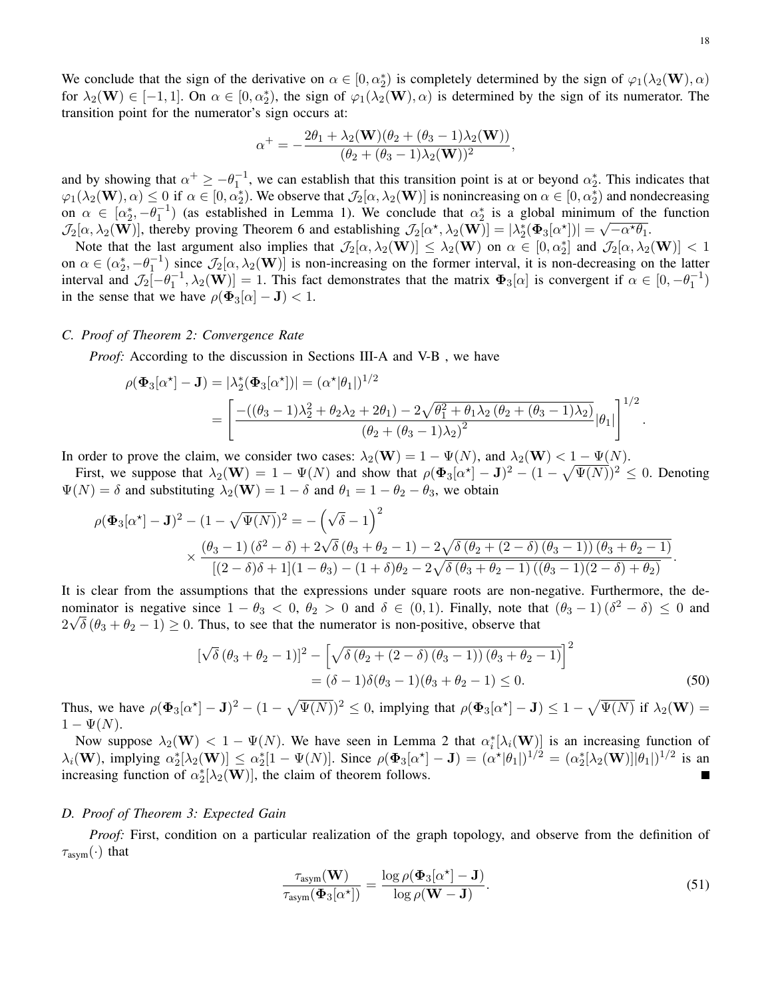We conclude that the sign of the derivative on  $\alpha \in [0, \alpha_2^*)$  is completely determined by the sign of  $\varphi_1(\lambda_2(\mathbf{W}), \alpha)$ for  $\lambda_2(\mathbf{W}) \in [-1, 1]$ . On  $\alpha \in [0, \alpha_2^*)$ , the sign of  $\varphi_1(\lambda_2(\mathbf{W}), \alpha)$  is determined by the sign of its numerator. The transition point for the numerator's sign occurs at:

$$
\alpha^+ = -\frac{2\theta_1 + \lambda_2(\mathbf{W})(\theta_2 + (\theta_3 - 1)\lambda_2(\mathbf{W}))}{(\theta_2 + (\theta_3 - 1)\lambda_2(\mathbf{W}))^2},
$$

and by showing that  $\alpha^+ \ge -\theta_1^{-1}$ , we can establish that this transition point is at or beyond  $\alpha_2^*$ . This indicates that  $\varphi_1(\lambda_2(\mathbf{W}), \alpha) \le 0$  if  $\alpha \in [0, \alpha_2^*)$ . We observe that  $\mathcal{J}_2[\alpha, \lambda_2(\mathbf{W})]$  is nonincreasing on  $\alpha \in [0, \alpha_2^*)$  and nondecreasing on  $\alpha \in [\alpha_2^*, -\theta_1^{-1}]$  (as established in Lemma 1). We conclude that  $\alpha_2^*$  is a global minimum of the function  $\mathcal{J}_2[\alpha,\lambda_2(\mathbf{W})]$ , thereby proving Theorem 6 and establishing  $\mathcal{J}_2[\alpha^*,\lambda_2(\mathbf{W})] = |\lambda_2^*(\Phi_3[\alpha^*])| = \sqrt{-\alpha^*\theta_1}$ .

Note that the last argument also implies that  $\mathcal{J}_2[\alpha,\lambda_2(\mathbf{W})] \leq \lambda_2(\mathbf{W})$  on  $\alpha \in [0,\alpha_2^*]$  and  $\mathcal{J}_2[\alpha,\lambda_2(\mathbf{W})] < 1$ on  $\alpha \in (\alpha_2^*, -\theta_1^{-1})$  since  $\mathcal{J}_2[\alpha, \lambda_2(\mathbf{W})]$  is non-increasing on the former interval, it is non-decreasing on the latter interval and  $\mathcal{J}_2[-\theta_1^{-1}, \lambda_2(\mathbf{W})] = 1$ . This fact demonstrates that the matrix  $\Phi_3[\alpha]$  is convergent if  $\alpha \in [0, -\theta_1^{-1})$ in the sense that we have  $\rho(\Phi_3[\alpha] - J) < 1$ .

## *C. Proof of Theorem 2: Convergence Rate*

*Proof:* According to the discussion in Sections III-A and V-B, we have

$$
\rho(\Phi_3[\alpha^*] - \mathbf{J}) = |\lambda_2^*(\Phi_3[\alpha^*])| = (\alpha^*|\theta_1|)^{1/2}
$$
  
= 
$$
\left[ \frac{-((\theta_3 - 1)\lambda_2^2 + \theta_2\lambda_2 + 2\theta_1) - 2\sqrt{\theta_1^2 + \theta_1\lambda_2(\theta_2 + (\theta_3 - 1)\lambda_2)}}{(\theta_2 + (\theta_3 - 1)\lambda_2)^2} |\theta_1| \right]^{1/2}
$$

In order to prove the claim, we consider two cases:  $\lambda_2(\mathbf{W}) = 1 - \Psi(N)$ , and  $\lambda_2(\mathbf{W}) < 1 - \Psi(N)$ .

First, we suppose that  $\lambda_2(\mathbf{W}) = 1 - \Psi(N)$  and show that  $\rho(\mathbf{\Phi}_3[\alpha^*]-\mathbf{J})^2 - (1 - \sqrt{\Psi(N)})^2 \leq 0$ . Denoting  $\Psi(N) = \delta$  and substituting  $\lambda_2(\mathbf{W}) = 1 - \delta$  and  $\theta_1 = 1 - \theta_2 - \theta_3$ , we obtain

$$
\rho(\Phi_3[\alpha^*]-\mathbf{J})^2 - (1-\sqrt{\Psi(N)})^2 = -(\sqrt{\delta}-1)^2
$$
  
\$\times \frac{(\theta\_3-1)(\delta^2-\delta)+2\sqrt{\delta}(\theta\_3+\theta\_2-1)-2\sqrt{\delta(\theta\_2+(2-\delta)(\theta\_3-1))(\theta\_3+\theta\_2-1)}}{[(2-\delta)\delta+1](1-\theta\_3)-(1+\delta)\theta\_2-2\sqrt{\delta(\theta\_3+\theta\_2-1)((\theta\_3-1)(2-\delta)+\theta\_2)}}.\$

It is clear from the assumptions that the expressions under square roots are non-negative. Furthermore, the denominator is negative since  $1 - \theta_3 < 0$ ,  $\theta_2 > 0$  and  $\delta \in (0,1)$ . Finally, note that  $(\theta_3 - 1)(\delta^2 - \delta) \le 0$  and  $2\sqrt{\delta}(\theta_3 + \theta_2 - 1) \ge 0$ . Thus, to see that the numerator is non-positive, observe that

$$
[\sqrt{\delta} (\theta_3 + \theta_2 - 1)]^2 - [\sqrt{\delta (\theta_2 + (2 - \delta) (\theta_3 - 1)) (\theta_3 + \theta_2 - 1)}]^2
$$
  
=  $(\delta - 1)\delta(\theta_3 - 1)(\theta_3 + \theta_2 - 1) \le 0.$  (50)

Thus, we have  $\rho(\Phi_3[\alpha^*]-J)^2-(1-\sqrt{\Psi(N)})^2\leq 0$ , implying that  $\rho(\Phi_3[\alpha^*]-J)\leq 1-\sqrt{\Psi(N)}$  if  $\lambda_2(\mathbf{W})=$  $1-\Psi(N).$ 

Now suppose  $\lambda_2(\mathbf{W}) < 1 - \Psi(N)$ . We have seen in Lemma 2 that  $\alpha_i^*[\lambda_i(\mathbf{W})]$  is an increasing function of  $\lambda_i(\mathbf{W})$ , implying  $\alpha_2^*[\lambda_2(\mathbf{W})] \le \alpha_2^*[1 - \Psi(N)]$ . Since  $\rho(\mathbf{\Phi}_3[\alpha^*] - \mathbf{J}) = (\alpha^*|\theta_1|)^{1/2} = (\alpha_2^*[\lambda_2(\mathbf{W})]|\theta_1|)^{1/2}$  is an increasing function of  $\alpha_2^*[\lambda_2(\mathbf{W})]$ , the claim of theorem follows.

## *D. Proof of Theorem 3: Expected Gain*

*Proof:* First, condition on a particular realization of the graph topology, and observe from the definition of  $\tau_{\text{asym}}(\cdot)$  that

$$
\frac{\tau_{\text{asym}}(\mathbf{W})}{\tau_{\text{asym}}(\Phi_3[\alpha^*])} = \frac{\log \rho(\Phi_3[\alpha^*]-\mathbf{J})}{\log \rho(\mathbf{W}-\mathbf{J})}.
$$
\n(51)

.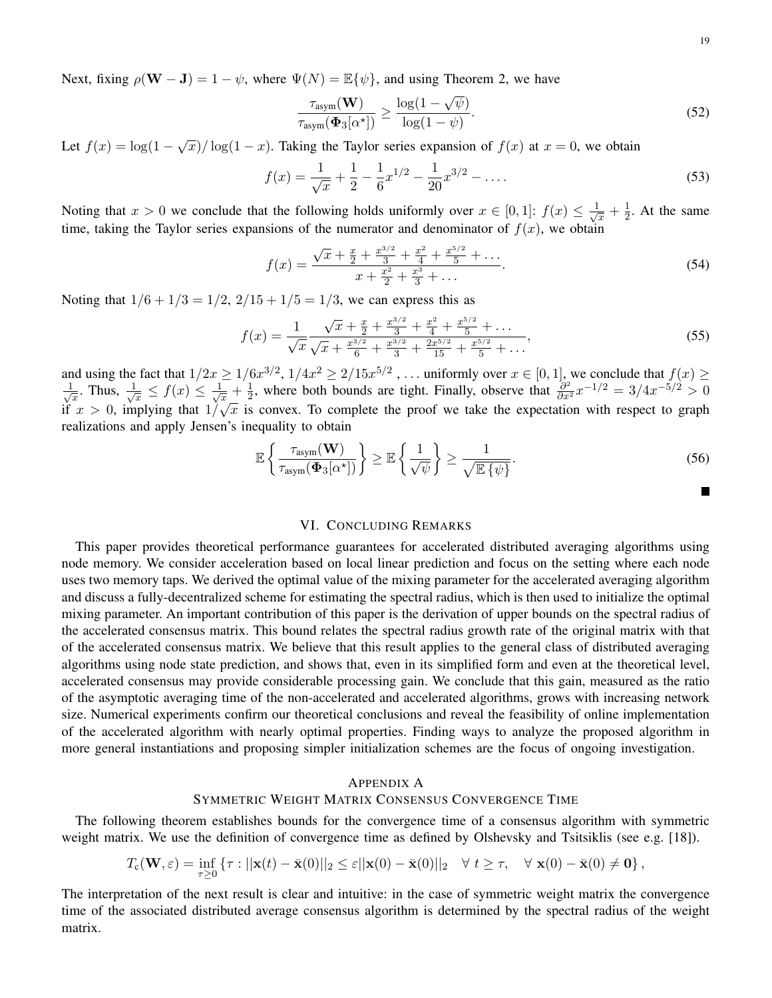Next, fixing  $\rho(\mathbf{W} - \mathbf{J}) = 1 - \psi$ , where  $\Psi(N) = \mathbb{E}\{\psi\}$ , and using Theorem 2, we have

$$
\frac{\tau_{\text{asym}}(\mathbf{W})}{\tau_{\text{asym}}(\mathbf{\Phi}_3[\alpha^{\star}])} \ge \frac{\log(1-\sqrt{\psi})}{\log(1-\psi)}.
$$
\n(52)

Let  $f(x) = \log(1 - \sqrt{x})/\log(1 - x)$ . Taking the Taylor series expansion of  $f(x)$  at  $x = 0$ , we obtain

$$
f(x) = \frac{1}{\sqrt{x}} + \frac{1}{2} - \frac{1}{6}x^{1/2} - \frac{1}{20}x^{3/2} - \dots
$$
 (53)

Noting that  $x > 0$  we conclude that the following holds uniformly over  $x \in [0,1]$ :  $f(x) \leq \frac{1}{\sqrt{2}}$  $\frac{1}{x} + \frac{1}{2}$  $\frac{1}{2}$ . At the same time, taking the Taylor series expansions of the numerator and denominator of  $f(x)$ , we obtain

$$
f(x) = \frac{\sqrt{x} + \frac{x}{2} + \frac{x^{3/2}}{3} + \frac{x^2}{4} + \frac{x^{5/2}}{5} + \dots}{x + \frac{x^2}{2} + \frac{x^3}{3} + \dots}.
$$
 (54)

Noting that  $1/6 + 1/3 = 1/2$ ,  $2/15 + 1/5 = 1/3$ , we can express this as

$$
f(x) = \frac{1}{\sqrt{x}} \frac{\sqrt{x} + \frac{x}{2} + \frac{x^{3/2}}{3} + \frac{x^2}{4} + \frac{x^{5/2}}{5} + \dots}{\sqrt{x} + \frac{x^{3/2}}{6} + \frac{x^{3/2}}{3} + \frac{2x^{5/2}}{15} + \frac{x^{5/2}}{5} + \dots},
$$
(55)

and using the fact that  $1/2x \ge 1/6x^{3/2}$ ,  $1/4x^2 \ge 2/15x^{5/2}$ , ... uniformly over  $x \in [0,1]$ , we conclude that  $f(x) \ge$  $\frac{1}{\sqrt{2}}$  $\frac{1}{x}$ . Thus,  $\frac{1}{\sqrt{x}}$  $\frac{1}{x} \leq f(x) \leq \frac{1}{\sqrt{x}}$  $\frac{1}{x} + \frac{1}{2}$  $\frac{1}{2}$ , where both bounds are tight. Finally, observe that  $\frac{\partial^2}{\partial x^2}x^{-1/2} = 3/4x^{-5/2} > 0$  $\sqrt{x}$ . Thus,  $\sqrt{x} = f(x) = \sqrt{x} + 2$ , where both bounds are tight. Thang, observe that  $\frac{\partial x^2}{\partial x^2} = -\frac{\partial}{\partial x}$ realizations and apply Jensen's inequality to obtain

$$
\mathbb{E}\left\{\frac{\tau_{\text{asym}}(\mathbf{W})}{\tau_{\text{asym}}(\boldsymbol{\Phi}_3[\alpha^*])}\right\} \geq \mathbb{E}\left\{\frac{1}{\sqrt{\psi}}\right\} \geq \frac{1}{\sqrt{\mathbb{E}\left\{\psi\right\}}}.\tag{56}
$$

## VI. CONCLUDING REMARKS

This paper provides theoretical performance guarantees for accelerated distributed averaging algorithms using node memory. We consider acceleration based on local linear prediction and focus on the setting where each node uses two memory taps. We derived the optimal value of the mixing parameter for the accelerated averaging algorithm and discuss a fully-decentralized scheme for estimating the spectral radius, which is then used to initialize the optimal mixing parameter. An important contribution of this paper is the derivation of upper bounds on the spectral radius of the accelerated consensus matrix. This bound relates the spectral radius growth rate of the original matrix with that of the accelerated consensus matrix. We believe that this result applies to the general class of distributed averaging algorithms using node state prediction, and shows that, even in its simplified form and even at the theoretical level, accelerated consensus may provide considerable processing gain. We conclude that this gain, measured as the ratio of the asymptotic averaging time of the non-accelerated and accelerated algorithms, grows with increasing network size. Numerical experiments confirm our theoretical conclusions and reveal the feasibility of online implementation of the accelerated algorithm with nearly optimal properties. Finding ways to analyze the proposed algorithm in more general instantiations and proposing simpler initialization schemes are the focus of ongoing investigation.

## APPENDIX A

## SYMMETRIC WEIGHT MATRIX CONSENSUS CONVERGENCE TIME

The following theorem establishes bounds for the convergence time of a consensus algorithm with symmetric weight matrix. We use the definition of convergence time as defined by Olshevsky and Tsitsiklis (see e.g. [18]).

$$
T_{\mathbf{c}}(\mathbf{W},\varepsilon) = \inf_{\tau \geq 0} \left\{ \tau : ||\mathbf{x}(t) - \bar{\mathbf{x}}(0)||_2 \leq \varepsilon ||\mathbf{x}(0) - \bar{\mathbf{x}}(0)||_2 \quad \forall \ t \geq \tau, \quad \forall \ \mathbf{x}(0) - \bar{\mathbf{x}}(0) \neq \mathbf{0} \right\},
$$

The interpretation of the next result is clear and intuitive: in the case of symmetric weight matrix the convergence time of the associated distributed average consensus algorithm is determined by the spectral radius of the weight matrix.

 $\blacksquare$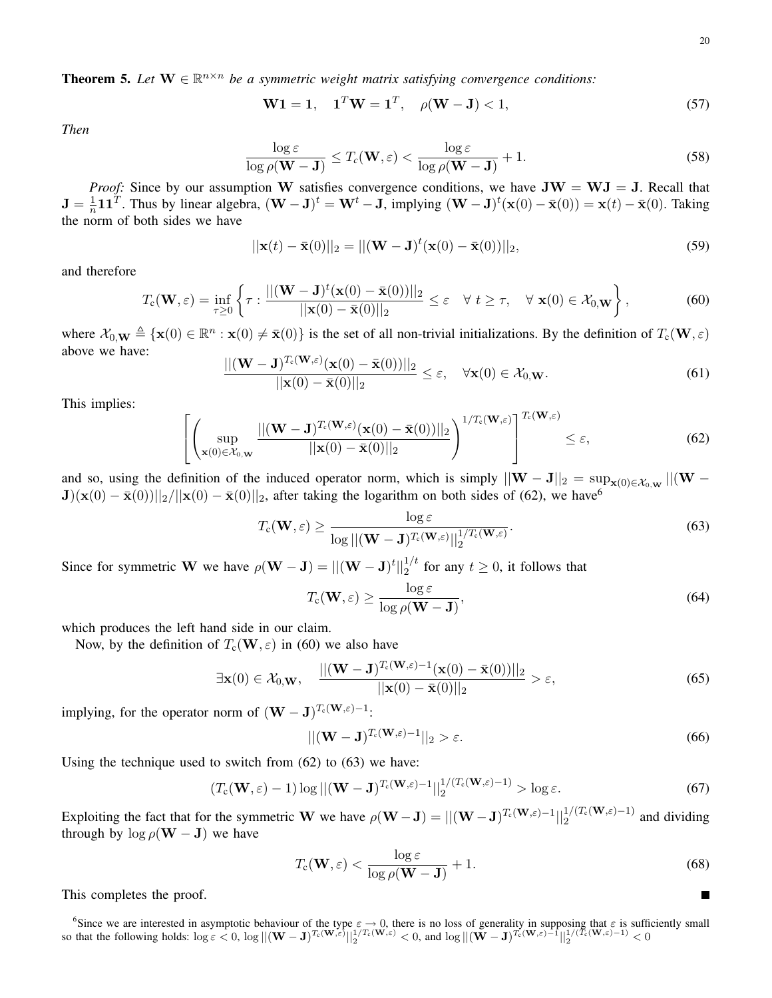$\blacksquare$ 

**Theorem 5.** Let  $W \in \mathbb{R}^{n \times n}$  be a symmetric weight matrix satisfying convergence conditions:

$$
W1 = 1, \quad 1^T W = 1^T, \quad \rho(W - J) < 1,\tag{57}
$$

*Then*

$$
\frac{\log \varepsilon}{\log \rho(\mathbf{W} - \mathbf{J})} \le T_c(\mathbf{W}, \varepsilon) < \frac{\log \varepsilon}{\log \rho(\mathbf{W} - \mathbf{J})} + 1. \tag{58}
$$

*Proof:* Since by our assumption W satisfies convergence conditions, we have  $JW = WJ = J$ . Recall that  ${\bf J}=\frac{1}{n}$  $\frac{1}{n}$ 11<sup>T</sup>. Thus by linear algebra,  $(\mathbf{W} - \mathbf{J})^t = \mathbf{W}^t - \mathbf{J}$ , implying  $(\mathbf{W} - \mathbf{J})^t(\mathbf{x}(0) - \bar{\mathbf{x}}(0)) = \mathbf{x}(t) - \bar{\mathbf{x}}(0)$ . Taking the norm of both sides we have

$$
||\mathbf{x}(t) - \bar{\mathbf{x}}(0)||_2 = ||(\mathbf{W} - \mathbf{J})^t(\mathbf{x}(0) - \bar{\mathbf{x}}(0))||_2,
$$
\n(59)

and therefore

$$
T_{\mathbf{c}}(\mathbf{W}, \varepsilon) = \inf_{\tau \ge 0} \left\{ \tau : \frac{\|(\mathbf{W} - \mathbf{J})^t(\mathbf{x}(0) - \bar{\mathbf{x}}(0))\|_2}{\|\mathbf{x}(0) - \bar{\mathbf{x}}(0)\|_2} \le \varepsilon \quad \forall \ t \ge \tau, \quad \forall \ \mathbf{x}(0) \in \mathcal{X}_{0, \mathbf{W}} \right\},\tag{60}
$$

where  $\mathcal{X}_{0,\mathbf{W}} \triangleq {\mathbf{x}(0) \in \mathbb{R}^n : \mathbf{x}(0) \neq \bar{\mathbf{x}}(0)}$  is the set of all non-trivial initializations. By the definition of  $T_c(\mathbf{W}, \varepsilon)$ above we have:  $||($ 

$$
\frac{(\mathbf{W} - \mathbf{J})^{T_c(\mathbf{W}, \varepsilon)}(\mathbf{x}(0) - \bar{\mathbf{x}}(0))||_2}{||\mathbf{x}(0) - \bar{\mathbf{x}}(0)||_2} \le \varepsilon, \quad \forall \mathbf{x}(0) \in \mathcal{X}_{0,\mathbf{W}}.
$$
\n(61)

This implies:

$$
\left[\left(\sup_{\mathbf{x}(0)\in\mathcal{X}_{0,\mathbf{W}}}\frac{\|(\mathbf{W}-\mathbf{J})^{T_{c}(\mathbf{W},\varepsilon)}(\mathbf{x}(0)-\bar{\mathbf{x}}(0))\|_{2}}{\|\mathbf{x}(0)-\bar{\mathbf{x}}(0)\|_{2}}\right)^{1/T_{c}(\mathbf{W},\varepsilon)}\right]^{T_{c}(\mathbf{W},\varepsilon)} \leq \varepsilon,
$$
\n(62)

and so, using the definition of the induced operator norm, which is simply  $||\mathbf{W} - \mathbf{J}||_2 = \sup_{\mathbf{x}(0) \in \mathcal{X}_{0,\mathbf{W}}} ||(\mathbf{W} - \mathbf{J})||_2$  $J(x(0) - \bar{x}(0))||_2/||x(0) - \bar{x}(0)||_2$ , after taking the logarithm on both sides of (62), we have<sup>6</sup>

$$
T_{\mathrm{c}}(\mathbf{W},\varepsilon) \ge \frac{\log \varepsilon}{\log ||(\mathbf{W}-\mathbf{J})^{T_{\mathrm{c}}(\mathbf{W},\varepsilon)}||_2^{1/T_{\mathrm{c}}(\mathbf{W},\varepsilon)}}.
$$
(63)

Since for symmetric W we have  $\rho(\mathbf{W} - \mathbf{J}) = ||(\mathbf{W} - \mathbf{J})^t||_2^{1/t}$  for any  $t \ge 0$ , it follows that

$$
T_{\rm c}(\mathbf{W}, \varepsilon) \ge \frac{\log \varepsilon}{\log \rho(\mathbf{W} - \mathbf{J})},\tag{64}
$$

which produces the left hand side in our claim.

Now, by the definition of  $T_c(\mathbf{W}, \varepsilon)$  in (60) we also have

$$
\exists \mathbf{x}(0) \in \mathcal{X}_{0,\mathbf{W}}, \quad \frac{||(\mathbf{W} - \mathbf{J})^{T_c(\mathbf{W},\varepsilon)-1}(\mathbf{x}(0) - \bar{\mathbf{x}}(0))||_2}{||\mathbf{x}(0) - \bar{\mathbf{x}}(0)||_2} > \varepsilon,
$$
\n(65)

implying, for the operator norm of  $(W - J)^{T_c(W, \varepsilon) - 1}$ :

$$
||(\mathbf{W} - \mathbf{J})^{T_c(\mathbf{W}, \varepsilon) - 1}||_2 > \varepsilon.
$$
\n(66)

Using the technique used to switch from (62) to (63) we have:

$$
(T_{\mathbf{c}}(\mathbf{W},\varepsilon)-1)\log||(\mathbf{W}-\mathbf{J})^{T_{\mathbf{c}}(\mathbf{W},\varepsilon)-1}||_2^{1/(T_{\mathbf{c}}(\mathbf{W},\varepsilon)-1)} > \log \varepsilon.
$$
 (67)

Exploiting the fact that for the symmetric W we have  $\rho(\mathbf{W}-\mathbf{J}) = ||(\mathbf{W}-\mathbf{J})^{T_c(\mathbf{W},\varepsilon)-1}||_2^{1/(T_c(\mathbf{W},\varepsilon)-1)}$  and dividing through by  $\log \rho(\mathbf{W} - \mathbf{J})$  we have

$$
T_{\rm c}(\mathbf{W}, \varepsilon) < \frac{\log \varepsilon}{\log \rho(\mathbf{W} - \mathbf{J})} + 1. \tag{68}
$$

This completes the proof.

<sup>6</sup>Since we are interested in asymptotic behaviour of the type  $\varepsilon \to 0$ , there is no loss of generality in supposing that  $\varepsilon$  is sufficiently small so that the following holds:  $\log \varepsilon < 0$ ,  $\log ||(\mathbf{W} - \mathbf{J})^{T_c(\mathbf{W}, \varepsilon)}||_2^{1/T_c(\mathbf{W}, \varepsilon)} < 0$ , and  $\log ||(\mathbf{W} - \mathbf{J})^{T_c(\mathbf{W}, \varepsilon)-1}||_2^{1/(T_c(\mathbf{W}, \varepsilon)-1)} < 0$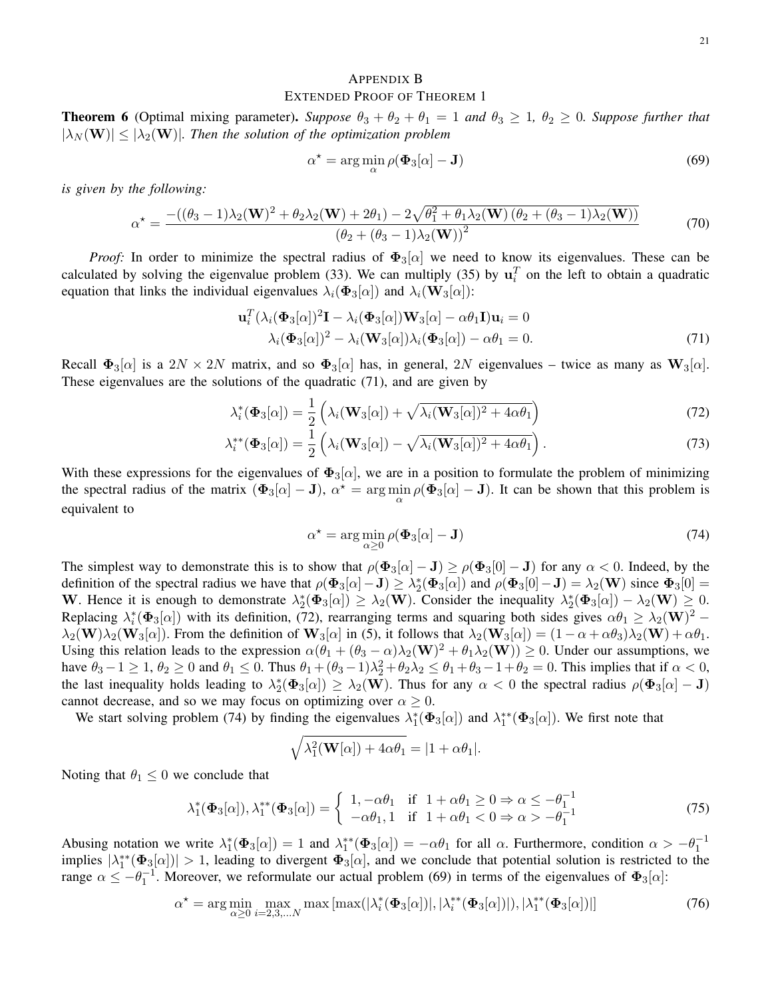# APPENDIX B EXTENDED PROOF OF THEOREM 1

**Theorem 6** (Optimal mixing parameter). *Suppose*  $\theta_3 + \theta_2 + \theta_1 = 1$  *and*  $\theta_3 \ge 1$ ,  $\theta_2 \ge 0$ *. Suppose further that*  $|\lambda_N(\mathbf{W})| \leq |\lambda_2(\mathbf{W})|$ . Then the solution of the optimization problem

$$
\alpha^* = \arg\min_{\alpha} \rho(\mathbf{\Phi}_3[\alpha] - \mathbf{J}) \tag{69}
$$

*is given by the following:*

$$
\alpha^* = \frac{-((\theta_3 - 1)\lambda_2(\mathbf{W})^2 + \theta_2\lambda_2(\mathbf{W}) + 2\theta_1) - 2\sqrt{\theta_1^2 + \theta_1\lambda_2(\mathbf{W})\left(\theta_2 + (\theta_3 - 1)\lambda_2(\mathbf{W})\right)}}{(\theta_2 + (\theta_3 - 1)\lambda_2(\mathbf{W}))^2}
$$
(70)

*Proof:* In order to minimize the spectral radius of  $\Phi_3[\alpha]$  we need to know its eigenvalues. These can be calculated by solving the eigenvalue problem (33). We can multiply (35) by  $\mathbf{u}_i^T$  on the left to obtain a quadratic equation that links the individual eigenvalues  $\lambda_i(\Phi_3[\alpha])$  and  $\lambda_i(\mathbf{W}_3[\alpha])$ :

$$
\mathbf{u}_i^T (\lambda_i (\mathbf{\Phi}_3[\alpha])^2 \mathbf{I} - \lambda_i (\mathbf{\Phi}_3[\alpha]) \mathbf{W}_3[\alpha] - \alpha \theta_1 \mathbf{I}) \mathbf{u}_i = 0
$$
  

$$
\lambda_i (\mathbf{\Phi}_3[\alpha])^2 - \lambda_i (\mathbf{W}_3[\alpha]) \lambda_i (\mathbf{\Phi}_3[\alpha]) - \alpha \theta_1 = 0.
$$
 (71)

Recall  $\Phi_3[\alpha]$  is a  $2N \times 2N$  matrix, and so  $\Phi_3[\alpha]$  has, in general,  $2N$  eigenvalues – twice as many as  $W_3[\alpha]$ . These eigenvalues are the solutions of the quadratic (71), and are given by

$$
\lambda_i^*(\Phi_3[\alpha]) = \frac{1}{2} \left( \lambda_i(\mathbf{W}_3[\alpha]) + \sqrt{\lambda_i(\mathbf{W}_3[\alpha])^2 + 4\alpha \theta_1} \right)
$$
(72)

$$
\lambda_i^{**}(\mathbf{\Phi}_3[\alpha]) = \frac{1}{2} \left( \lambda_i(\mathbf{W}_3[\alpha]) - \sqrt{\lambda_i(\mathbf{W}_3[\alpha])^2 + 4\alpha \theta_1} \right).
$$
 (73)

With these expressions for the eigenvalues of  $\Phi_3[\alpha]$ , we are in a position to formulate the problem of minimizing the spectral radius of the matrix  $(\Phi_3[\alpha] - J)$ ,  $\alpha^* = \arg \min_{\alpha} \rho(\Phi_3[\alpha] - J)$ . It can be shown that this problem is equivalent to

$$
\alpha^* = \arg\min_{\alpha \ge 0} \rho(\Phi_3[\alpha] - \mathbf{J}) \tag{74}
$$

The simplest way to demonstrate this is to show that  $\rho(\Phi_3[\alpha] - J) \ge \rho(\Phi_3[0] - J)$  for any  $\alpha < 0$ . Indeed, by the definition of the spectral radius we have that  $\rho(\Phi_3[\alpha] - J) \geq \lambda_2^*(\Phi_3[\alpha])$  and  $\rho(\Phi_3[0] - J) = \lambda_2(\mathbf{W})$  since  $\Phi_3[0] =$ W. Hence it is enough to demonstrate  $\lambda_2^*(\Phi_3[\alpha]) \geq \lambda_2(\mathbf{W})$ . Consider the inequality  $\lambda_2^*(\Phi_3[\alpha]) - \lambda_2(\mathbf{W}) \geq 0$ . Replacing  $\lambda_i^*(\Phi_3[\alpha])$  with its definition, (72), rearranging terms and squaring both sides gives  $\alpha\theta_1 \geq \lambda_2(\mathbf{W})^2$  –  $\lambda_2(\mathbf{W})\lambda_2(\mathbf{W}_3[\alpha])$ . From the definition of  $\mathbf{W}_3[\alpha]$  in (5), it follows that  $\lambda_2(\mathbf{W}_3[\alpha]) = (1 - \alpha + \alpha\theta_3)\lambda_2(\mathbf{W}) + \alpha\theta_1$ . Using this relation leads to the expression  $\alpha(\theta_1 + (\theta_3 - \alpha)\lambda_2(\mathbf{W})^2 + \theta_1\lambda_2(\mathbf{W})) \ge 0$ . Under our assumptions, we have  $\theta_3 - 1 \ge 1$ ,  $\theta_2 \ge 0$  and  $\theta_1 \le 0$ . Thus  $\theta_1 + (\theta_3 - 1)\lambda_2^2 + \theta_2\lambda_2 \le \theta_1 + \theta_3 - 1 + \theta_2 = 0$ . This implies that if  $\alpha < 0$ , the last inequality holds leading to  $\lambda_2^*(\Phi_3[\alpha]) \geq \lambda_2(\mathbf{W})$ . Thus for any  $\alpha < 0$  the spectral radius  $\rho(\Phi_3[\alpha] - \mathbf{J})$ cannot decrease, and so we may focus on optimizing over  $\alpha \geq 0$ .

We start solving problem (74) by finding the eigenvalues  $\lambda_1^*(\Phi_3[\alpha])$  and  $\lambda_1^{**}(\Phi_3[\alpha])$ . We first note that

$$
\sqrt{\lambda_1^2(\mathbf{W}[\alpha]) + 4\alpha\theta_1} = |1 + \alpha\theta_1|.
$$

Noting that  $\theta_1 \leq 0$  we conclude that

$$
\lambda_1^*(\Phi_3[\alpha]), \lambda_1^{**}(\Phi_3[\alpha]) = \begin{cases} 1, -\alpha\theta_1 & \text{if } 1 + \alpha\theta_1 \ge 0 \Rightarrow \alpha \le -\theta_1^{-1} \\ -\alpha\theta_1, 1 & \text{if } 1 + \alpha\theta_1 < 0 \Rightarrow \alpha > -\theta_1^{-1} \end{cases} \tag{75}
$$

Abusing notation we write  $\lambda_1^*(\Phi_3[\alpha]) = 1$  and  $\lambda_1^{**}(\Phi_3[\alpha]) = -\alpha \theta_1$  for all  $\alpha$ . Furthermore, condition  $\alpha > -\theta_1^{-1}$ implies  $|\lambda_1^{**}(\Phi_3[\alpha])| > 1$ , leading to divergent  $\Phi_3[\alpha]$ , and we conclude that potential solution is restricted to the range  $\alpha \le -\theta_1^{-1}$ . Moreover, we reformulate our actual problem (69) in terms of the eigenvalues of  $\Phi_3[\alpha]$ :

$$
\alpha^* = \arg\min_{\alpha \ge 0} \max_{i=2,3,\dots,N} \max\left[ \max(|\lambda_i^*(\Phi_3[\alpha])|, |\lambda_i^{**}(\Phi_3[\alpha])|), |\lambda_1^{**}(\Phi_3[\alpha])| \right]
$$
(76)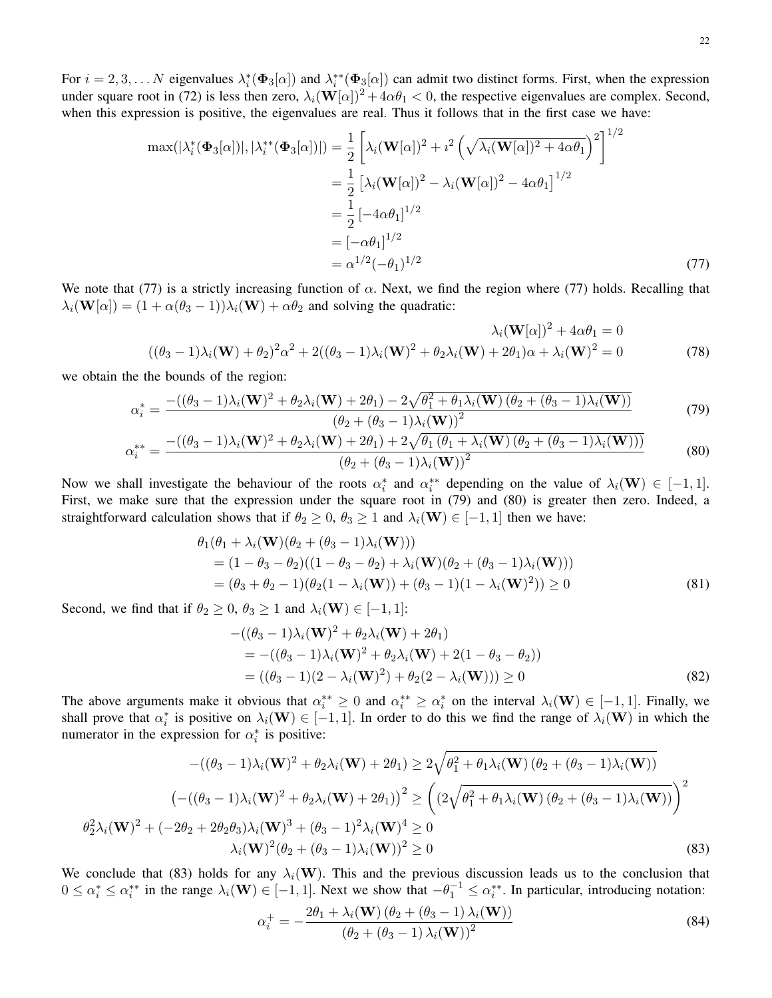22

For  $i = 2, 3, \dots N$  eigenvalues  $\lambda_i^*(\Phi_3[\alpha])$  and  $\lambda_i^{**}(\Phi_3[\alpha])$  can admit two distinct forms. First, when the expression under square root in (72) is less then zero,  $\lambda_i(\mathbf{W}[\alpha])^2 + 4\alpha\theta_1 < 0$ , the respective eigenvalues are complex. Second, when this expression is positive, the eigenvalues are real. Thus it follows that in the first case we have:

$$
\max(|\lambda_i^*(\Phi_3[\alpha])|, |\lambda_i^{**}(\Phi_3[\alpha])|) = \frac{1}{2} \left[ \lambda_i (\mathbf{W}[\alpha])^2 + i^2 \left( \sqrt{\lambda_i (\mathbf{W}[\alpha])^2 + 4\alpha \theta_1} \right)^2 \right]^{1/2}
$$
  
\n
$$
= \frac{1}{2} \left[ \lambda_i (\mathbf{W}[\alpha])^2 - \lambda_i (\mathbf{W}[\alpha])^2 - 4\alpha \theta_1 \right]^{1/2}
$$
  
\n
$$
= \frac{1}{2} \left[ -4\alpha \theta_1 \right]^{1/2}
$$
  
\n
$$
= [-\alpha \theta_1]^{1/2}
$$
  
\n
$$
= \alpha^{1/2} (-\theta_1)^{1/2}
$$
 (77)

We note that (77) is a strictly increasing function of  $\alpha$ . Next, we find the region where (77) holds. Recalling that  $\lambda_i(\mathbf{W}[\alpha]) = (1 + \alpha(\theta_3 - 1))\lambda_i(\mathbf{W}) + \alpha\theta_2$  and solving the quadratic:

$$
\lambda_i(\mathbf{W}[\alpha])^2 + 4\alpha\theta_1 = 0
$$
  

$$
((\theta_3 - 1)\lambda_i(\mathbf{W}) + \theta_2)^2\alpha^2 + 2((\theta_3 - 1)\lambda_i(\mathbf{W})^2 + \theta_2\lambda_i(\mathbf{W}) + 2\theta_1)\alpha + \lambda_i(\mathbf{W})^2 = 0
$$
 (78)

we obtain the the bounds of the region:

$$
\alpha_i^* = \frac{-((\theta_3 - 1)\lambda_i(\mathbf{W})^2 + \theta_2\lambda_i(\mathbf{W}) + 2\theta_1) - 2\sqrt{\theta_1^2 + \theta_1\lambda_i(\mathbf{W})\left(\theta_2 + (\theta_3 - 1)\lambda_i(\mathbf{W})\right)}}{(\theta_2 + (\theta_3 - 1)\lambda_i(\mathbf{W}))^2}
$$
(79)

$$
\alpha_i^{**} = \frac{-((\theta_3 - 1)\lambda_i(\mathbf{W})^2 + \theta_2\lambda_i(\mathbf{W}) + 2\theta_1) + 2\sqrt{\theta_1(\theta_1 + \lambda_i(\mathbf{W})(\theta_2 + (\theta_3 - 1)\lambda_i(\mathbf{W})))}}{(\theta_2 + (\theta_3 - 1)\lambda_i(\mathbf{W}))^2}
$$
(80)

Now we shall investigate the behaviour of the roots  $\alpha_i^*$  and  $\alpha_i^{**}$  depending on the value of  $\lambda_i(\mathbf{W}) \in [-1,1]$ . First, we make sure that the expression under the square root in (79) and (80) is greater then zero. Indeed, a straightforward calculation shows that if  $\theta_2 \geq 0$ ,  $\theta_3 \geq 1$  and  $\lambda_i(\mathbf{W}) \in [-1,1]$  then we have:

$$
\theta_1(\theta_1 + \lambda_i(\mathbf{W})(\theta_2 + (\theta_3 - 1)\lambda_i(\mathbf{W})))
$$
  
=  $(1 - \theta_3 - \theta_2)((1 - \theta_3 - \theta_2) + \lambda_i(\mathbf{W})(\theta_2 + (\theta_3 - 1)\lambda_i(\mathbf{W})))$   
=  $(\theta_3 + \theta_2 - 1)(\theta_2(1 - \lambda_i(\mathbf{W})) + (\theta_3 - 1)(1 - \lambda_i(\mathbf{W})^2)) \ge 0$  (81)

Second, we find that if  $\theta_2 \geq 0$ ,  $\theta_3 \geq 1$  and  $\lambda_i(\mathbf{W}) \in [-1, 1]$ :

$$
-( (\theta_3 - 1)\lambda_i(\mathbf{W})^2 + \theta_2 \lambda_i(\mathbf{W}) + 2\theta_1 )
$$
  
= -(( $\theta_3 - 1$ )\lambda<sub>i</sub>( $\mathbf{W}$ )<sup>2</sup> +  $\theta_2 \lambda_i(\mathbf{W}) + 2(1 - \theta_3 - \theta_2)$ )  
= (( $\theta_3 - 1$ )(2 -  $\lambda_i(\mathbf{W})^2$ ) +  $\theta_2$ (2 -  $\lambda_i(\mathbf{W})$ ))  $\ge 0$  (82)

The above arguments make it obvious that  $\alpha_i^{**} \ge 0$  and  $\alpha_i^{**} \ge \alpha_i^*$  on the interval  $\lambda_i(\mathbf{W}) \in [-1,1]$ . Finally, we shall prove that  $\alpha_i^*$  is positive on  $\lambda_i(\mathbf{W}) \in [-1,1]$ . In order to do this we find the range of  $\lambda_i(\mathbf{W})$  in which the numerator in the expression for  $\alpha_i^*$  is positive:

$$
-((\theta_{3}-1)\lambda_{i}(\mathbf{W})^{2} + \theta_{2}\lambda_{i}(\mathbf{W}) + 2\theta_{1}) \ge 2\sqrt{\theta_{1}^{2} + \theta_{1}\lambda_{i}(\mathbf{W})\left(\theta_{2} + (\theta_{3} - 1)\lambda_{i}(\mathbf{W})\right)}
$$

$$
\left(-((\theta_{3} - 1)\lambda_{i}(\mathbf{W})^{2} + \theta_{2}\lambda_{i}(\mathbf{W}) + 2\theta_{1})\right)^{2} \ge \left((2\sqrt{\theta_{1}^{2} + \theta_{1}\lambda_{i}(\mathbf{W})\left(\theta_{2} + (\theta_{3} - 1)\lambda_{i}(\mathbf{W})\right)}\right)^{2}
$$

$$
\theta_{2}^{2}\lambda_{i}(\mathbf{W})^{2} + (-2\theta_{2} + 2\theta_{2}\theta_{3})\lambda_{i}(\mathbf{W})^{3} + (\theta_{3} - 1)^{2}\lambda_{i}(\mathbf{W})^{4} \ge 0
$$

$$
\lambda_{i}(\mathbf{W})^{2}(\theta_{2} + (\theta_{3} - 1)\lambda_{i}(\mathbf{W}))^{2} \ge 0
$$
(83)

We conclude that (83) holds for any  $\lambda_i(\mathbf{W})$ . This and the previous discussion leads us to the conclusion that  $0 \le \alpha_i^* \le \alpha_i^{**}$  in the range  $\lambda_i(\mathbf{W}) \in [-1, 1]$ . Next we show that  $-\theta_1^{-1} \le \alpha_i^{**}$ . In particular, introducing notation:

$$
\alpha_i^+ = -\frac{2\theta_1 + \lambda_i(\mathbf{W})\left(\theta_2 + (\theta_3 - 1)\lambda_i(\mathbf{W})\right)}{\left(\theta_2 + (\theta_3 - 1)\lambda_i(\mathbf{W})\right)^2}
$$
(84)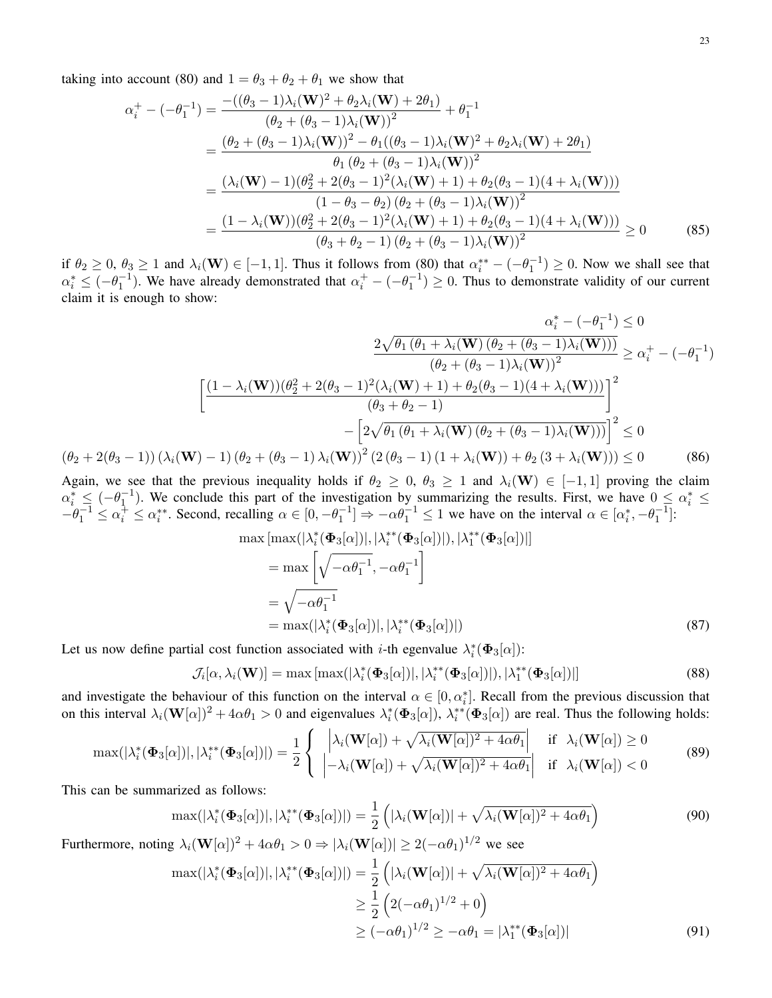taking into account (80) and  $1 = \theta_3 + \theta_2 + \theta_1$  we show that

$$
\alpha_{i}^{+} - (-\theta_{1}^{-1}) = \frac{-((\theta_{3} - 1)\lambda_{i}(\mathbf{W})^{2} + \theta_{2}\lambda_{i}(\mathbf{W}) + 2\theta_{1})}{(\theta_{2} + (\theta_{3} - 1)\lambda_{i}(\mathbf{W}))^{2}} + \theta_{1}^{-1}
$$
\n
$$
= \frac{(\theta_{2} + (\theta_{3} - 1)\lambda_{i}(\mathbf{W}))^{2} - \theta_{1}((\theta_{3} - 1)\lambda_{i}(\mathbf{W})^{2} + \theta_{2}\lambda_{i}(\mathbf{W}) + 2\theta_{1})}{\theta_{1}(\theta_{2} + (\theta_{3} - 1)\lambda_{i}(\mathbf{W}))^{2}}
$$
\n
$$
= \frac{(\lambda_{i}(\mathbf{W}) - 1)(\theta_{2}^{2} + 2(\theta_{3} - 1)^{2}(\lambda_{i}(\mathbf{W}) + 1) + \theta_{2}(\theta_{3} - 1)(4 + \lambda_{i}(\mathbf{W})))}{(1 - \theta_{3} - \theta_{2})(\theta_{2} + (\theta_{3} - 1)\lambda_{i}(\mathbf{W}))^{2}}
$$
\n
$$
= \frac{(1 - \lambda_{i}(\mathbf{W}))(\theta_{2}^{2} + 2(\theta_{3} - 1)^{2}(\lambda_{i}(\mathbf{W}) + 1) + \theta_{2}(\theta_{3} - 1)(4 + \lambda_{i}(\mathbf{W})))}{(\theta_{3} + \theta_{2} - 1)(\theta_{2} + (\theta_{3} - 1)\lambda_{i}(\mathbf{W}))^{2}} \ge 0
$$
\n(85)

if  $\theta_2 \geq 0$ ,  $\theta_3 \geq 1$  and  $\lambda_i(\mathbf{W}) \in [-1, 1]$ . Thus it follows from (80) that  $\alpha_i^{**} - (-\theta_1^{-1}) \geq 0$ . Now we shall see that  $\alpha_i^* \leq (-\theta_1^{-1})$ . We have already demonstrated that  $\alpha_i^+ - (-\theta_1^{-1}) \geq 0$ . Thus to demonstrate validity of our current claim it is enough to show:

$$
\alpha_{i}^{*} - (-\theta_{1}^{-1}) \leq 0
$$
\n
$$
\frac{2\sqrt{\theta_{1}(\theta_{1} + \lambda_{i}(\mathbf{W})(\theta_{2} + (\theta_{3} - 1)\lambda_{i}(\mathbf{W})))}}{(\theta_{2} + (\theta_{3} - 1)\lambda_{i}(\mathbf{W}))^{2}} \geq \alpha_{i}^{+} - (-\theta_{1}^{-1})
$$
\n
$$
\left[ \frac{(1 - \lambda_{i}(\mathbf{W}))(\theta_{2}^{2} + 2(\theta_{3} - 1)^{2}(\lambda_{i}(\mathbf{W}) + 1) + \theta_{2}(\theta_{3} - 1)(4 + \lambda_{i}(\mathbf{W})))}{(\theta_{3} + \theta_{2} - 1)} \right]^{2}
$$
\n
$$
-\left[ 2\sqrt{\theta_{1}(\theta_{1} + \lambda_{i}(\mathbf{W})(\theta_{2} + (\theta_{3} - 1)\lambda_{i}(\mathbf{W})))} \right]^{2} \leq 0
$$
\n
$$
(\theta_{2} + 2(\theta_{3} - 1)) (\lambda_{i}(\mathbf{W}) - 1) (\theta_{2} + (\theta_{3} - 1)\lambda_{i}(\mathbf{W}))^{2} (2(\theta_{3} - 1) (1 + \lambda_{i}(\mathbf{W})) + \theta_{2} (3 + \lambda_{i}(\mathbf{W}))) \leq 0
$$
\n(86)

Again, we see that the previous inequality holds if  $\theta_2 \geq 0$ ,  $\theta_3 \geq 1$  and  $\lambda_i(\mathbf{W}) \in [-1,1]$  proving the claim  $\alpha_i^* \leq (-\theta_1^{-1})$ . We conclude this part of the investigation by summarizing the results. First, we have  $0 \leq \alpha_i^* \leq$  $-\theta_1^{-1} \leq \alpha_i^+ \leq \alpha_i^{**}$ . Second, recalling  $\alpha \in [0, -\theta_1^{-1}] \Rightarrow -\alpha \theta_1^{-1} \leq 1$  we have on the interval  $\alpha \in [\alpha_i^*, -\theta_1^{-1}]$ :

$$
\max\left[\max(|\lambda_i^*(\Phi_3[\alpha])|, |\lambda_i^{**}(\Phi_3[\alpha])|), |\lambda_1^{**}(\Phi_3[\alpha])|\right]
$$
  
\n
$$
= \max\left[\sqrt{-\alpha\theta_1^{-1}}, -\alpha\theta_1^{-1}\right]
$$
  
\n
$$
= \sqrt{-\alpha\theta_1^{-1}}
$$
  
\n
$$
= \max(|\lambda_i^*(\Phi_3[\alpha])|, |\lambda_i^{**}(\Phi_3[\alpha])|)
$$
 (87)

Let us now define partial cost function associated with *i*-th egenvalue  $\lambda_i^*(\Phi_3[\alpha])$ :

$$
\mathcal{J}_i[\alpha, \lambda_i(\mathbf{W})] = \max\left[\max(|\lambda_i^*(\boldsymbol{\Phi}_3[\alpha])|, |\lambda_i^{**}(\boldsymbol{\Phi}_3[\alpha])|), |\lambda_1^{**}(\boldsymbol{\Phi}_3[\alpha])|\right]
$$
(88)

and investigate the behaviour of this function on the interval  $\alpha \in [0, \alpha_i^*]$ . Recall from the previous discussion that on this interval  $\lambda_i(\mathbf{W}[\alpha])^2 + 4\alpha \theta_1 > 0$  and eigenvalues  $\lambda_i^*(\Phi_3[\alpha])$ ,  $\lambda_i^{**}(\Phi_3[\alpha])$  are real. Thus the following holds:

$$
\max(|\lambda_i^*(\Phi_3[\alpha])|, |\lambda_i^{**}(\Phi_3[\alpha])|) = \frac{1}{2} \left\{ \begin{array}{ccc} \left| \lambda_i(\mathbf{W}[\alpha]) + \sqrt{\lambda_i(\mathbf{W}[\alpha])^2 + 4\alpha \theta_1} \right| & \text{if } \lambda_i(\mathbf{W}[\alpha]) \ge 0\\ -\lambda_i(\mathbf{W}[\alpha]) + \sqrt{\lambda_i(\mathbf{W}[\alpha])^2 + 4\alpha \theta_1} & \text{if } \lambda_i(\mathbf{W}[\alpha]) < 0 \end{array} \right. \tag{89}
$$

This can be summarized as follows:

$$
\max(|\lambda_i^*(\Phi_3[\alpha])|, |\lambda_i^{**}(\Phi_3[\alpha])|) = \frac{1}{2} \left( |\lambda_i(\mathbf{W}[\alpha])| + \sqrt{\lambda_i(\mathbf{W}[\alpha])^2 + 4\alpha\theta_1} \right)
$$
(90)

Furthermore, noting  $\lambda_i(\mathbf{W}[\alpha])^2 + 4\alpha\theta_1 > 0 \Rightarrow |\lambda_i(\mathbf{W}[\alpha])| \ge 2(-\alpha\theta_1)^{1/2}$  we see

$$
\max(|\lambda_i^*(\Phi_3[\alpha])|, |\lambda_i^{**}(\Phi_3[\alpha])|) = \frac{1}{2} \left( |\lambda_i(\mathbf{W}[\alpha])| + \sqrt{\lambda_i(\mathbf{W}[\alpha])^2 + 4\alpha\theta_1} \right)
$$
  
\n
$$
\geq \frac{1}{2} \left( 2(-\alpha\theta_1)^{1/2} + 0 \right)
$$
  
\n
$$
\geq (-\alpha\theta_1)^{1/2} \geq -\alpha\theta_1 = |\lambda_1^{**}(\Phi_3[\alpha])|
$$
(91)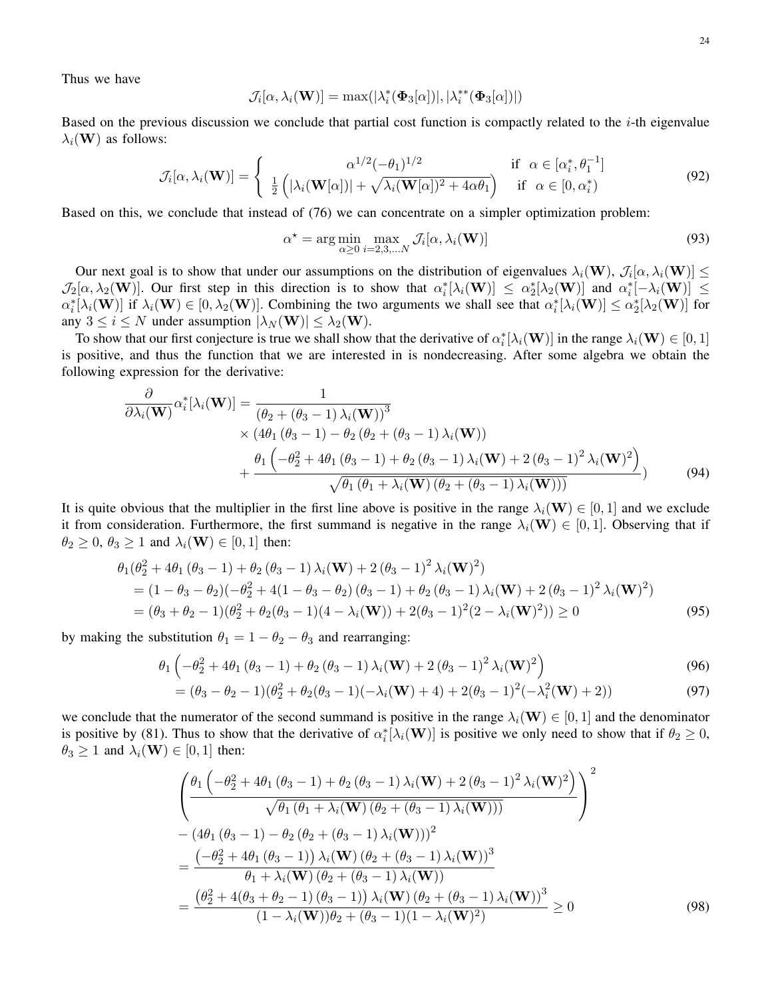Thus we have

$$
\mathcal{J}_i[\alpha, \lambda_i(\mathbf{W})] = \max(|\lambda_i^*(\boldsymbol{\Phi}_3[\alpha])|, |\lambda_i^{**}(\boldsymbol{\Phi}_3[\alpha])|)
$$

Based on the previous discussion we conclude that partial cost function is compactly related to the  $i$ -th eigenvalue  $\lambda_i(\mathbf{W})$  as follows:

$$
\mathcal{J}_i[\alpha, \lambda_i(\mathbf{W})] = \begin{cases} \alpha^{1/2}(-\theta_1)^{1/2} & \text{if } \alpha \in [\alpha_i^*, \theta_1^{-1}]\\ \frac{1}{2} \left( |\lambda_i(\mathbf{W}[\alpha])| + \sqrt{\lambda_i(\mathbf{W}[\alpha])^2 + 4\alpha \theta_1} \right) & \text{if } \alpha \in [0, \alpha_i^*) \end{cases}
$$
(92)

Based on this, we conclude that instead of (76) we can concentrate on a simpler optimization problem:

$$
\alpha^* = \arg\min_{\alpha \ge 0} \max_{i=2,3,\dots,N} \mathcal{J}_i[\alpha, \lambda_i(\mathbf{W})]
$$
(93)

Our next goal is to show that under our assumptions on the distribution of eigenvalues  $\lambda_i(\mathbf{W})$ ,  $\mathcal{J}_i[\alpha, \lambda_i(\mathbf{W})] \leq$  $\mathcal{J}_2[\alpha,\lambda_2(\mathbf{W})]$ . Our first step in this direction is to show that  $\alpha_i^*[\lambda_i(\mathbf{W})] \leq \alpha_2^*[\lambda_2(\mathbf{W})]$  and  $\alpha_i^*[-\lambda_i(\mathbf{W})] \leq$  $\alpha_i^*[\lambda_i(\mathbf{W})]$  if  $\lambda_i(\mathbf{W}) \in [0, \lambda_2(\mathbf{W})]$ . Combining the two arguments we shall see that  $\alpha_i^*[\lambda_i(\mathbf{W})] \leq \alpha_2^*[\lambda_2(\mathbf{W})]$  for any  $3 \le i \le N$  under assumption  $|\lambda_N(\mathbf{W})| \le \lambda_2(\mathbf{W})$ .

To show that our first conjecture is true we shall show that the derivative of  $\alpha_i^*[\lambda_i(\mathbf{W})]$  in the range  $\lambda_i(\mathbf{W}) \in [0,1]$ is positive, and thus the function that we are interested in is nondecreasing. After some algebra we obtain the following expression for the derivative:

$$
\frac{\partial}{\partial \lambda_i(\mathbf{W})} \alpha_i^* [\lambda_i(\mathbf{W})] = \frac{1}{(\theta_2 + (\theta_3 - 1) \lambda_i(\mathbf{W}))^3} \times (4\theta_1 (\theta_3 - 1) - \theta_2 (\theta_2 + (\theta_3 - 1) \lambda_i(\mathbf{W})) + \frac{\theta_1 (-\theta_2^2 + 4\theta_1 (\theta_3 - 1) + \theta_2 (\theta_3 - 1) \lambda_i(\mathbf{W}) + 2 (\theta_3 - 1)^2 \lambda_i(\mathbf{W})^2)}{\sqrt{\theta_1 (\theta_1 + \lambda_i(\mathbf{W}) (\theta_2 + (\theta_3 - 1) \lambda_i(\mathbf{W})))}} \tag{94}
$$

It is quite obvious that the multiplier in the first line above is positive in the range  $\lambda_i(\mathbf{W}) \in [0,1]$  and we exclude it from consideration. Furthermore, the first summand is negative in the range  $\lambda_i(\mathbf{W}) \in [0,1]$ . Observing that if  $\theta_2 \geq 0$ ,  $\theta_3 \geq 1$  and  $\lambda_i(\mathbf{W}) \in [0, 1]$  then:

$$
\theta_1(\theta_2^2 + 4\theta_1(\theta_3 - 1) + \theta_2(\theta_3 - 1)\lambda_i(\mathbf{W}) + 2(\theta_3 - 1)^2\lambda_i(\mathbf{W})^2)
$$
  
=  $(1 - \theta_3 - \theta_2)(-\theta_2^2 + 4(1 - \theta_3 - \theta_2)(\theta_3 - 1) + \theta_2(\theta_3 - 1)\lambda_i(\mathbf{W}) + 2(\theta_3 - 1)^2\lambda_i(\mathbf{W})^2)$   
=  $(\theta_3 + \theta_2 - 1)(\theta_2^2 + \theta_2(\theta_3 - 1)(4 - \lambda_i(\mathbf{W})) + 2(\theta_3 - 1)^2(2 - \lambda_i(\mathbf{W})^2)) \ge 0$  (95)

by making the substitution  $\theta_1 = 1 - \theta_2 - \theta_3$  and rearranging:

$$
\theta_1 \left( -\theta_2^2 + 4\theta_1 \left( \theta_3 - 1 \right) + \theta_2 \left( \theta_3 - 1 \right) \lambda_i(\mathbf{W}) + 2 \left( \theta_3 - 1 \right)^2 \lambda_i(\mathbf{W})^2 \right) \tag{96}
$$

$$
= (\theta_3 - \theta_2 - 1)(\theta_2^2 + \theta_2(\theta_3 - 1)(-\lambda_i(\mathbf{W}) + 4) + 2(\theta_3 - 1)^2(-\lambda_i^2(\mathbf{W}) + 2))
$$
\n(97)

we conclude that the numerator of the second summand is positive in the range  $\lambda_i(\mathbf{W}) \in [0,1]$  and the denominator is positive by (81). Thus to show that the derivative of  $\alpha_i^*[\lambda_i(\mathbf{W})]$  is positive we only need to show that if  $\theta_2 \ge 0$ ,  $\theta_3 \geq 1$  and  $\lambda_i(\mathbf{W}) \in [0,1]$  then:

$$
\begin{aligned}\n&\left(\frac{\theta_{1}\left(-\theta_{2}^{2}+4\theta_{1}\left(\theta_{3}-1\right)+\theta_{2}\left(\theta_{3}-1\right)\lambda_{i}(\mathbf{W})+2\left(\theta_{3}-1\right)^{2}\lambda_{i}(\mathbf{W})^{2}\right)}{\sqrt{\theta_{1}\left(\theta_{1}+\lambda_{i}(\mathbf{W})\left(\theta_{2}+\left(\theta_{3}-1\right)\lambda_{i}(\mathbf{W})\right)\right)}}\right)^{2} \\
&-\left(4\theta_{1}\left(\theta_{3}-1\right)-\theta_{2}\left(\theta_{2}+\left(\theta_{3}-1\right)\lambda_{i}(\mathbf{W})\right)\right)^{2} \\
&=\frac{\left(-\theta_{2}^{2}+4\theta_{1}\left(\theta_{3}-1\right)\right)\lambda_{i}(\mathbf{W})\left(\theta_{2}+\left(\theta_{3}-1\right)\lambda_{i}(\mathbf{W})\right)^{3}}{\theta_{1}+\lambda_{i}(\mathbf{W})\left(\theta_{2}+\left(\theta_{3}-1\right)\lambda_{i}(\mathbf{W})\right)} \\
&=\frac{\left(\theta_{2}^{2}+4\left(\theta_{3}+\theta_{2}-1\right)\left(\theta_{3}-1\right)\right)\lambda_{i}(\mathbf{W})\left(\theta_{2}+\left(\theta_{3}-1\right)\lambda_{i}(\mathbf{W})\right)^{3}}{\left(1-\lambda_{i}(\mathbf{W})\right)\theta_{2}+\left(\theta_{3}-1\right)\left(1-\lambda_{i}(\mathbf{W})^{2}\right)}\n\geq 0\n\end{aligned} \tag{98}
$$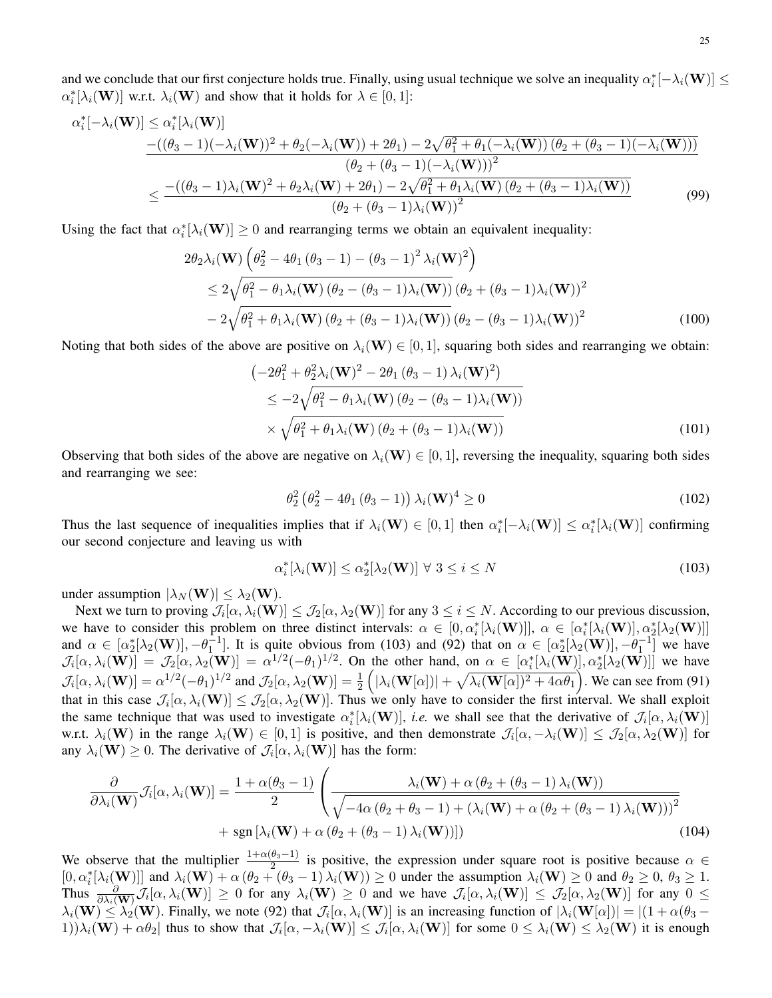and we conclude that our first conjecture holds true. Finally, using usual technique we solve an inequality  $\alpha_i^*[-\lambda_i(\mathbf{W})] \leq$  $\alpha_i^*[\lambda_i(\mathbf{W})]$  w.r.t.  $\lambda_i(\mathbf{W})$  and show that it holds for  $\lambda \in [0,1]$ :

$$
\alpha_{i}^{*}[-\lambda_{i}(\mathbf{W})] \leq \alpha_{i}^{*}[\lambda_{i}(\mathbf{W})] \n-((\theta_{3}-1)(-\lambda_{i}(\mathbf{W}))^{2} + \theta_{2}(-\lambda_{i}(\mathbf{W})) + 2\theta_{1}) - 2\sqrt{\theta_{1}^{2} + \theta_{1}(-\lambda_{i}(\mathbf{W}))(\theta_{2} + (\theta_{3} - 1)(-\lambda_{i}(\mathbf{W})))} \n(\theta_{2} + (\theta_{3} - 1)(-\lambda_{i}(\mathbf{W})))^{2} \n\leq \frac{-((\theta_{3} - 1)\lambda_{i}(\mathbf{W})^{2} + \theta_{2}\lambda_{i}(\mathbf{W}) + 2\theta_{1}) - 2\sqrt{\theta_{1}^{2} + \theta_{1}\lambda_{i}(\mathbf{W})(\theta_{2} + (\theta_{3} - 1)\lambda_{i}(\mathbf{W}))}}{(\theta_{2} + (\theta_{3} - 1)\lambda_{i}(\mathbf{W}))^{2}}
$$
\n(99)

Using the fact that  $\alpha_i^*[\lambda_i(\mathbf{W})] \ge 0$  and rearranging terms we obtain an equivalent inequality:

$$
2\theta_2 \lambda_i(\mathbf{W}) \left( \theta_2^2 - 4\theta_1 (\theta_3 - 1) - (\theta_3 - 1)^2 \lambda_i(\mathbf{W})^2 \right)
$$
  
\n
$$
\leq 2\sqrt{\theta_1^2 - \theta_1 \lambda_i(\mathbf{W}) (\theta_2 - (\theta_3 - 1)\lambda_i(\mathbf{W}))} (\theta_2 + (\theta_3 - 1)\lambda_i(\mathbf{W}))^2
$$
  
\n
$$
-2\sqrt{\theta_1^2 + \theta_1 \lambda_i(\mathbf{W}) (\theta_2 + (\theta_3 - 1)\lambda_i(\mathbf{W}))} (\theta_2 - (\theta_3 - 1)\lambda_i(\mathbf{W}))^2
$$
(100)

Noting that both sides of the above are positive on  $\lambda_i(\mathbf{W}) \in [0, 1]$ , squaring both sides and rearranging we obtain:

$$
\begin{aligned}\n&\left(-2\theta_1^2 + \theta_2^2 \lambda_i(\mathbf{W})^2 - 2\theta_1 (\theta_3 - 1) \lambda_i(\mathbf{W})^2\right) \\
&\leq -2\sqrt{\theta_1^2 - \theta_1 \lambda_i(\mathbf{W}) (\theta_2 - (\theta_3 - 1) \lambda_i(\mathbf{W}))} \\
&\times \sqrt{\theta_1^2 + \theta_1 \lambda_i(\mathbf{W}) (\theta_2 + (\theta_3 - 1) \lambda_i(\mathbf{W}))}\n\end{aligned} \tag{101}
$$

Observing that both sides of the above are negative on  $\lambda_i(\mathbf{W}) \in [0, 1]$ , reversing the inequality, squaring both sides and rearranging we see:

$$
\theta_2^2 \left(\theta_2^2 - 4\theta_1 \left(\theta_3 - 1\right)\right) \lambda_i(\mathbf{W})^4 \ge 0 \tag{102}
$$

Thus the last sequence of inequalities implies that if  $\lambda_i(\mathbf{W}) \in [0,1]$  then  $\alpha_i^*[-\lambda_i(\mathbf{W})] \leq \alpha_i^*[\lambda_i(\mathbf{W})]$  confirming our second conjecture and leaving us with

$$
\alpha_i^*[\lambda_i(\mathbf{W})] \le \alpha_2^*[\lambda_2(\mathbf{W})] \ \forall \ 3 \le i \le N \tag{103}
$$

under assumption  $|\lambda_N(\mathbf{W})| \leq \lambda_2(\mathbf{W})$ .

Next we turn to proving  $\mathcal{J}_i[\alpha,\lambda_i(\mathbf{W})] \leq \mathcal{J}_2[\alpha,\lambda_2(\mathbf{W})]$  for any  $3 \leq i \leq N$ . According to our previous discussion, we have to consider this problem on three distinct intervals:  $\alpha \in [0, \alpha_i^*[\lambda_i(\mathbf{W})]]$ ,  $\alpha \in [\alpha_i^*[\lambda_i(\mathbf{W})], \alpha_2^*[\lambda_2(\mathbf{W})]]$ and  $\alpha \in [\alpha_2^*[\lambda_2(\mathbf{W})], -\theta_1^{-1}]$ . It is quite obvious from (103) and (92) that on  $\alpha \in [\alpha_2^*[\lambda_2(\mathbf{W})], -\theta_1^{-1}]$  we have  $\mathcal{J}_i[\alpha, \lambda_i(\mathbf{W})] = \mathcal{J}_2[\alpha, \lambda_2(\mathbf{W})] = \alpha^{1/2}(-\theta_1)^{1/2}$ . On the other hand, on  $\alpha \in [\alpha_i^* [\lambda_i(\mathbf{W})], \alpha_2^* [\lambda_2(\mathbf{W})]]$  we have  $\mathcal{J}_i[\alpha, \lambda_i(\mathbf{W})] = \alpha^{1/2}(-\theta_1)^{1/2}$  and  $\mathcal{J}_2[\alpha, \lambda_2(\mathbf{W})] = \frac{1}{2} \left( |\lambda_i(\mathbf{W}[\alpha])| + \sqrt{\lambda_i(\mathbf{W}[\alpha])^2 + 4\alpha \theta_1} \right)$ . We can see from (91) that in this case  $\mathcal{J}_i[\alpha,\lambda_i(\mathbf{W})] \leq \mathcal{J}_2[\alpha,\lambda_2(\mathbf{W})]$ . Thus we only have to consider the first interval. We shall exploit the same technique that was used to investigate  $\alpha_i^*[\lambda_i(\mathbf{W})]$ , *i.e.* we shall see that the derivative of  $\mathcal{J}_i[\alpha, \lambda_i(\mathbf{W})]$ w.r.t.  $\lambda_i(\mathbf{W})$  in the range  $\lambda_i(\mathbf{W}) \in [0,1]$  is positive, and then demonstrate  $\mathcal{J}_i[\alpha,-\lambda_i(\mathbf{W})] \leq \mathcal{J}_2[\alpha,\lambda_2(\mathbf{W})]$  for any  $\lambda_i(\mathbf{W}) \geq 0$ . The derivative of  $\mathcal{J}_i[\alpha, \lambda_i(\mathbf{W})]$  has the form:

$$
\frac{\partial}{\partial \lambda_i(\mathbf{W})} \mathcal{J}_i[\alpha, \lambda_i(\mathbf{W})] = \frac{1 + \alpha(\theta_3 - 1)}{2} \left( \frac{\lambda_i(\mathbf{W}) + \alpha(\theta_2 + (\theta_3 - 1) \lambda_i(\mathbf{W}))}{\sqrt{-4\alpha(\theta_2 + \theta_3 - 1) + (\lambda_i(\mathbf{W}) + \alpha(\theta_2 + (\theta_3 - 1) \lambda_i(\mathbf{W})))^2}} + \text{sgn} \left[ \lambda_i(\mathbf{W}) + \alpha(\theta_2 + (\theta_3 - 1) \lambda_i(\mathbf{W})) \right] \right)
$$
(104)

We observe that the multiplier  $\frac{1+\alpha(\theta_3-1)}{2}$  is positive, the expression under square root is positive because  $\alpha \in$  $[0, \alpha_i^*[\lambda_i(\mathbf{W})]]$  and  $\lambda_i(\mathbf{W}) + \alpha (\theta_2 + (\theta_3 - 1) \lambda_i(\mathbf{W})) \ge 0$  under the assumption  $\lambda_i(\mathbf{W}) \ge 0$  and  $\theta_2 \ge 0$ ,  $\theta_3 \ge 1$ . Thus  $\frac{\partial}{\partial \lambda_i(\mathbf{W})}\overline{\mathcal{J}}_i[\alpha,\lambda_i(\mathbf{W})] \ge 0$  for any  $\lambda_i(\mathbf{W}) \ge 0$  and we have  $\mathcal{J}_i[\alpha,\lambda_i(\mathbf{W})] \le \mathcal{J}_2[\alpha,\lambda_2(\mathbf{W})]$  for any  $0 \le$  $\lambda_i(\mathbf{W}) \leq \lambda_2(\mathbf{W})$ . Finally, we note (92) that  $\mathcal{J}_i[\alpha, \lambda_i(\mathbf{W})]$  is an increasing function of  $|\lambda_i(\mathbf{W}[\alpha])| = |(1 + \alpha(\theta_3 - \theta_1)/2)$  $1$ )) $\lambda_i(\mathbf{W}) + \alpha \theta_2$  thus to show that  $\mathcal{J}_i[\alpha, -\lambda_i(\mathbf{W})] \leq \mathcal{J}_i[\alpha, \lambda_i(\mathbf{W})]$  for some  $0 \leq \lambda_i(\mathbf{W}) \leq \lambda_2(\mathbf{W})$  it is enough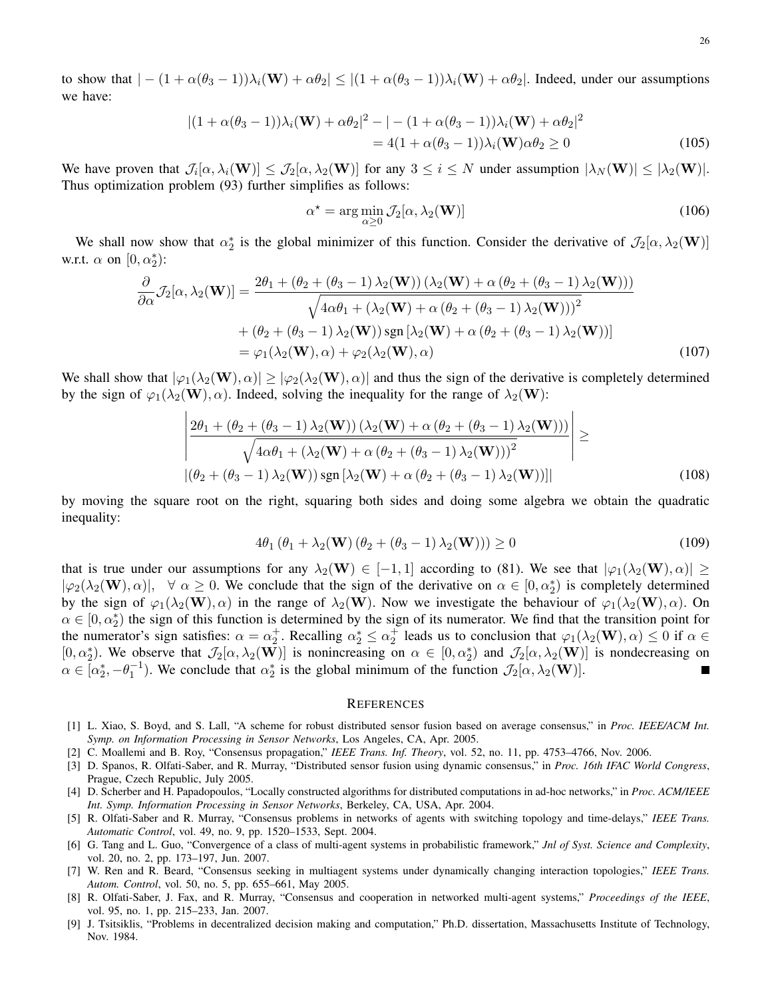to show that  $|-(1+\alpha(\theta_3-1))\lambda_i(\mathbf{W})+\alpha\theta_2|\leq |(1+\alpha(\theta_3-1))\lambda_i(\mathbf{W})+\alpha\theta_2|$ . Indeed, under our assumptions we have:

$$
|(1+\alpha(\theta_3-1))\lambda_i(\mathbf{W})+\alpha\theta_2|^2-|-(1+\alpha(\theta_3-1))\lambda_i(\mathbf{W})+\alpha\theta_2|^2
$$
  
= 4(1+\alpha(\theta\_3-1))\lambda\_i(\mathbf{W})\alpha\theta\_2 \ge 0 (105)

We have proven that  $\mathcal{J}_i[\alpha, \lambda_i(\mathbf{W})] \leq \mathcal{J}_2[\alpha, \lambda_2(\mathbf{W})]$  for any  $3 \leq i \leq N$  under assumption  $|\lambda_N(\mathbf{W})| \leq |\lambda_2(\mathbf{W})|$ . Thus optimization problem (93) further simplifies as follows:

$$
\alpha^* = \arg\min_{\alpha \ge 0} \mathcal{J}_2[\alpha, \lambda_2(\mathbf{W})]
$$
\n(106)

We shall now show that  $\alpha_2^*$  is the global minimizer of this function. Consider the derivative of  $\mathcal{J}_2[\alpha,\lambda_2(\mathbf{W})]$ w.r.t.  $\alpha$  on  $[0, \alpha_2^*)$ :

$$
\frac{\partial}{\partial \alpha} \mathcal{J}_2[\alpha, \lambda_2(\mathbf{W})] = \frac{2\theta_1 + (\theta_2 + (\theta_3 - 1)\lambda_2(\mathbf{W}))(\lambda_2(\mathbf{W}) + \alpha(\theta_2 + (\theta_3 - 1)\lambda_2(\mathbf{W})))}{\sqrt{4\alpha\theta_1 + (\lambda_2(\mathbf{W}) + \alpha(\theta_2 + (\theta_3 - 1)\lambda_2(\mathbf{W})))^2}}
$$
  
+  $(\theta_2 + (\theta_3 - 1)\lambda_2(\mathbf{W})) \operatorname{sgn}[\lambda_2(\mathbf{W}) + \alpha(\theta_2 + (\theta_3 - 1)\lambda_2(\mathbf{W}))]$   
=  $\varphi_1(\lambda_2(\mathbf{W}), \alpha) + \varphi_2(\lambda_2(\mathbf{W}), \alpha)$  (107)

We shall show that  $|\varphi_1(\lambda_2(\mathbf{W}), \alpha)| \ge |\varphi_2(\lambda_2(\mathbf{W}), \alpha)|$  and thus the sign of the derivative is completely determined by the sign of  $\varphi_1(\lambda_2(\mathbf{W}), \alpha)$ . Indeed, solving the inequality for the range of  $\lambda_2(\mathbf{W})$ :

$$
\left| \frac{2\theta_1 + (\theta_2 + (\theta_3 - 1) \lambda_2(\mathbf{W})) (\lambda_2(\mathbf{W}) + \alpha (\theta_2 + (\theta_3 - 1) \lambda_2(\mathbf{W})))}{\sqrt{4\alpha \theta_1 + (\lambda_2(\mathbf{W}) + \alpha (\theta_2 + (\theta_3 - 1) \lambda_2(\mathbf{W})))^2}} \right| \ge
$$
\n
$$
|(\theta_2 + (\theta_3 - 1) \lambda_2(\mathbf{W})) \operatorname{sgn} [\lambda_2(\mathbf{W}) + \alpha (\theta_2 + (\theta_3 - 1) \lambda_2(\mathbf{W}))]|
$$
\n(108)

by moving the square root on the right, squaring both sides and doing some algebra we obtain the quadratic inequality:

$$
4\theta_1 \left(\theta_1 + \lambda_2(\mathbf{W})\left(\theta_2 + \left(\theta_3 - 1\right)\lambda_2(\mathbf{W})\right)\right) \ge 0\tag{109}
$$

that is true under our assumptions for any  $\lambda_2(\mathbf{W}) \in [-1,1]$  according to (81). We see that  $|\varphi_1(\lambda_2(\mathbf{W}), \alpha)| \ge$  $|\varphi_2(\lambda_2(\mathbf{W}), \alpha)|$ ,  $\forall \alpha \ge 0$ . We conclude that the sign of the derivative on  $\alpha \in [0, \alpha_2^*)$  is completely determined by the sign of  $\varphi_1(\lambda_2(\mathbf{W}), \alpha)$  in the range of  $\lambda_2(\mathbf{W})$ . Now we investigate the behaviour of  $\varphi_1(\lambda_2(\mathbf{W}), \alpha)$ . On  $\alpha \in [0, \alpha_2^*)$  the sign of this function is determined by the sign of its numerator. We find that the transition point for the numerator's sign satisfies:  $\alpha = \alpha_2^+$ . Recalling  $\alpha_2^* \le \alpha_2^+$  leads us to conclusion that  $\varphi_1(\lambda_2(\mathbf{W}), \alpha) \le 0$  if  $\alpha \in$ [0,  $\alpha_2^*$ ). We observe that  $\mathcal{J}_2[\alpha,\lambda_2(\mathbf{W})]$  is nonincreasing on  $\alpha \in [0,\alpha_2^*)$  and  $\mathcal{J}_2[\alpha,\lambda_2(\mathbf{W})]$  is nondecreasing on  $\alpha \in [\alpha_2^*, -\theta_1^{-1})$ . We conclude that  $\alpha_2^*$  is the global minimum of the function  $\mathcal{J}_2[\alpha, \lambda_2(\mathbf{W})]$ . П

#### **REFERENCES**

- [1] L. Xiao, S. Boyd, and S. Lall, "A scheme for robust distributed sensor fusion based on average consensus," in *Proc. IEEE/ACM Int. Symp. on Information Processing in Sensor Networks*, Los Angeles, CA, Apr. 2005.
- [2] C. Moallemi and B. Roy, "Consensus propagation," *IEEE Trans. Inf. Theory*, vol. 52, no. 11, pp. 4753–4766, Nov. 2006.
- [3] D. Spanos, R. Olfati-Saber, and R. Murray, "Distributed sensor fusion using dynamic consensus," in *Proc. 16th IFAC World Congress*, Prague, Czech Republic, July 2005.
- [4] D. Scherber and H. Papadopoulos, "Locally constructed algorithms for distributed computations in ad-hoc networks," in *Proc. ACM/IEEE Int. Symp. Information Processing in Sensor Networks*, Berkeley, CA, USA, Apr. 2004.
- [5] R. Olfati-Saber and R. Murray, "Consensus problems in networks of agents with switching topology and time-delays," *IEEE Trans. Automatic Control*, vol. 49, no. 9, pp. 1520–1533, Sept. 2004.
- [6] G. Tang and L. Guo, "Convergence of a class of multi-agent systems in probabilistic framework," *Jnl of Syst. Science and Complexity*, vol. 20, no. 2, pp. 173–197, Jun. 2007.
- [7] W. Ren and R. Beard, "Consensus seeking in multiagent systems under dynamically changing interaction topologies," *IEEE Trans. Autom. Control*, vol. 50, no. 5, pp. 655–661, May 2005.
- [8] R. Olfati-Saber, J. Fax, and R. Murray, "Consensus and cooperation in networked multi-agent systems," *Proceedings of the IEEE*, vol. 95, no. 1, pp. 215–233, Jan. 2007.
- [9] J. Tsitsiklis, "Problems in decentralized decision making and computation," Ph.D. dissertation, Massachusetts Institute of Technology, Nov. 1984.